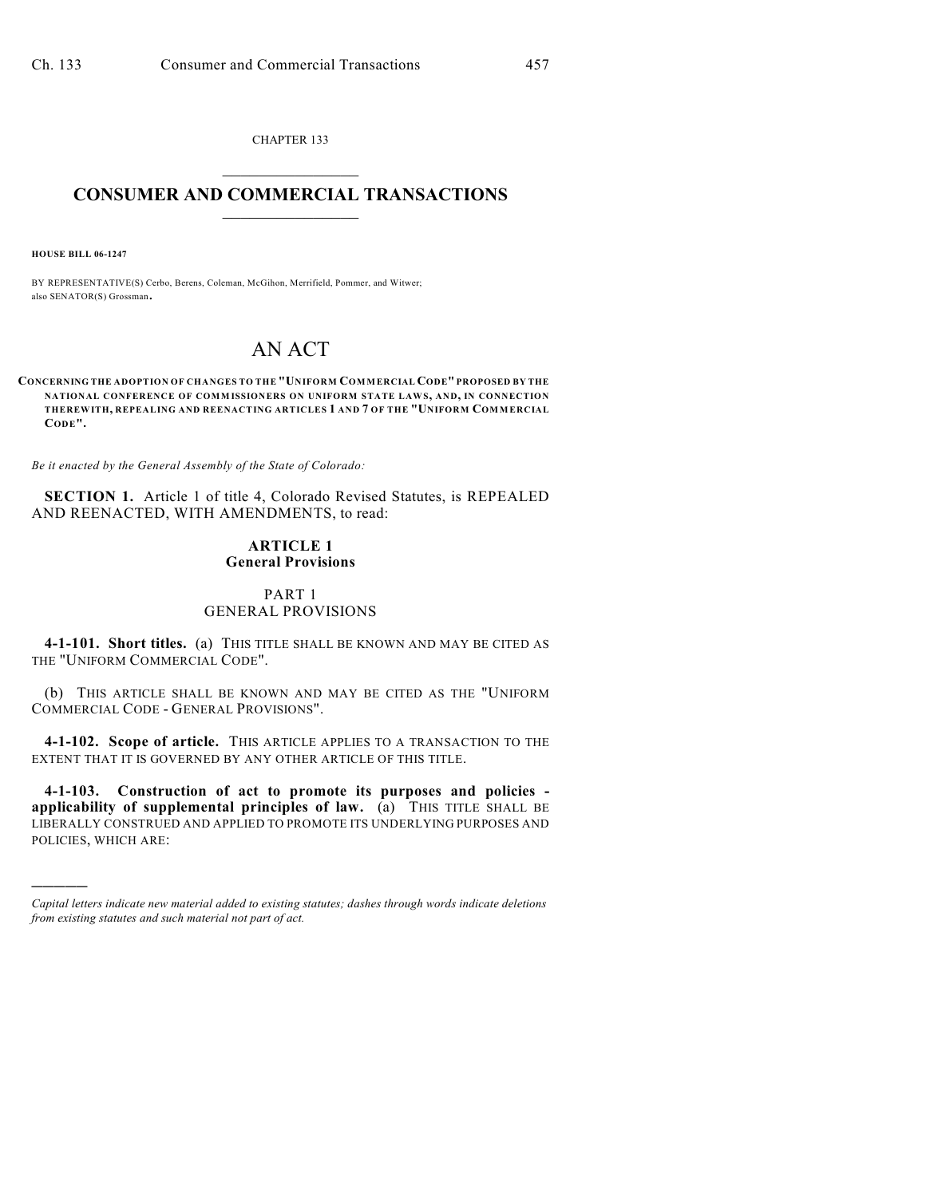CHAPTER 133  $\mathcal{L}_\text{max}$  . The set of the set of the set of the set of the set of the set of the set of the set of the set of the set of the set of the set of the set of the set of the set of the set of the set of the set of the set

# **CONSUMER AND COMMERCIAL TRANSACTIONS**  $\frac{1}{2}$  ,  $\frac{1}{2}$  ,  $\frac{1}{2}$  ,  $\frac{1}{2}$  ,  $\frac{1}{2}$  ,  $\frac{1}{2}$

**HOUSE BILL 06-1247**

)))))

BY REPRESENTATIVE(S) Cerbo, Berens, Coleman, McGihon, Merrifield, Pommer, and Witwer; also SENATOR(S) Grossman.

# AN ACT

**CONCERNING THE ADOPTION OF CHANGES TO THE "UNIFORM COMMERCIAL CODE" PROPOSED BY THE NATIONAL CONFERENCE OF COM M ISSIONERS ON UNIFORM STATE LAW S, AND, IN CONNECTION THEREWITH, REPEALING AND REENACTING ARTICLES 1 AND 7 OF THE "UNIFORM COM MERCIAL CODE".**

*Be it enacted by the General Assembly of the State of Colorado:*

**SECTION 1.** Article 1 of title 4, Colorado Revised Statutes, is REPEALED AND REENACTED, WITH AMENDMENTS, to read:

### **ARTICLE 1 General Provisions**

## PART 1 GENERAL PROVISIONS

**4-1-101. Short titles.** (a) THIS TITLE SHALL BE KNOWN AND MAY BE CITED AS THE "UNIFORM COMMERCIAL CODE".

(b) THIS ARTICLE SHALL BE KNOWN AND MAY BE CITED AS THE "UNIFORM COMMERCIAL CODE - GENERAL PROVISIONS".

**4-1-102. Scope of article.** THIS ARTICLE APPLIES TO A TRANSACTION TO THE EXTENT THAT IT IS GOVERNED BY ANY OTHER ARTICLE OF THIS TITLE.

**4-1-103. Construction of act to promote its purposes and policies applicability of supplemental principles of law.** (a) THIS TITLE SHALL BE LIBERALLY CONSTRUED AND APPLIED TO PROMOTE ITS UNDERLYING PURPOSES AND POLICIES, WHICH ARE:

*Capital letters indicate new material added to existing statutes; dashes through words indicate deletions from existing statutes and such material not part of act.*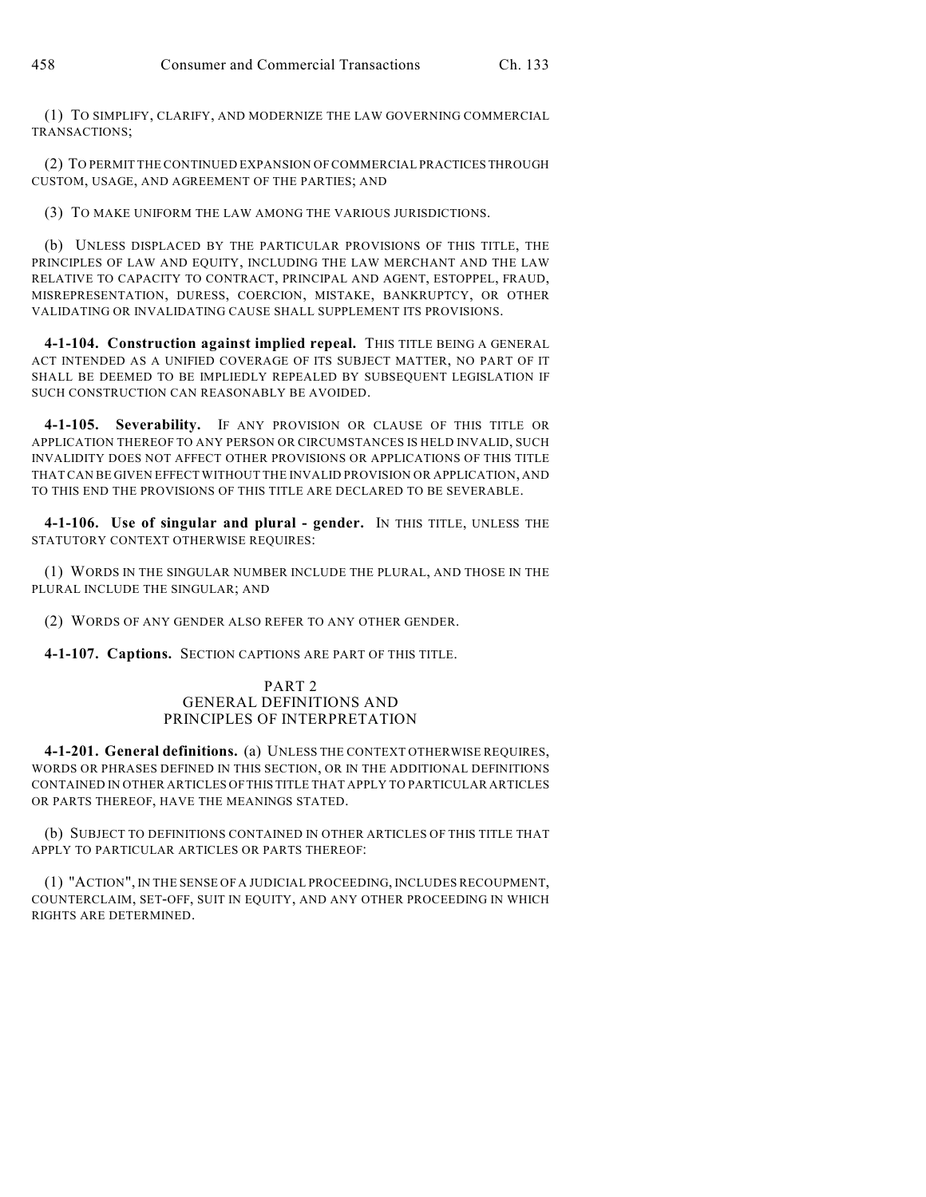(1) TO SIMPLIFY, CLARIFY, AND MODERNIZE THE LAW GOVERNING COMMERCIAL TRANSACTIONS;

(2) TO PERMIT THE CONTINUED EXPANSION OF COMMERCIAL PRACTICES THROUGH CUSTOM, USAGE, AND AGREEMENT OF THE PARTIES; AND

(3) TO MAKE UNIFORM THE LAW AMONG THE VARIOUS JURISDICTIONS.

(b) UNLESS DISPLACED BY THE PARTICULAR PROVISIONS OF THIS TITLE, THE PRINCIPLES OF LAW AND EQUITY, INCLUDING THE LAW MERCHANT AND THE LAW RELATIVE TO CAPACITY TO CONTRACT, PRINCIPAL AND AGENT, ESTOPPEL, FRAUD, MISREPRESENTATION, DURESS, COERCION, MISTAKE, BANKRUPTCY, OR OTHER VALIDATING OR INVALIDATING CAUSE SHALL SUPPLEMENT ITS PROVISIONS.

**4-1-104. Construction against implied repeal.** THIS TITLE BEING A GENERAL ACT INTENDED AS A UNIFIED COVERAGE OF ITS SUBJECT MATTER, NO PART OF IT SHALL BE DEEMED TO BE IMPLIEDLY REPEALED BY SUBSEQUENT LEGISLATION IF SUCH CONSTRUCTION CAN REASONABLY BE AVOIDED.

**4-1-105. Severability.** IF ANY PROVISION OR CLAUSE OF THIS TITLE OR APPLICATION THEREOF TO ANY PERSON OR CIRCUMSTANCES IS HELD INVALID, SUCH INVALIDITY DOES NOT AFFECT OTHER PROVISIONS OR APPLICATIONS OF THIS TITLE THAT CAN BE GIVEN EFFECT WITHOUT THE INVALID PROVISION OR APPLICATION, AND TO THIS END THE PROVISIONS OF THIS TITLE ARE DECLARED TO BE SEVERABLE.

**4-1-106. Use of singular and plural - gender.** IN THIS TITLE, UNLESS THE STATUTORY CONTEXT OTHERWISE REQUIRES:

(1) WORDS IN THE SINGULAR NUMBER INCLUDE THE PLURAL, AND THOSE IN THE PLURAL INCLUDE THE SINGULAR; AND

(2) WORDS OF ANY GENDER ALSO REFER TO ANY OTHER GENDER.

**4-1-107. Captions.** SECTION CAPTIONS ARE PART OF THIS TITLE.

# PART 2 GENERAL DEFINITIONS AND PRINCIPLES OF INTERPRETATION

**4-1-201. General definitions.** (a) UNLESS THE CONTEXT OTHERWISE REQUIRES, WORDS OR PHRASES DEFINED IN THIS SECTION, OR IN THE ADDITIONAL DEFINITIONS CONTAINED IN OTHER ARTICLES OF THIS TITLE THAT APPLY TO PARTICULAR ARTICLES OR PARTS THEREOF, HAVE THE MEANINGS STATED.

(b) SUBJECT TO DEFINITIONS CONTAINED IN OTHER ARTICLES OF THIS TITLE THAT APPLY TO PARTICULAR ARTICLES OR PARTS THEREOF:

(1) "ACTION", IN THE SENSE OF A JUDICIAL PROCEEDING, INCLUDES RECOUPMENT, COUNTERCLAIM, SET-OFF, SUIT IN EQUITY, AND ANY OTHER PROCEEDING IN WHICH RIGHTS ARE DETERMINED.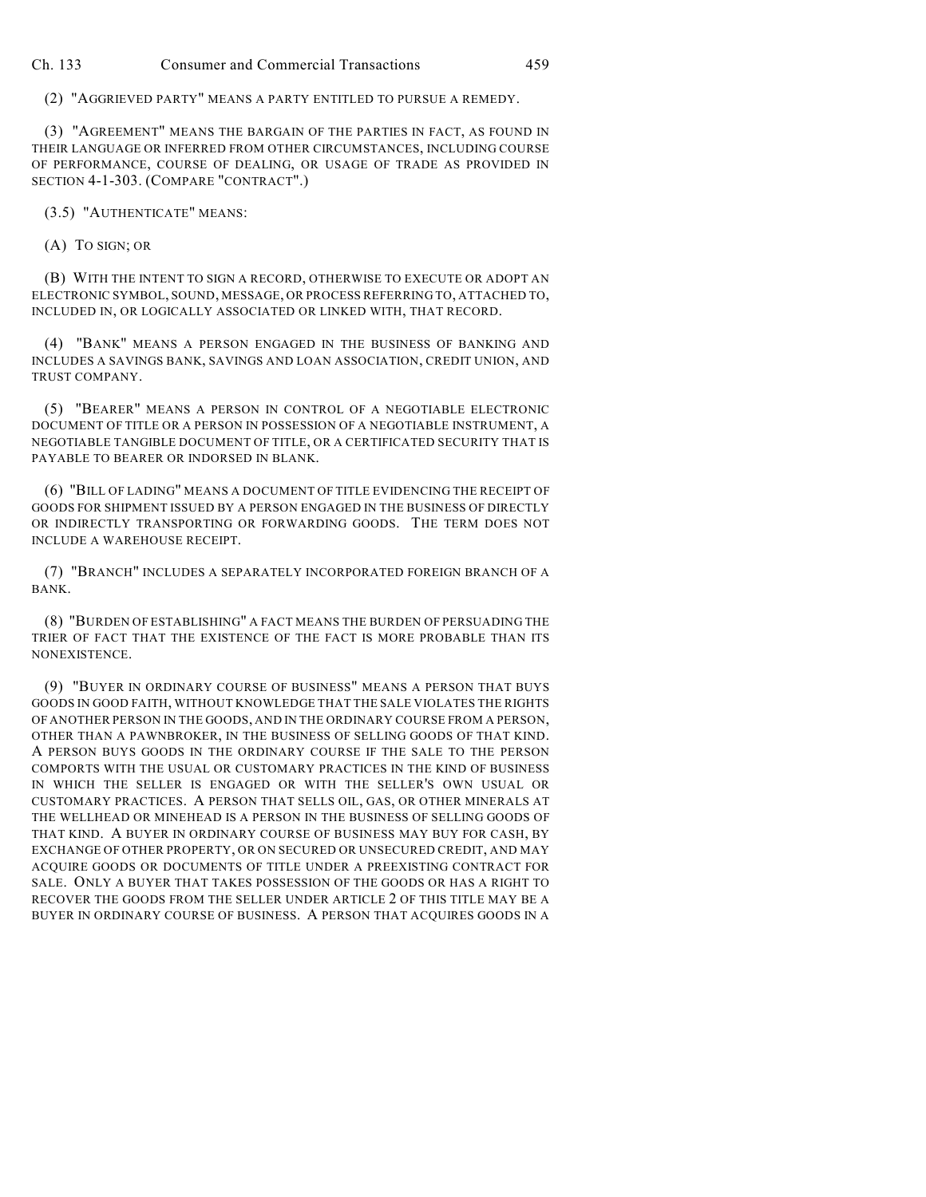(2) "AGGRIEVED PARTY" MEANS A PARTY ENTITLED TO PURSUE A REMEDY.

(3) "AGREEMENT" MEANS THE BARGAIN OF THE PARTIES IN FACT, AS FOUND IN THEIR LANGUAGE OR INFERRED FROM OTHER CIRCUMSTANCES, INCLUDING COURSE OF PERFORMANCE, COURSE OF DEALING, OR USAGE OF TRADE AS PROVIDED IN SECTION 4-1-303. (COMPARE "CONTRACT".)

(3.5) "AUTHENTICATE" MEANS:

(A) TO SIGN; OR

(B) WITH THE INTENT TO SIGN A RECORD, OTHERWISE TO EXECUTE OR ADOPT AN ELECTRONIC SYMBOL, SOUND, MESSAGE, OR PROCESS REFERRING TO, ATTACHED TO, INCLUDED IN, OR LOGICALLY ASSOCIATED OR LINKED WITH, THAT RECORD.

(4) "BANK" MEANS A PERSON ENGAGED IN THE BUSINESS OF BANKING AND INCLUDES A SAVINGS BANK, SAVINGS AND LOAN ASSOCIATION, CREDIT UNION, AND TRUST COMPANY.

(5) "BEARER" MEANS A PERSON IN CONTROL OF A NEGOTIABLE ELECTRONIC DOCUMENT OF TITLE OR A PERSON IN POSSESSION OF A NEGOTIABLE INSTRUMENT, A NEGOTIABLE TANGIBLE DOCUMENT OF TITLE, OR A CERTIFICATED SECURITY THAT IS PAYABLE TO BEARER OR INDORSED IN BLANK.

(6) "BILL OF LADING" MEANS A DOCUMENT OF TITLE EVIDENCING THE RECEIPT OF GOODS FOR SHIPMENT ISSUED BY A PERSON ENGAGED IN THE BUSINESS OF DIRECTLY OR INDIRECTLY TRANSPORTING OR FORWARDING GOODS. THE TERM DOES NOT INCLUDE A WAREHOUSE RECEIPT.

(7) "BRANCH" INCLUDES A SEPARATELY INCORPORATED FOREIGN BRANCH OF A **BANK** 

(8) "BURDEN OF ESTABLISHING" A FACT MEANS THE BURDEN OF PERSUADING THE TRIER OF FACT THAT THE EXISTENCE OF THE FACT IS MORE PROBABLE THAN ITS NONEXISTENCE.

(9) "BUYER IN ORDINARY COURSE OF BUSINESS" MEANS A PERSON THAT BUYS GOODS IN GOOD FAITH, WITHOUT KNOWLEDGE THAT THE SALE VIOLATES THE RIGHTS OF ANOTHER PERSON IN THE GOODS, AND IN THE ORDINARY COURSE FROM A PERSON, OTHER THAN A PAWNBROKER, IN THE BUSINESS OF SELLING GOODS OF THAT KIND. A PERSON BUYS GOODS IN THE ORDINARY COURSE IF THE SALE TO THE PERSON COMPORTS WITH THE USUAL OR CUSTOMARY PRACTICES IN THE KIND OF BUSINESS IN WHICH THE SELLER IS ENGAGED OR WITH THE SELLER'S OWN USUAL OR CUSTOMARY PRACTICES. A PERSON THAT SELLS OIL, GAS, OR OTHER MINERALS AT THE WELLHEAD OR MINEHEAD IS A PERSON IN THE BUSINESS OF SELLING GOODS OF THAT KIND. A BUYER IN ORDINARY COURSE OF BUSINESS MAY BUY FOR CASH, BY EXCHANGE OF OTHER PROPERTY, OR ON SECURED OR UNSECURED CREDIT, AND MAY ACQUIRE GOODS OR DOCUMENTS OF TITLE UNDER A PREEXISTING CONTRACT FOR SALE. ONLY A BUYER THAT TAKES POSSESSION OF THE GOODS OR HAS A RIGHT TO RECOVER THE GOODS FROM THE SELLER UNDER ARTICLE 2 OF THIS TITLE MAY BE A BUYER IN ORDINARY COURSE OF BUSINESS. A PERSON THAT ACQUIRES GOODS IN A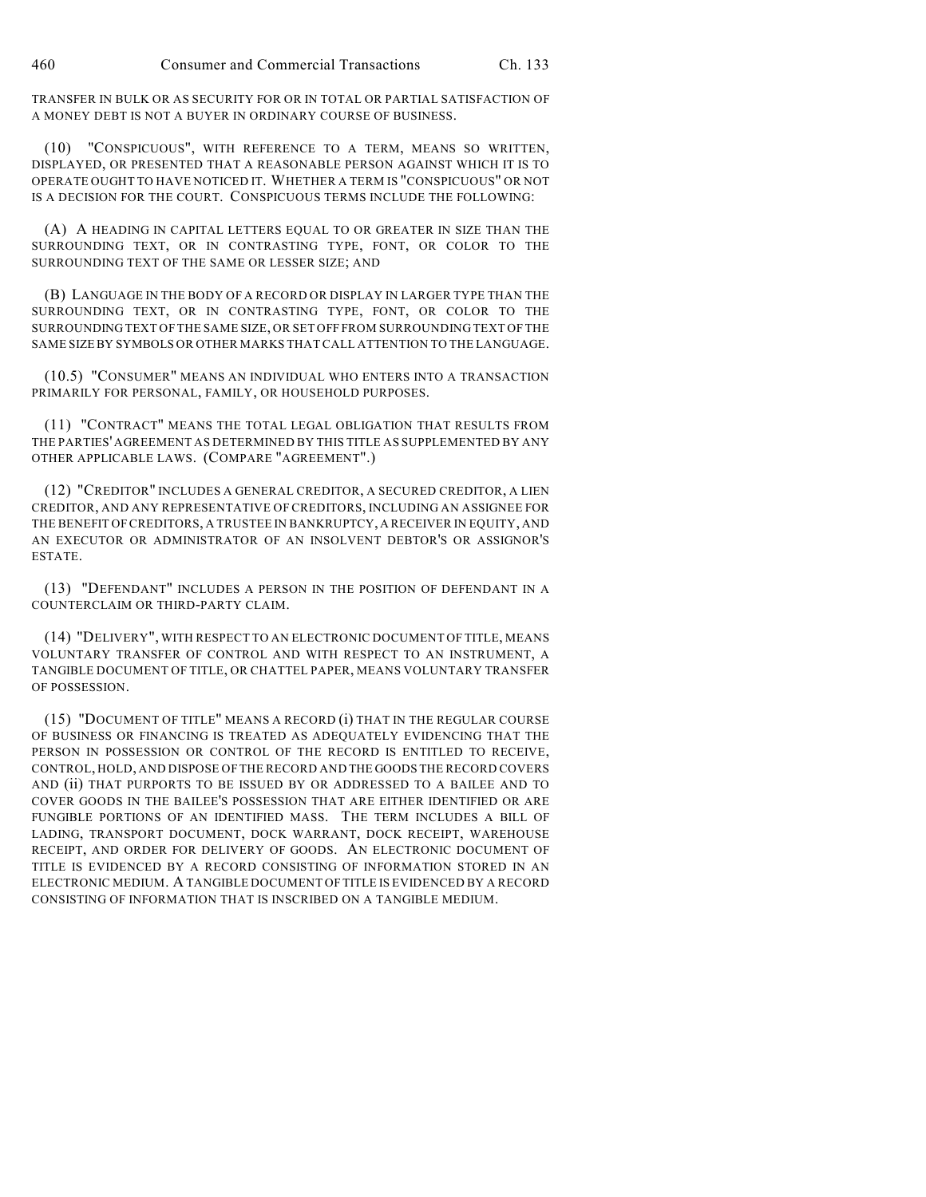TRANSFER IN BULK OR AS SECURITY FOR OR IN TOTAL OR PARTIAL SATISFACTION OF A MONEY DEBT IS NOT A BUYER IN ORDINARY COURSE OF BUSINESS.

(10) "CONSPICUOUS", WITH REFERENCE TO A TERM, MEANS SO WRITTEN, DISPLAYED, OR PRESENTED THAT A REASONABLE PERSON AGAINST WHICH IT IS TO OPERATE OUGHT TO HAVE NOTICED IT. WHETHER A TERM IS "CONSPICUOUS" OR NOT IS A DECISION FOR THE COURT. CONSPICUOUS TERMS INCLUDE THE FOLLOWING:

(A) A HEADING IN CAPITAL LETTERS EQUAL TO OR GREATER IN SIZE THAN THE SURROUNDING TEXT, OR IN CONTRASTING TYPE, FONT, OR COLOR TO THE SURROUNDING TEXT OF THE SAME OR LESSER SIZE; AND

(B) LANGUAGE IN THE BODY OF A RECORD OR DISPLAY IN LARGER TYPE THAN THE SURROUNDING TEXT, OR IN CONTRASTING TYPE, FONT, OR COLOR TO THE SURROUNDING TEXT OF THE SAME SIZE, OR SET OFF FROM SURROUNDING TEXT OF THE SAME SIZE BY SYMBOLS OR OTHER MARKS THAT CALL ATTENTION TO THE LANGUAGE.

(10.5) "CONSUMER" MEANS AN INDIVIDUAL WHO ENTERS INTO A TRANSACTION PRIMARILY FOR PERSONAL, FAMILY, OR HOUSEHOLD PURPOSES.

(11) "CONTRACT" MEANS THE TOTAL LEGAL OBLIGATION THAT RESULTS FROM THE PARTIES' AGREEMENT AS DETERMINED BY THIS TITLE AS SUPPLEMENTED BY ANY OTHER APPLICABLE LAWS. (COMPARE "AGREEMENT".)

(12) "CREDITOR" INCLUDES A GENERAL CREDITOR, A SECURED CREDITOR, A LIEN CREDITOR, AND ANY REPRESENTATIVE OF CREDITORS, INCLUDING AN ASSIGNEE FOR THE BENEFIT OF CREDITORS, A TRUSTEE IN BANKRUPTCY, A RECEIVER IN EQUITY, AND AN EXECUTOR OR ADMINISTRATOR OF AN INSOLVENT DEBTOR'S OR ASSIGNOR'S ESTATE.

(13) "DEFENDANT" INCLUDES A PERSON IN THE POSITION OF DEFENDANT IN A COUNTERCLAIM OR THIRD-PARTY CLAIM.

(14) "DELIVERY", WITH RESPECT TO AN ELECTRONIC DOCUMENT OF TITLE, MEANS VOLUNTARY TRANSFER OF CONTROL AND WITH RESPECT TO AN INSTRUMENT, A TANGIBLE DOCUMENT OF TITLE, OR CHATTEL PAPER, MEANS VOLUNTARY TRANSFER OF POSSESSION.

(15) "DOCUMENT OF TITLE" MEANS A RECORD (i) THAT IN THE REGULAR COURSE OF BUSINESS OR FINANCING IS TREATED AS ADEQUATELY EVIDENCING THAT THE PERSON IN POSSESSION OR CONTROL OF THE RECORD IS ENTITLED TO RECEIVE, CONTROL, HOLD, AND DISPOSE OF THE RECORD AND THE GOODS THE RECORD COVERS AND (ii) THAT PURPORTS TO BE ISSUED BY OR ADDRESSED TO A BAILEE AND TO COVER GOODS IN THE BAILEE'S POSSESSION THAT ARE EITHER IDENTIFIED OR ARE FUNGIBLE PORTIONS OF AN IDENTIFIED MASS. THE TERM INCLUDES A BILL OF LADING, TRANSPORT DOCUMENT, DOCK WARRANT, DOCK RECEIPT, WAREHOUSE RECEIPT, AND ORDER FOR DELIVERY OF GOODS. AN ELECTRONIC DOCUMENT OF TITLE IS EVIDENCED BY A RECORD CONSISTING OF INFORMATION STORED IN AN ELECTRONIC MEDIUM. A TANGIBLE DOCUMENT OFTITLE IS EVIDENCED BY A RECORD CONSISTING OF INFORMATION THAT IS INSCRIBED ON A TANGIBLE MEDIUM.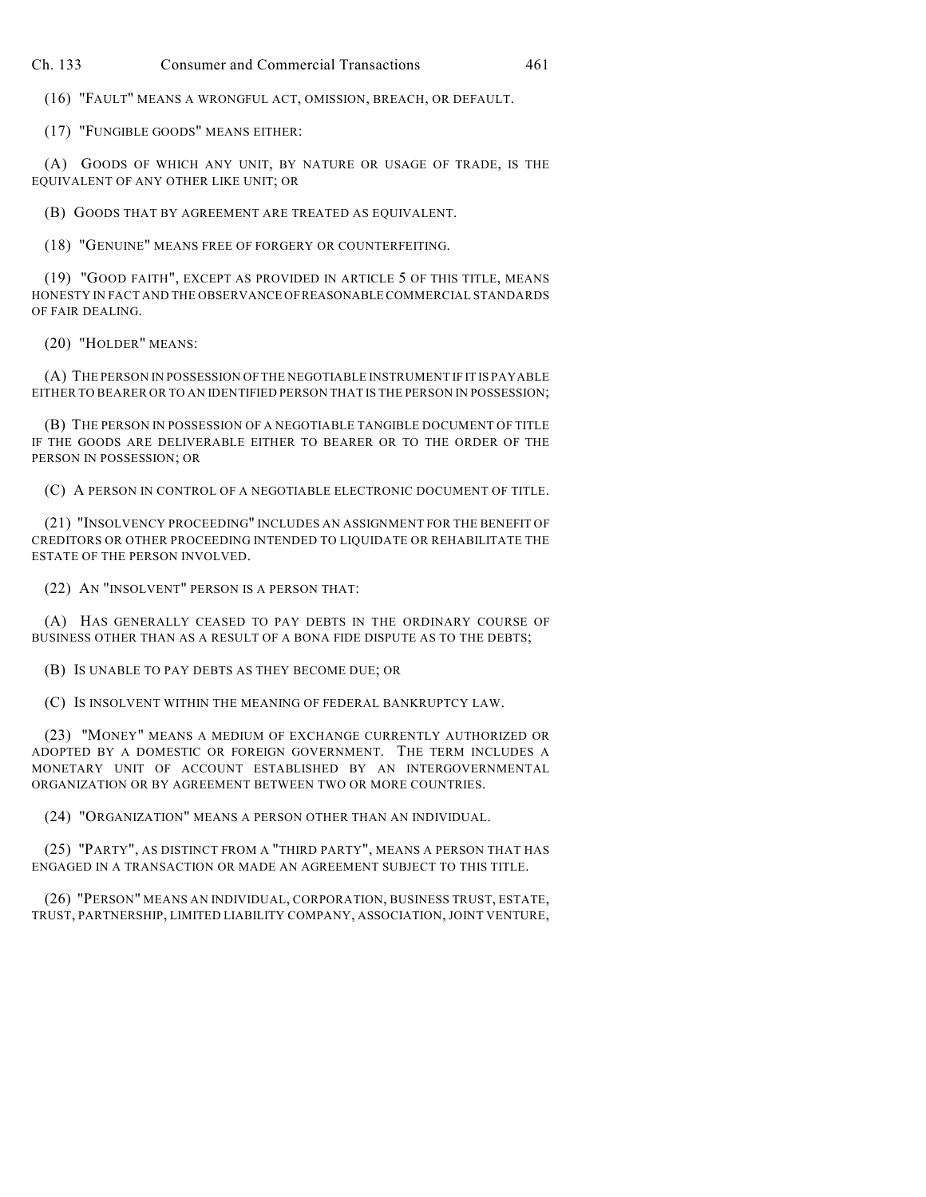#### Ch. 133 Consumer and Commercial Transactions 461

(16) "FAULT" MEANS A WRONGFUL ACT, OMISSION, BREACH, OR DEFAULT.

(17) "FUNGIBLE GOODS" MEANS EITHER:

(A) GOODS OF WHICH ANY UNIT, BY NATURE OR USAGE OF TRADE, IS THE EQUIVALENT OF ANY OTHER LIKE UNIT; OR

(B) GOODS THAT BY AGREEMENT ARE TREATED AS EQUIVALENT.

(18) "GENUINE" MEANS FREE OF FORGERY OR COUNTERFEITING.

(19) "GOOD FAITH", EXCEPT AS PROVIDED IN ARTICLE 5 OF THIS TITLE, MEANS HONESTY IN FACT AND THE OBSERVANCE OF REASONABLE COMMERCIAL STANDARDS OF FAIR DEALING.

(20) "HOLDER" MEANS:

(A) THE PERSON IN POSSESSION OF THE NEGOTIABLE INSTRUMENT IF IT IS PAYABLE EITHER TO BEARER OR TO AN IDENTIFIED PERSON THAT IS THE PERSON IN POSSESSION;

(B) THE PERSON IN POSSESSION OF A NEGOTIABLE TANGIBLE DOCUMENT OF TITLE IF THE GOODS ARE DELIVERABLE EITHER TO BEARER OR TO THE ORDER OF THE PERSON IN POSSESSION; OR

(C) A PERSON IN CONTROL OF A NEGOTIABLE ELECTRONIC DOCUMENT OF TITLE.

(21) "INSOLVENCY PROCEEDING" INCLUDES AN ASSIGNMENT FOR THE BENEFIT OF CREDITORS OR OTHER PROCEEDING INTENDED TO LIQUIDATE OR REHABILITATE THE ESTATE OF THE PERSON INVOLVED.

(22) AN "INSOLVENT" PERSON IS A PERSON THAT:

(A) HAS GENERALLY CEASED TO PAY DEBTS IN THE ORDINARY COURSE OF BUSINESS OTHER THAN AS A RESULT OF A BONA FIDE DISPUTE AS TO THE DEBTS;

(B) IS UNABLE TO PAY DEBTS AS THEY BECOME DUE; OR

(C) IS INSOLVENT WITHIN THE MEANING OF FEDERAL BANKRUPTCY LAW.

(23) "MONEY" MEANS A MEDIUM OF EXCHANGE CURRENTLY AUTHORIZED OR ADOPTED BY A DOMESTIC OR FOREIGN GOVERNMENT. THE TERM INCLUDES A MONETARY UNIT OF ACCOUNT ESTABLISHED BY AN INTERGOVERNMENTAL ORGANIZATION OR BY AGREEMENT BETWEEN TWO OR MORE COUNTRIES.

(24) "ORGANIZATION" MEANS A PERSON OTHER THAN AN INDIVIDUAL.

(25) "PARTY", AS DISTINCT FROM A "THIRD PARTY", MEANS A PERSON THAT HAS ENGAGED IN A TRANSACTION OR MADE AN AGREEMENT SUBJECT TO THIS TITLE.

(26) "PERSON" MEANS AN INDIVIDUAL, CORPORATION, BUSINESS TRUST, ESTATE, TRUST, PARTNERSHIP, LIMITED LIABILITY COMPANY, ASSOCIATION, JOINT VENTURE,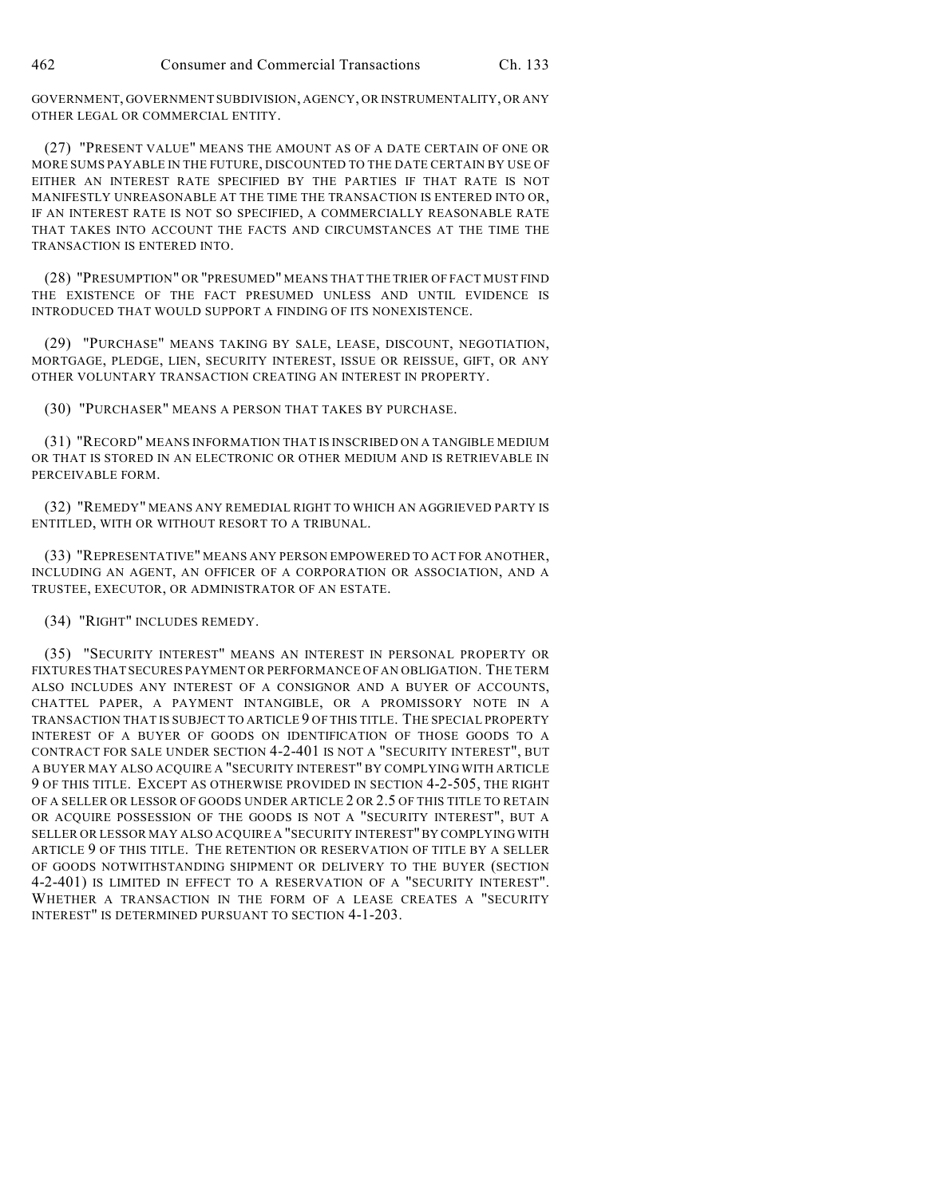GOVERNMENT, GOVERNMENT SUBDIVISION, AGENCY, OR INSTRUMENTALITY, OR ANY OTHER LEGAL OR COMMERCIAL ENTITY.

(27) "PRESENT VALUE" MEANS THE AMOUNT AS OF A DATE CERTAIN OF ONE OR MORE SUMS PAYABLE IN THE FUTURE, DISCOUNTED TO THE DATE CERTAIN BY USE OF EITHER AN INTEREST RATE SPECIFIED BY THE PARTIES IF THAT RATE IS NOT MANIFESTLY UNREASONABLE AT THE TIME THE TRANSACTION IS ENTERED INTO OR, IF AN INTEREST RATE IS NOT SO SPECIFIED, A COMMERCIALLY REASONABLE RATE THAT TAKES INTO ACCOUNT THE FACTS AND CIRCUMSTANCES AT THE TIME THE TRANSACTION IS ENTERED INTO.

(28) "PRESUMPTION" OR "PRESUMED" MEANS THAT THE TRIER OF FACT MUST FIND THE EXISTENCE OF THE FACT PRESUMED UNLESS AND UNTIL EVIDENCE IS INTRODUCED THAT WOULD SUPPORT A FINDING OF ITS NONEXISTENCE.

(29) "PURCHASE" MEANS TAKING BY SALE, LEASE, DISCOUNT, NEGOTIATION, MORTGAGE, PLEDGE, LIEN, SECURITY INTEREST, ISSUE OR REISSUE, GIFT, OR ANY OTHER VOLUNTARY TRANSACTION CREATING AN INTEREST IN PROPERTY.

(30) "PURCHASER" MEANS A PERSON THAT TAKES BY PURCHASE.

(31) "RECORD" MEANS INFORMATION THAT IS INSCRIBED ON A TANGIBLE MEDIUM OR THAT IS STORED IN AN ELECTRONIC OR OTHER MEDIUM AND IS RETRIEVABLE IN PERCEIVABLE FORM.

(32) "REMEDY" MEANS ANY REMEDIAL RIGHT TO WHICH AN AGGRIEVED PARTY IS ENTITLED, WITH OR WITHOUT RESORT TO A TRIBUNAL.

(33) "REPRESENTATIVE" MEANS ANY PERSON EMPOWERED TO ACT FOR ANOTHER, INCLUDING AN AGENT, AN OFFICER OF A CORPORATION OR ASSOCIATION, AND A TRUSTEE, EXECUTOR, OR ADMINISTRATOR OF AN ESTATE.

(34) "RIGHT" INCLUDES REMEDY.

(35) "SECURITY INTEREST" MEANS AN INTEREST IN PERSONAL PROPERTY OR FIXTURES THAT SECURES PAYMENT OR PERFORMANCE OF AN OBLIGATION. THE TERM ALSO INCLUDES ANY INTEREST OF A CONSIGNOR AND A BUYER OF ACCOUNTS, CHATTEL PAPER, A PAYMENT INTANGIBLE, OR A PROMISSORY NOTE IN A TRANSACTION THAT IS SUBJECT TO ARTICLE 9 OF THIS TITLE. THE SPECIAL PROPERTY INTEREST OF A BUYER OF GOODS ON IDENTIFICATION OF THOSE GOODS TO A CONTRACT FOR SALE UNDER SECTION 4-2-401 IS NOT A "SECURITY INTEREST", BUT A BUYER MAY ALSO ACQUIRE A "SECURITY INTEREST" BY COMPLYING WITH ARTICLE 9 OF THIS TITLE. EXCEPT AS OTHERWISE PROVIDED IN SECTION 4-2-505, THE RIGHT OF A SELLER OR LESSOR OF GOODS UNDER ARTICLE 2 OR 2.5 OF THIS TITLE TO RETAIN OR ACQUIRE POSSESSION OF THE GOODS IS NOT A "SECURITY INTEREST", BUT A SELLER OR LESSOR MAY ALSO ACQUIRE A "SECURITY INTEREST" BY COMPLYING WITH ARTICLE 9 OF THIS TITLE. THE RETENTION OR RESERVATION OF TITLE BY A SELLER OF GOODS NOTWITHSTANDING SHIPMENT OR DELIVERY TO THE BUYER (SECTION 4-2-401) IS LIMITED IN EFFECT TO A RESERVATION OF A "SECURITY INTEREST". WHETHER A TRANSACTION IN THE FORM OF A LEASE CREATES A "SECURITY INTEREST" IS DETERMINED PURSUANT TO SECTION 4-1-203.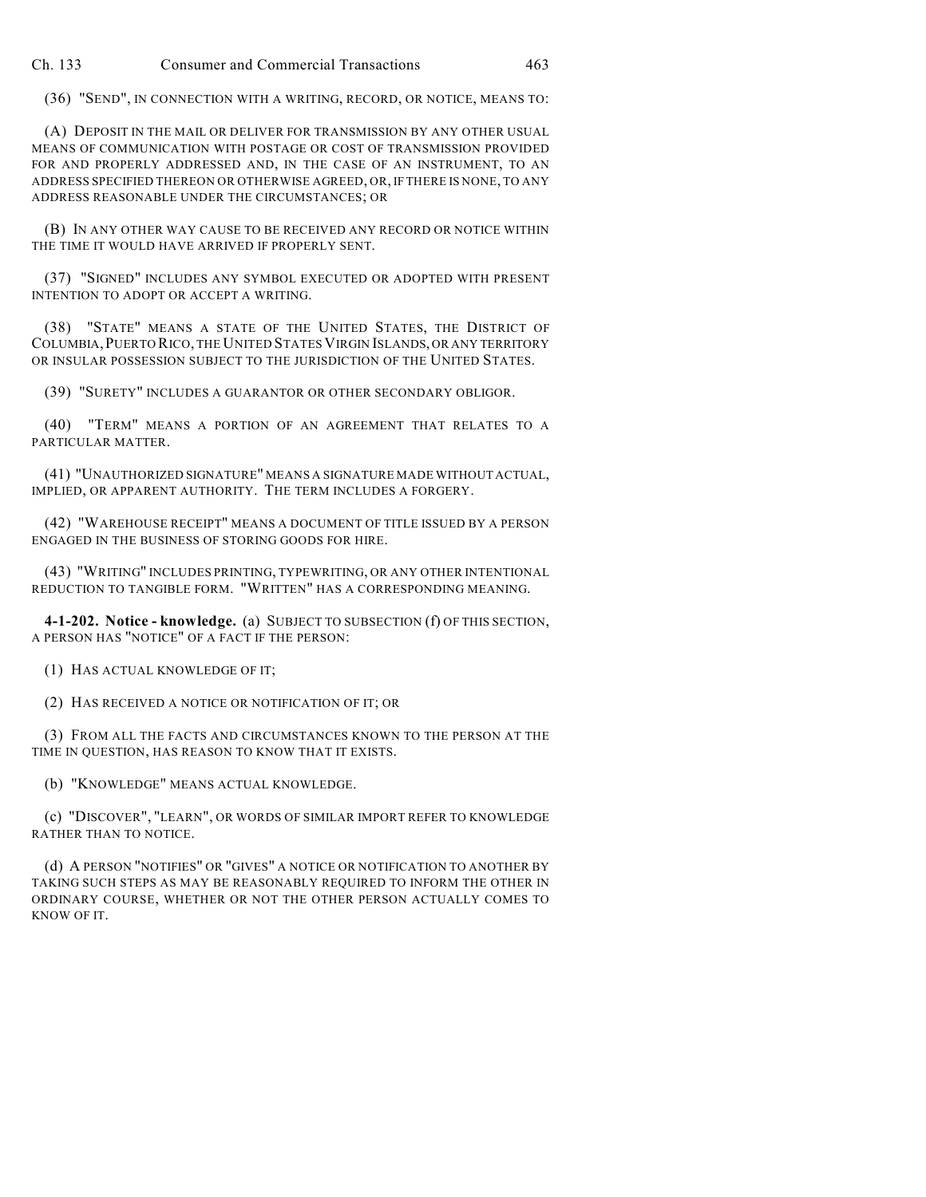(36) "SEND", IN CONNECTION WITH A WRITING, RECORD, OR NOTICE, MEANS TO:

(A) DEPOSIT IN THE MAIL OR DELIVER FOR TRANSMISSION BY ANY OTHER USUAL MEANS OF COMMUNICATION WITH POSTAGE OR COST OF TRANSMISSION PROVIDED FOR AND PROPERLY ADDRESSED AND, IN THE CASE OF AN INSTRUMENT, TO AN ADDRESS SPECIFIED THEREON OR OTHERWISE AGREED, OR, IF THERE IS NONE, TO ANY ADDRESS REASONABLE UNDER THE CIRCUMSTANCES; OR

(B) IN ANY OTHER WAY CAUSE TO BE RECEIVED ANY RECORD OR NOTICE WITHIN THE TIME IT WOULD HAVE ARRIVED IF PROPERLY SENT.

(37) "SIGNED" INCLUDES ANY SYMBOL EXECUTED OR ADOPTED WITH PRESENT INTENTION TO ADOPT OR ACCEPT A WRITING.

(38) "STATE" MEANS A STATE OF THE UNITED STATES, THE DISTRICT OF COLUMBIA,PUERTO RICO, THE UNITED STATESVIRGIN ISLANDS, OR ANY TERRITORY OR INSULAR POSSESSION SUBJECT TO THE JURISDICTION OF THE UNITED STATES.

(39) "SURETY" INCLUDES A GUARANTOR OR OTHER SECONDARY OBLIGOR.

(40) "TERM" MEANS A PORTION OF AN AGREEMENT THAT RELATES TO A PARTICULAR MATTER.

(41) "UNAUTHORIZED SIGNATURE" MEANS A SIGNATURE MADE WITHOUT ACTUAL, IMPLIED, OR APPARENT AUTHORITY. THE TERM INCLUDES A FORGERY.

(42) "WAREHOUSE RECEIPT" MEANS A DOCUMENT OF TITLE ISSUED BY A PERSON ENGAGED IN THE BUSINESS OF STORING GOODS FOR HIRE.

(43) "WRITING" INCLUDES PRINTING, TYPEWRITING, OR ANY OTHER INTENTIONAL REDUCTION TO TANGIBLE FORM. "WRITTEN" HAS A CORRESPONDING MEANING.

**4-1-202. Notice - knowledge.** (a) SUBJECT TO SUBSECTION (f) OF THIS SECTION, A PERSON HAS "NOTICE" OF A FACT IF THE PERSON:

(1) HAS ACTUAL KNOWLEDGE OF IT;

(2) HAS RECEIVED A NOTICE OR NOTIFICATION OF IT; OR

(3) FROM ALL THE FACTS AND CIRCUMSTANCES KNOWN TO THE PERSON AT THE TIME IN QUESTION, HAS REASON TO KNOW THAT IT EXISTS.

(b) "KNOWLEDGE" MEANS ACTUAL KNOWLEDGE.

(c) "DISCOVER", "LEARN", OR WORDS OF SIMILAR IMPORT REFER TO KNOWLEDGE RATHER THAN TO NOTICE.

(d) A PERSON "NOTIFIES" OR "GIVES" A NOTICE OR NOTIFICATION TO ANOTHER BY TAKING SUCH STEPS AS MAY BE REASONABLY REQUIRED TO INFORM THE OTHER IN ORDINARY COURSE, WHETHER OR NOT THE OTHER PERSON ACTUALLY COMES TO KNOW OF IT.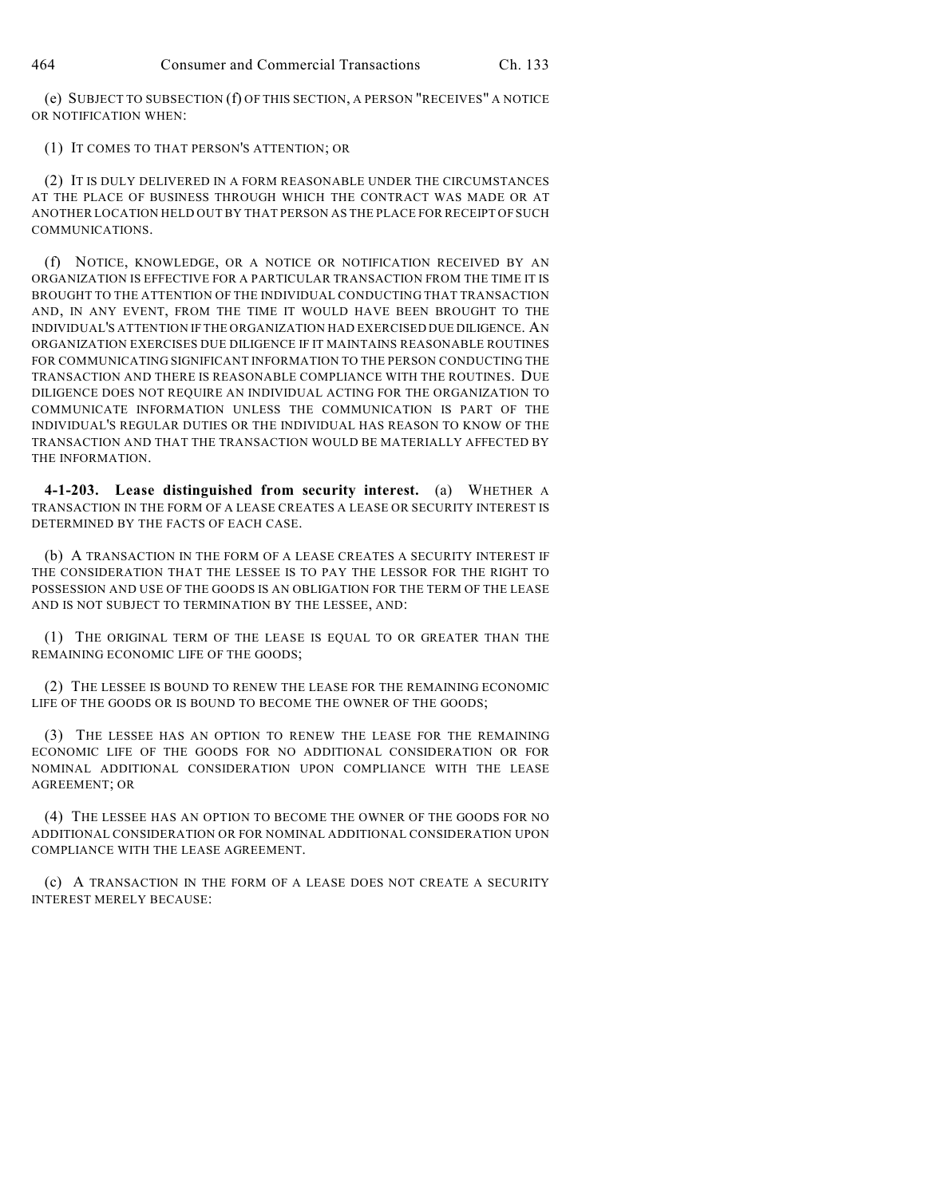(e) SUBJECT TO SUBSECTION (f) OF THIS SECTION, A PERSON "RECEIVES" A NOTICE OR NOTIFICATION WHEN:

#### (1) IT COMES TO THAT PERSON'S ATTENTION; OR

(2) IT IS DULY DELIVERED IN A FORM REASONABLE UNDER THE CIRCUMSTANCES AT THE PLACE OF BUSINESS THROUGH WHICH THE CONTRACT WAS MADE OR AT ANOTHER LOCATION HELD OUT BY THAT PERSON AS THE PLACE FOR RECEIPT OF SUCH COMMUNICATIONS.

(f) NOTICE, KNOWLEDGE, OR A NOTICE OR NOTIFICATION RECEIVED BY AN ORGANIZATION IS EFFECTIVE FOR A PARTICULAR TRANSACTION FROM THE TIME IT IS BROUGHT TO THE ATTENTION OF THE INDIVIDUAL CONDUCTING THAT TRANSACTION AND, IN ANY EVENT, FROM THE TIME IT WOULD HAVE BEEN BROUGHT TO THE INDIVIDUAL'S ATTENTION IF THE ORGANIZATION HAD EXERCISED DUE DILIGENCE. AN ORGANIZATION EXERCISES DUE DILIGENCE IF IT MAINTAINS REASONABLE ROUTINES FOR COMMUNICATING SIGNIFICANT INFORMATION TO THE PERSON CONDUCTING THE TRANSACTION AND THERE IS REASONABLE COMPLIANCE WITH THE ROUTINES. DUE DILIGENCE DOES NOT REQUIRE AN INDIVIDUAL ACTING FOR THE ORGANIZATION TO COMMUNICATE INFORMATION UNLESS THE COMMUNICATION IS PART OF THE INDIVIDUAL'S REGULAR DUTIES OR THE INDIVIDUAL HAS REASON TO KNOW OF THE TRANSACTION AND THAT THE TRANSACTION WOULD BE MATERIALLY AFFECTED BY THE INFORMATION.

**4-1-203. Lease distinguished from security interest.** (a) WHETHER A TRANSACTION IN THE FORM OF A LEASE CREATES A LEASE OR SECURITY INTEREST IS DETERMINED BY THE FACTS OF EACH CASE.

(b) A TRANSACTION IN THE FORM OF A LEASE CREATES A SECURITY INTEREST IF THE CONSIDERATION THAT THE LESSEE IS TO PAY THE LESSOR FOR THE RIGHT TO POSSESSION AND USE OF THE GOODS IS AN OBLIGATION FOR THE TERM OF THE LEASE AND IS NOT SUBJECT TO TERMINATION BY THE LESSEE, AND:

(1) THE ORIGINAL TERM OF THE LEASE IS EQUAL TO OR GREATER THAN THE REMAINING ECONOMIC LIFE OF THE GOODS;

(2) THE LESSEE IS BOUND TO RENEW THE LEASE FOR THE REMAINING ECONOMIC LIFE OF THE GOODS OR IS BOUND TO BECOME THE OWNER OF THE GOODS;

(3) THE LESSEE HAS AN OPTION TO RENEW THE LEASE FOR THE REMAINING ECONOMIC LIFE OF THE GOODS FOR NO ADDITIONAL CONSIDERATION OR FOR NOMINAL ADDITIONAL CONSIDERATION UPON COMPLIANCE WITH THE LEASE AGREEMENT; OR

(4) THE LESSEE HAS AN OPTION TO BECOME THE OWNER OF THE GOODS FOR NO ADDITIONAL CONSIDERATION OR FOR NOMINAL ADDITIONAL CONSIDERATION UPON COMPLIANCE WITH THE LEASE AGREEMENT.

(c) A TRANSACTION IN THE FORM OF A LEASE DOES NOT CREATE A SECURITY INTEREST MERELY BECAUSE: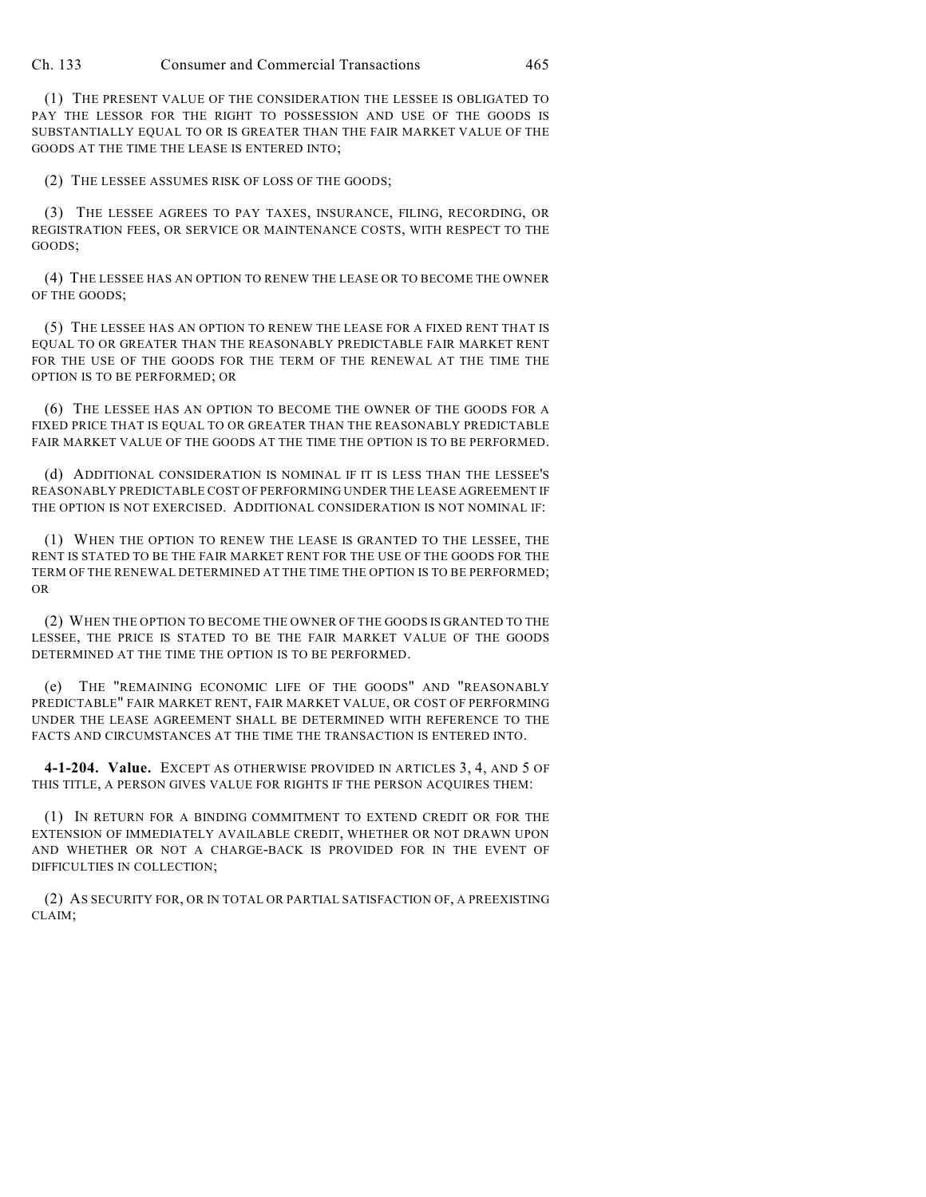Ch. 133 Consumer and Commercial Transactions 465

(1) THE PRESENT VALUE OF THE CONSIDERATION THE LESSEE IS OBLIGATED TO PAY THE LESSOR FOR THE RIGHT TO POSSESSION AND USE OF THE GOODS IS SUBSTANTIALLY EQUAL TO OR IS GREATER THAN THE FAIR MARKET VALUE OF THE GOODS AT THE TIME THE LEASE IS ENTERED INTO;

(2) THE LESSEE ASSUMES RISK OF LOSS OF THE GOODS;

(3) THE LESSEE AGREES TO PAY TAXES, INSURANCE, FILING, RECORDING, OR REGISTRATION FEES, OR SERVICE OR MAINTENANCE COSTS, WITH RESPECT TO THE GOODS;

(4) THE LESSEE HAS AN OPTION TO RENEW THE LEASE OR TO BECOME THE OWNER OF THE GOODS;

(5) THE LESSEE HAS AN OPTION TO RENEW THE LEASE FOR A FIXED RENT THAT IS EQUAL TO OR GREATER THAN THE REASONABLY PREDICTABLE FAIR MARKET RENT FOR THE USE OF THE GOODS FOR THE TERM OF THE RENEWAL AT THE TIME THE OPTION IS TO BE PERFORMED; OR

(6) THE LESSEE HAS AN OPTION TO BECOME THE OWNER OF THE GOODS FOR A FIXED PRICE THAT IS EQUAL TO OR GREATER THAN THE REASONABLY PREDICTABLE FAIR MARKET VALUE OF THE GOODS AT THE TIME THE OPTION IS TO BE PERFORMED.

(d) ADDITIONAL CONSIDERATION IS NOMINAL IF IT IS LESS THAN THE LESSEE'S REASONABLY PREDICTABLE COST OF PERFORMING UNDER THE LEASE AGREEMENT IF THE OPTION IS NOT EXERCISED. ADDITIONAL CONSIDERATION IS NOT NOMINAL IF:

(1) WHEN THE OPTION TO RENEW THE LEASE IS GRANTED TO THE LESSEE, THE RENT IS STATED TO BE THE FAIR MARKET RENT FOR THE USE OF THE GOODS FOR THE TERM OF THE RENEWAL DETERMINED AT THE TIME THE OPTION IS TO BE PERFORMED; OR

(2) WHEN THE OPTION TO BECOME THE OWNER OF THE GOODS IS GRANTED TO THE LESSEE, THE PRICE IS STATED TO BE THE FAIR MARKET VALUE OF THE GOODS DETERMINED AT THE TIME THE OPTION IS TO BE PERFORMED.

(e) THE "REMAINING ECONOMIC LIFE OF THE GOODS" AND "REASONABLY PREDICTABLE" FAIR MARKET RENT, FAIR MARKET VALUE, OR COST OF PERFORMING UNDER THE LEASE AGREEMENT SHALL BE DETERMINED WITH REFERENCE TO THE FACTS AND CIRCUMSTANCES AT THE TIME THE TRANSACTION IS ENTERED INTO.

**4-1-204. Value.** EXCEPT AS OTHERWISE PROVIDED IN ARTICLES 3, 4, AND 5 OF THIS TITLE, A PERSON GIVES VALUE FOR RIGHTS IF THE PERSON ACQUIRES THEM:

(1) IN RETURN FOR A BINDING COMMITMENT TO EXTEND CREDIT OR FOR THE EXTENSION OF IMMEDIATELY AVAILABLE CREDIT, WHETHER OR NOT DRAWN UPON AND WHETHER OR NOT A CHARGE-BACK IS PROVIDED FOR IN THE EVENT OF DIFFICULTIES IN COLLECTION;

(2) AS SECURITY FOR, OR IN TOTAL OR PARTIAL SATISFACTION OF, A PREEXISTING CLAIM;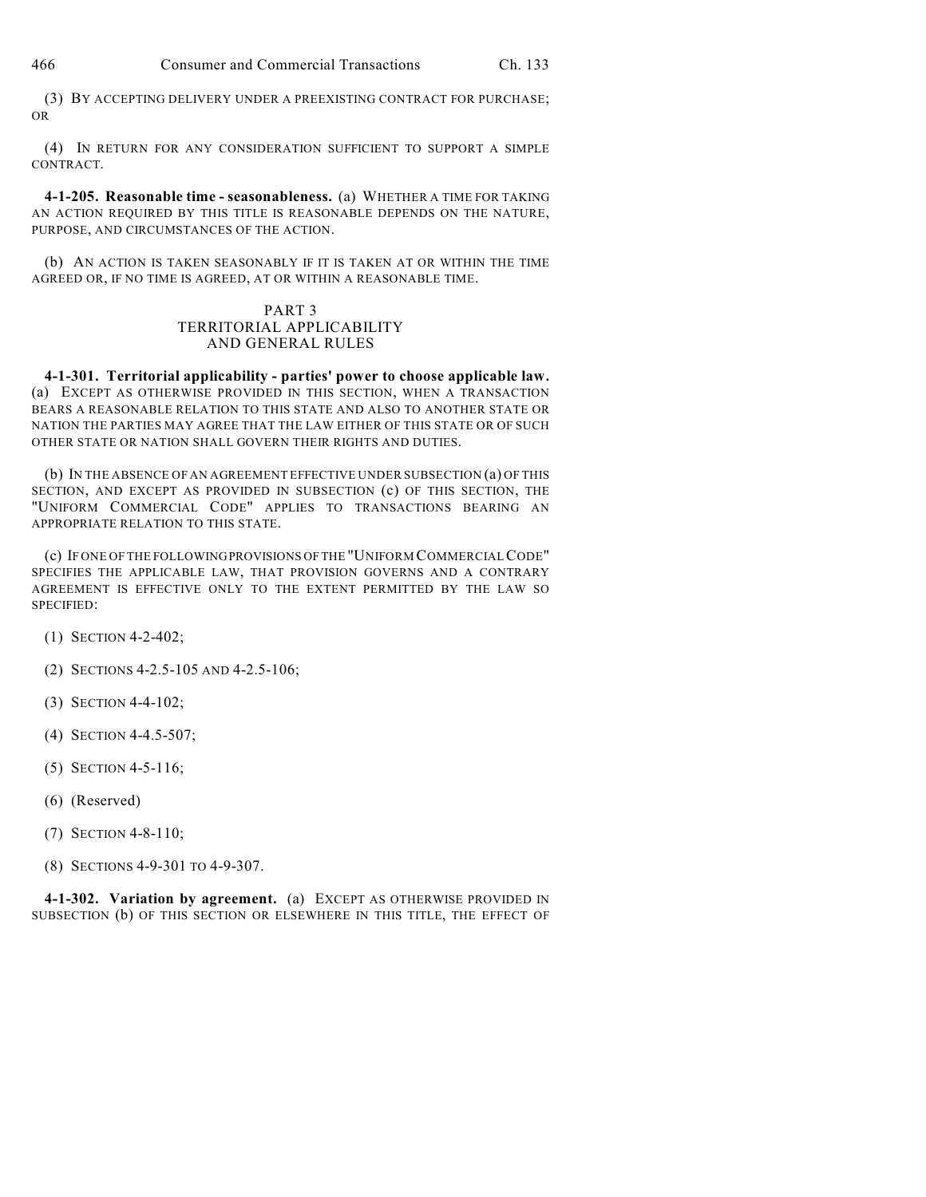(3) BY ACCEPTING DELIVERY UNDER A PREEXISTING CONTRACT FOR PURCHASE; OR

(4) IN RETURN FOR ANY CONSIDERATION SUFFICIENT TO SUPPORT A SIMPLE CONTRACT.

**4-1-205. Reasonable time - seasonableness.** (a) WHETHER A TIME FOR TAKING AN ACTION REQUIRED BY THIS TITLE IS REASONABLE DEPENDS ON THE NATURE, PURPOSE, AND CIRCUMSTANCES OF THE ACTION.

(b) AN ACTION IS TAKEN SEASONABLY IF IT IS TAKEN AT OR WITHIN THE TIME AGREED OR, IF NO TIME IS AGREED, AT OR WITHIN A REASONABLE TIME.

# PART 3 TERRITORIAL APPLICABILITY AND GENERAL RULES

**4-1-301. Territorial applicability - parties' power to choose applicable law.** (a) EXCEPT AS OTHERWISE PROVIDED IN THIS SECTION, WHEN A TRANSACTION BEARS A REASONABLE RELATION TO THIS STATE AND ALSO TO ANOTHER STATE OR NATION THE PARTIES MAY AGREE THAT THE LAW EITHER OF THIS STATE OR OF SUCH OTHER STATE OR NATION SHALL GOVERN THEIR RIGHTS AND DUTIES.

(b) IN THE ABSENCE OF AN AGREEMENT EFFECTIVE UNDER SUBSECTION (a) OF THIS SECTION, AND EXCEPT AS PROVIDED IN SUBSECTION (c) OF THIS SECTION, THE "UNIFORM COMMERCIAL CODE" APPLIES TO TRANSACTIONS BEARING AN APPROPRIATE RELATION TO THIS STATE.

(c) IF ONE OF THE FOLLOWING PROVISIONS OF THE "UNIFORM COMMERCIAL CODE" SPECIFIES THE APPLICABLE LAW, THAT PROVISION GOVERNS AND A CONTRARY AGREEMENT IS EFFECTIVE ONLY TO THE EXTENT PERMITTED BY THE LAW SO SPECIFIED:

- (1) SECTION 4-2-402;
- (2) SECTIONS 4-2.5-105 AND 4-2.5-106;
- (3) SECTION 4-4-102;
- (4) SECTION 4-4.5-507;
- (5) SECTION 4-5-116;
- (6) (Reserved)
- (7) SECTION 4-8-110;
- (8) SECTIONS 4-9-301 TO 4-9-307.

**4-1-302. Variation by agreement.** (a) EXCEPT AS OTHERWISE PROVIDED IN SUBSECTION (b) OF THIS SECTION OR ELSEWHERE IN THIS TITLE, THE EFFECT OF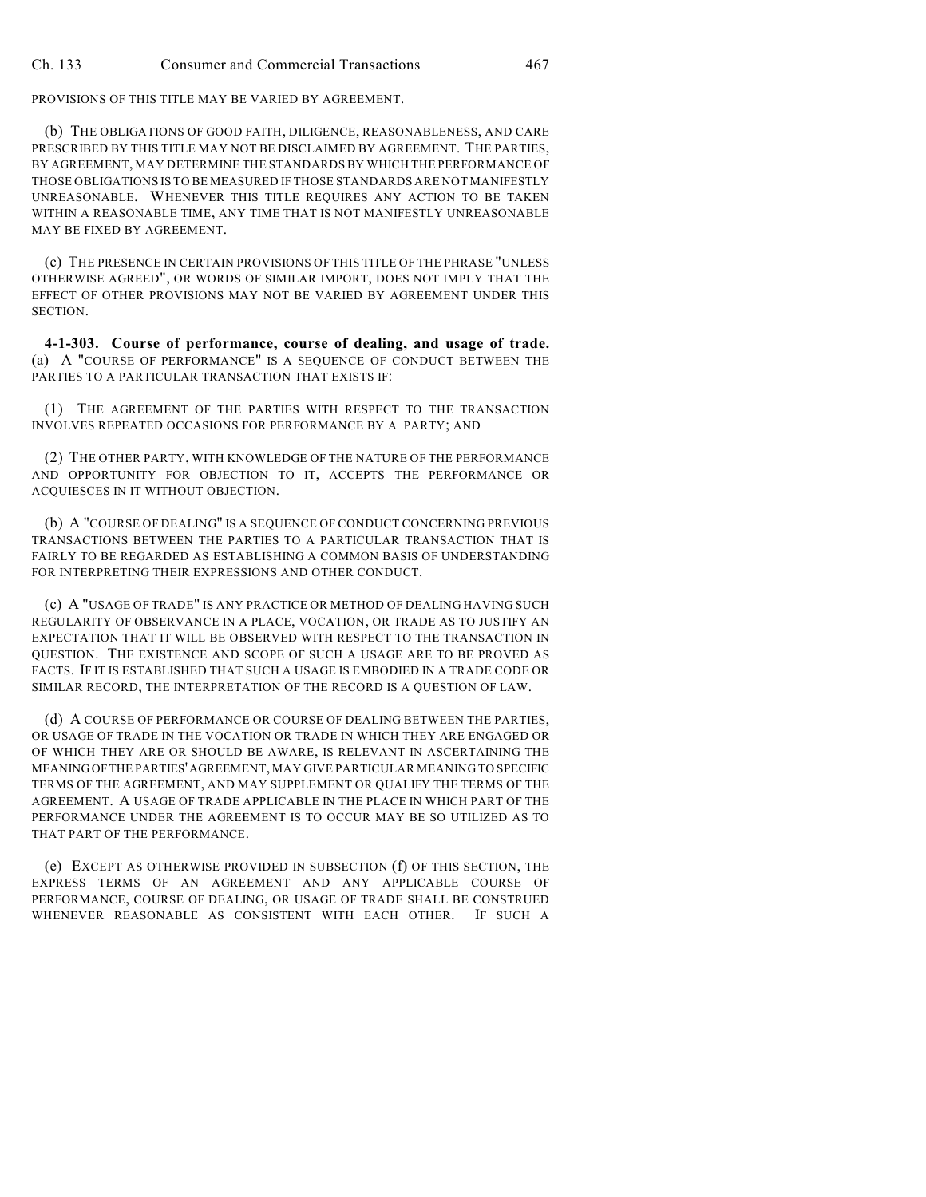PROVISIONS OF THIS TITLE MAY BE VARIED BY AGREEMENT.

(b) THE OBLIGATIONS OF GOOD FAITH, DILIGENCE, REASONABLENESS, AND CARE PRESCRIBED BY THIS TITLE MAY NOT BE DISCLAIMED BY AGREEMENT. THE PARTIES, BY AGREEMENT, MAY DETERMINE THE STANDARDS BY WHICH THE PERFORMANCE OF THOSE OBLIGATIONS IS TO BE MEASURED IF THOSE STANDARDS ARE NOT MANIFESTLY UNREASONABLE. WHENEVER THIS TITLE REQUIRES ANY ACTION TO BE TAKEN WITHIN A REASONABLE TIME, ANY TIME THAT IS NOT MANIFESTLY UNREASONABLE MAY BE FIXED BY AGREEMENT.

(c) THE PRESENCE IN CERTAIN PROVISIONS OF THIS TITLE OF THE PHRASE "UNLESS OTHERWISE AGREED", OR WORDS OF SIMILAR IMPORT, DOES NOT IMPLY THAT THE EFFECT OF OTHER PROVISIONS MAY NOT BE VARIED BY AGREEMENT UNDER THIS SECTION.

**4-1-303. Course of performance, course of dealing, and usage of trade.** (a) A "COURSE OF PERFORMANCE" IS A SEQUENCE OF CONDUCT BETWEEN THE PARTIES TO A PARTICULAR TRANSACTION THAT EXISTS IF:

(1) THE AGREEMENT OF THE PARTIES WITH RESPECT TO THE TRANSACTION INVOLVES REPEATED OCCASIONS FOR PERFORMANCE BY A PARTY; AND

(2) THE OTHER PARTY, WITH KNOWLEDGE OF THE NATURE OF THE PERFORMANCE AND OPPORTUNITY FOR OBJECTION TO IT, ACCEPTS THE PERFORMANCE OR ACQUIESCES IN IT WITHOUT OBJECTION.

(b) A "COURSE OF DEALING" IS A SEQUENCE OF CONDUCT CONCERNING PREVIOUS TRANSACTIONS BETWEEN THE PARTIES TO A PARTICULAR TRANSACTION THAT IS FAIRLY TO BE REGARDED AS ESTABLISHING A COMMON BASIS OF UNDERSTANDING FOR INTERPRETING THEIR EXPRESSIONS AND OTHER CONDUCT.

(c) A "USAGE OF TRADE" IS ANY PRACTICE OR METHOD OF DEALING HAVING SUCH REGULARITY OF OBSERVANCE IN A PLACE, VOCATION, OR TRADE AS TO JUSTIFY AN EXPECTATION THAT IT WILL BE OBSERVED WITH RESPECT TO THE TRANSACTION IN QUESTION. THE EXISTENCE AND SCOPE OF SUCH A USAGE ARE TO BE PROVED AS FACTS. IF IT IS ESTABLISHED THAT SUCH A USAGE IS EMBODIED IN A TRADE CODE OR SIMILAR RECORD, THE INTERPRETATION OF THE RECORD IS A QUESTION OF LAW.

(d) A COURSE OF PERFORMANCE OR COURSE OF DEALING BETWEEN THE PARTIES, OR USAGE OF TRADE IN THE VOCATION OR TRADE IN WHICH THEY ARE ENGAGED OR OF WHICH THEY ARE OR SHOULD BE AWARE, IS RELEVANT IN ASCERTAINING THE MEANING OF THE PARTIES' AGREEMENT, MAY GIVE PARTICULAR MEANING TO SPECIFIC TERMS OF THE AGREEMENT, AND MAY SUPPLEMENT OR QUALIFY THE TERMS OF THE AGREEMENT. A USAGE OF TRADE APPLICABLE IN THE PLACE IN WHICH PART OF THE PERFORMANCE UNDER THE AGREEMENT IS TO OCCUR MAY BE SO UTILIZED AS TO THAT PART OF THE PERFORMANCE.

(e) EXCEPT AS OTHERWISE PROVIDED IN SUBSECTION (f) OF THIS SECTION, THE EXPRESS TERMS OF AN AGREEMENT AND ANY APPLICABLE COURSE OF PERFORMANCE, COURSE OF DEALING, OR USAGE OF TRADE SHALL BE CONSTRUED WHENEVER REASONABLE AS CONSISTENT WITH EACH OTHER. IF SUCH A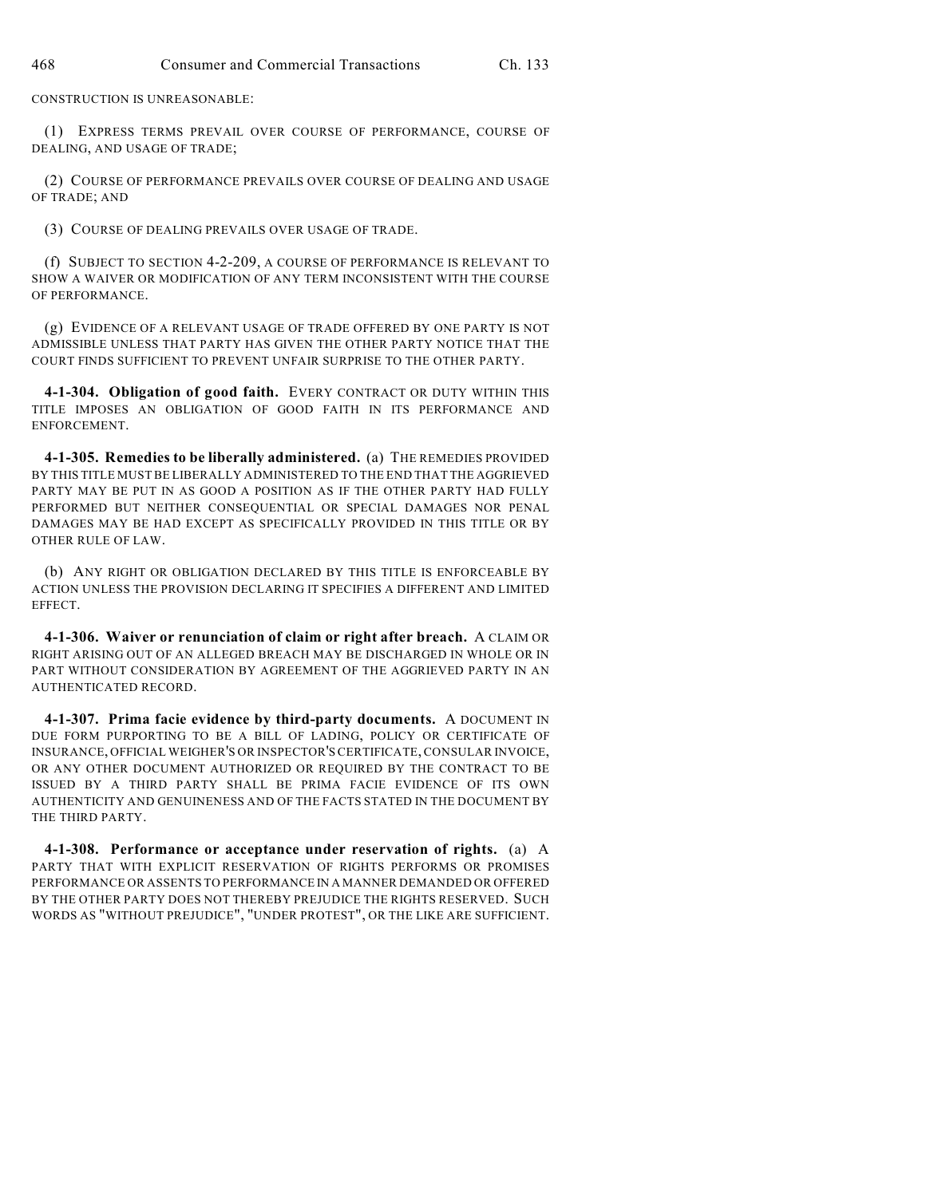CONSTRUCTION IS UNREASONABLE:

(1) EXPRESS TERMS PREVAIL OVER COURSE OF PERFORMANCE, COURSE OF DEALING, AND USAGE OF TRADE;

(2) COURSE OF PERFORMANCE PREVAILS OVER COURSE OF DEALING AND USAGE OF TRADE; AND

(3) COURSE OF DEALING PREVAILS OVER USAGE OF TRADE.

(f) SUBJECT TO SECTION 4-2-209, A COURSE OF PERFORMANCE IS RELEVANT TO SHOW A WAIVER OR MODIFICATION OF ANY TERM INCONSISTENT WITH THE COURSE OF PERFORMANCE.

(g) EVIDENCE OF A RELEVANT USAGE OF TRADE OFFERED BY ONE PARTY IS NOT ADMISSIBLE UNLESS THAT PARTY HAS GIVEN THE OTHER PARTY NOTICE THAT THE COURT FINDS SUFFICIENT TO PREVENT UNFAIR SURPRISE TO THE OTHER PARTY.

**4-1-304. Obligation of good faith.** EVERY CONTRACT OR DUTY WITHIN THIS TITLE IMPOSES AN OBLIGATION OF GOOD FAITH IN ITS PERFORMANCE AND ENFORCEMENT.

**4-1-305. Remedies to be liberally administered.** (a) THE REMEDIES PROVIDED BY THIS TITLE MUST BE LIBERALLY ADMINISTERED TO THE END THAT THE AGGRIEVED PARTY MAY BE PUT IN AS GOOD A POSITION AS IF THE OTHER PARTY HAD FULLY PERFORMED BUT NEITHER CONSEQUENTIAL OR SPECIAL DAMAGES NOR PENAL DAMAGES MAY BE HAD EXCEPT AS SPECIFICALLY PROVIDED IN THIS TITLE OR BY OTHER RULE OF LAW.

(b) ANY RIGHT OR OBLIGATION DECLARED BY THIS TITLE IS ENFORCEABLE BY ACTION UNLESS THE PROVISION DECLARING IT SPECIFIES A DIFFERENT AND LIMITED EFFECT.

**4-1-306. Waiver or renunciation of claim or right after breach.** A CLAIM OR RIGHT ARISING OUT OF AN ALLEGED BREACH MAY BE DISCHARGED IN WHOLE OR IN PART WITHOUT CONSIDERATION BY AGREEMENT OF THE AGGRIEVED PARTY IN AN AUTHENTICATED RECORD.

**4-1-307. Prima facie evidence by third-party documents.** A DOCUMENT IN DUE FORM PURPORTING TO BE A BILL OF LADING, POLICY OR CERTIFICATE OF INSURANCE, OFFICIAL WEIGHER'S OR INSPECTOR'S CERTIFICATE, CONSULAR INVOICE, OR ANY OTHER DOCUMENT AUTHORIZED OR REQUIRED BY THE CONTRACT TO BE ISSUED BY A THIRD PARTY SHALL BE PRIMA FACIE EVIDENCE OF ITS OWN AUTHENTICITY AND GENUINENESS AND OF THE FACTS STATED IN THE DOCUMENT BY THE THIRD PARTY.

**4-1-308. Performance or acceptance under reservation of rights.** (a) A PARTY THAT WITH EXPLICIT RESERVATION OF RIGHTS PERFORMS OR PROMISES PERFORMANCE OR ASSENTS TO PERFORMANCE IN A MANNER DEMANDED OR OFFERED BY THE OTHER PARTY DOES NOT THEREBY PREJUDICE THE RIGHTS RESERVED. SUCH WORDS AS "WITHOUT PREJUDICE", "UNDER PROTEST", OR THE LIKE ARE SUFFICIENT.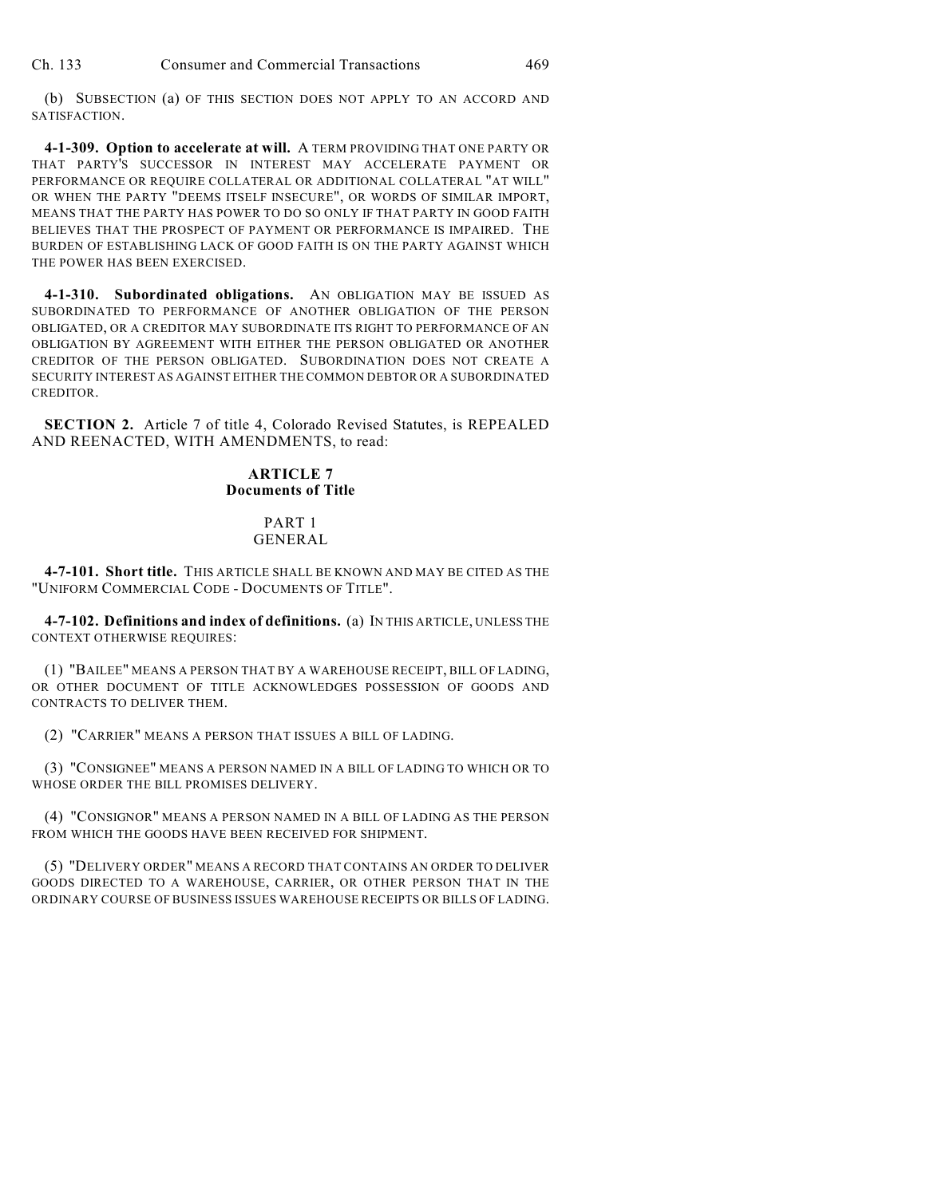(b) SUBSECTION (a) OF THIS SECTION DOES NOT APPLY TO AN ACCORD AND SATISFACTION.

**4-1-309. Option to accelerate at will.** A TERM PROVIDING THAT ONE PARTY OR THAT PARTY'S SUCCESSOR IN INTEREST MAY ACCELERATE PAYMENT OR PERFORMANCE OR REQUIRE COLLATERAL OR ADDITIONAL COLLATERAL "AT WILL" OR WHEN THE PARTY "DEEMS ITSELF INSECURE", OR WORDS OF SIMILAR IMPORT, MEANS THAT THE PARTY HAS POWER TO DO SO ONLY IF THAT PARTY IN GOOD FAITH BELIEVES THAT THE PROSPECT OF PAYMENT OR PERFORMANCE IS IMPAIRED. THE BURDEN OF ESTABLISHING LACK OF GOOD FAITH IS ON THE PARTY AGAINST WHICH THE POWER HAS BEEN EXERCISED.

**4-1-310. Subordinated obligations.** AN OBLIGATION MAY BE ISSUED AS SUBORDINATED TO PERFORMANCE OF ANOTHER OBLIGATION OF THE PERSON OBLIGATED, OR A CREDITOR MAY SUBORDINATE ITS RIGHT TO PERFORMANCE OF AN OBLIGATION BY AGREEMENT WITH EITHER THE PERSON OBLIGATED OR ANOTHER CREDITOR OF THE PERSON OBLIGATED. SUBORDINATION DOES NOT CREATE A SECURITY INTEREST AS AGAINST EITHER THE COMMON DEBTOR OR A SUBORDINATED CREDITOR.

**SECTION 2.** Article 7 of title 4, Colorado Revised Statutes, is REPEALED AND REENACTED, WITH AMENDMENTS, to read:

# **ARTICLE 7 Documents of Title**

## PART 1 GENERAL

**4-7-101. Short title.** THIS ARTICLE SHALL BE KNOWN AND MAY BE CITED AS THE "UNIFORM COMMERCIAL CODE - DOCUMENTS OF TITLE".

**4-7-102. Definitions and index of definitions.** (a) IN THIS ARTICLE, UNLESS THE CONTEXT OTHERWISE REQUIRES:

(1) "BAILEE" MEANS A PERSON THAT BY A WAREHOUSE RECEIPT, BILL OF LADING, OR OTHER DOCUMENT OF TITLE ACKNOWLEDGES POSSESSION OF GOODS AND CONTRACTS TO DELIVER THEM.

(2) "CARRIER" MEANS A PERSON THAT ISSUES A BILL OF LADING.

(3) "CONSIGNEE" MEANS A PERSON NAMED IN A BILL OF LADING TO WHICH OR TO WHOSE ORDER THE BILL PROMISES DELIVERY.

(4) "CONSIGNOR" MEANS A PERSON NAMED IN A BILL OF LADING AS THE PERSON FROM WHICH THE GOODS HAVE BEEN RECEIVED FOR SHIPMENT.

(5) "DELIVERY ORDER" MEANS A RECORD THAT CONTAINS AN ORDER TO DELIVER GOODS DIRECTED TO A WAREHOUSE, CARRIER, OR OTHER PERSON THAT IN THE ORDINARY COURSE OF BUSINESS ISSUES WAREHOUSE RECEIPTS OR BILLS OF LADING.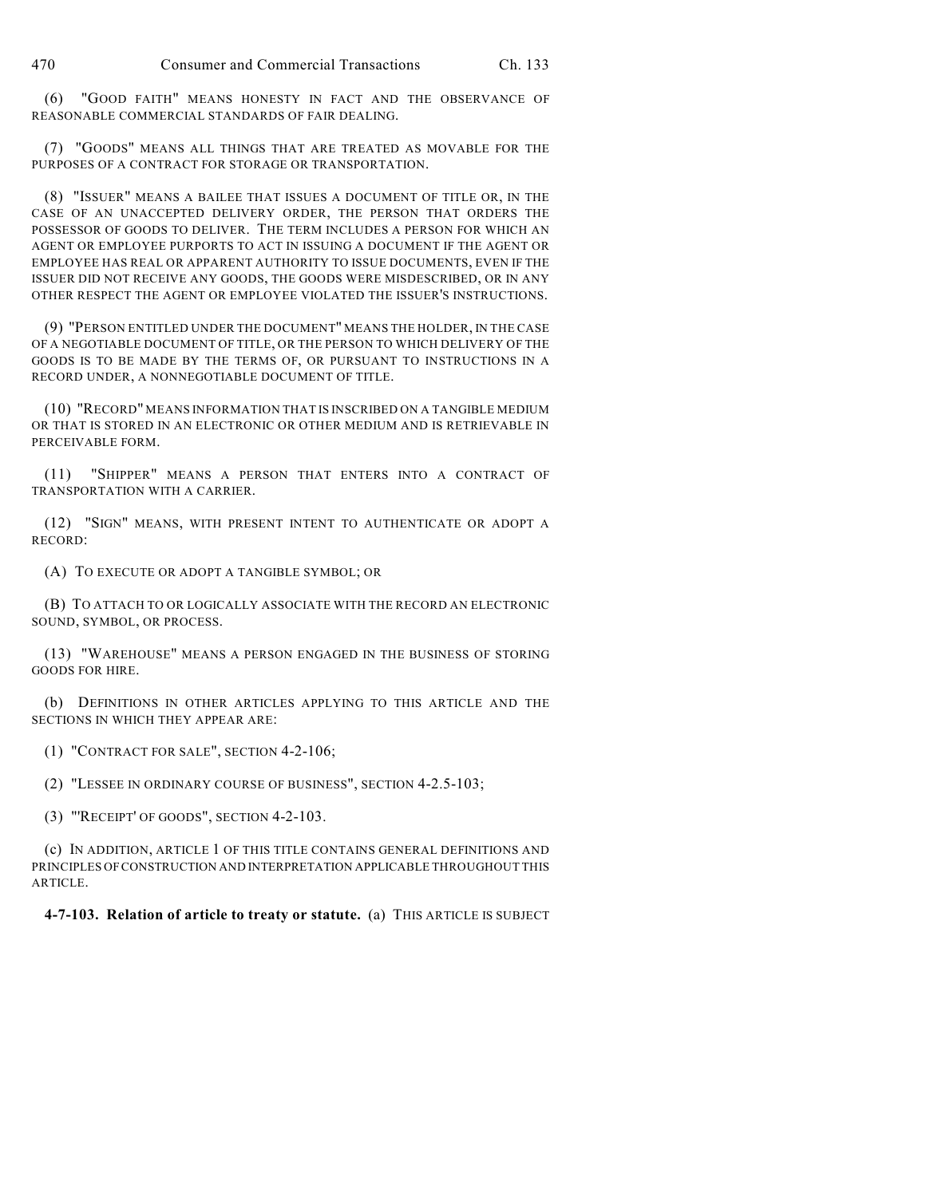(6) "GOOD FAITH" MEANS HONESTY IN FACT AND THE OBSERVANCE OF REASONABLE COMMERCIAL STANDARDS OF FAIR DEALING.

(7) "GOODS" MEANS ALL THINGS THAT ARE TREATED AS MOVABLE FOR THE PURPOSES OF A CONTRACT FOR STORAGE OR TRANSPORTATION.

(8) "ISSUER" MEANS A BAILEE THAT ISSUES A DOCUMENT OF TITLE OR, IN THE CASE OF AN UNACCEPTED DELIVERY ORDER, THE PERSON THAT ORDERS THE POSSESSOR OF GOODS TO DELIVER. THE TERM INCLUDES A PERSON FOR WHICH AN AGENT OR EMPLOYEE PURPORTS TO ACT IN ISSUING A DOCUMENT IF THE AGENT OR EMPLOYEE HAS REAL OR APPARENT AUTHORITY TO ISSUE DOCUMENTS, EVEN IF THE ISSUER DID NOT RECEIVE ANY GOODS, THE GOODS WERE MISDESCRIBED, OR IN ANY OTHER RESPECT THE AGENT OR EMPLOYEE VIOLATED THE ISSUER'S INSTRUCTIONS.

(9) "PERSON ENTITLED UNDER THE DOCUMENT" MEANS THE HOLDER, IN THE CASE OF A NEGOTIABLE DOCUMENT OF TITLE, OR THE PERSON TO WHICH DELIVERY OF THE GOODS IS TO BE MADE BY THE TERMS OF, OR PURSUANT TO INSTRUCTIONS IN A RECORD UNDER, A NONNEGOTIABLE DOCUMENT OF TITLE.

(10) "RECORD" MEANS INFORMATION THAT IS INSCRIBED ON A TANGIBLE MEDIUM OR THAT IS STORED IN AN ELECTRONIC OR OTHER MEDIUM AND IS RETRIEVABLE IN PERCEIVABLE FORM.

(11) "SHIPPER" MEANS A PERSON THAT ENTERS INTO A CONTRACT OF TRANSPORTATION WITH A CARRIER.

(12) "SIGN" MEANS, WITH PRESENT INTENT TO AUTHENTICATE OR ADOPT A RECORD:

(A) TO EXECUTE OR ADOPT A TANGIBLE SYMBOL; OR

(B) TO ATTACH TO OR LOGICALLY ASSOCIATE WITH THE RECORD AN ELECTRONIC SOUND, SYMBOL, OR PROCESS.

(13) "WAREHOUSE" MEANS A PERSON ENGAGED IN THE BUSINESS OF STORING GOODS FOR HIRE.

(b) DEFINITIONS IN OTHER ARTICLES APPLYING TO THIS ARTICLE AND THE SECTIONS IN WHICH THEY APPEAR ARE:

(1) "CONTRACT FOR SALE", SECTION 4-2-106;

(2) "LESSEE IN ORDINARY COURSE OF BUSINESS", SECTION 4-2.5-103;

(3) "'RECEIPT' OF GOODS", SECTION 4-2-103.

(c) IN ADDITION, ARTICLE 1 OF THIS TITLE CONTAINS GENERAL DEFINITIONS AND PRINCIPLES OF CONSTRUCTION AND INTERPRETATION APPLICABLE THROUGHOUT THIS ARTICLE.

#### **4-7-103. Relation of article to treaty or statute.** (a) THIS ARTICLE IS SUBJECT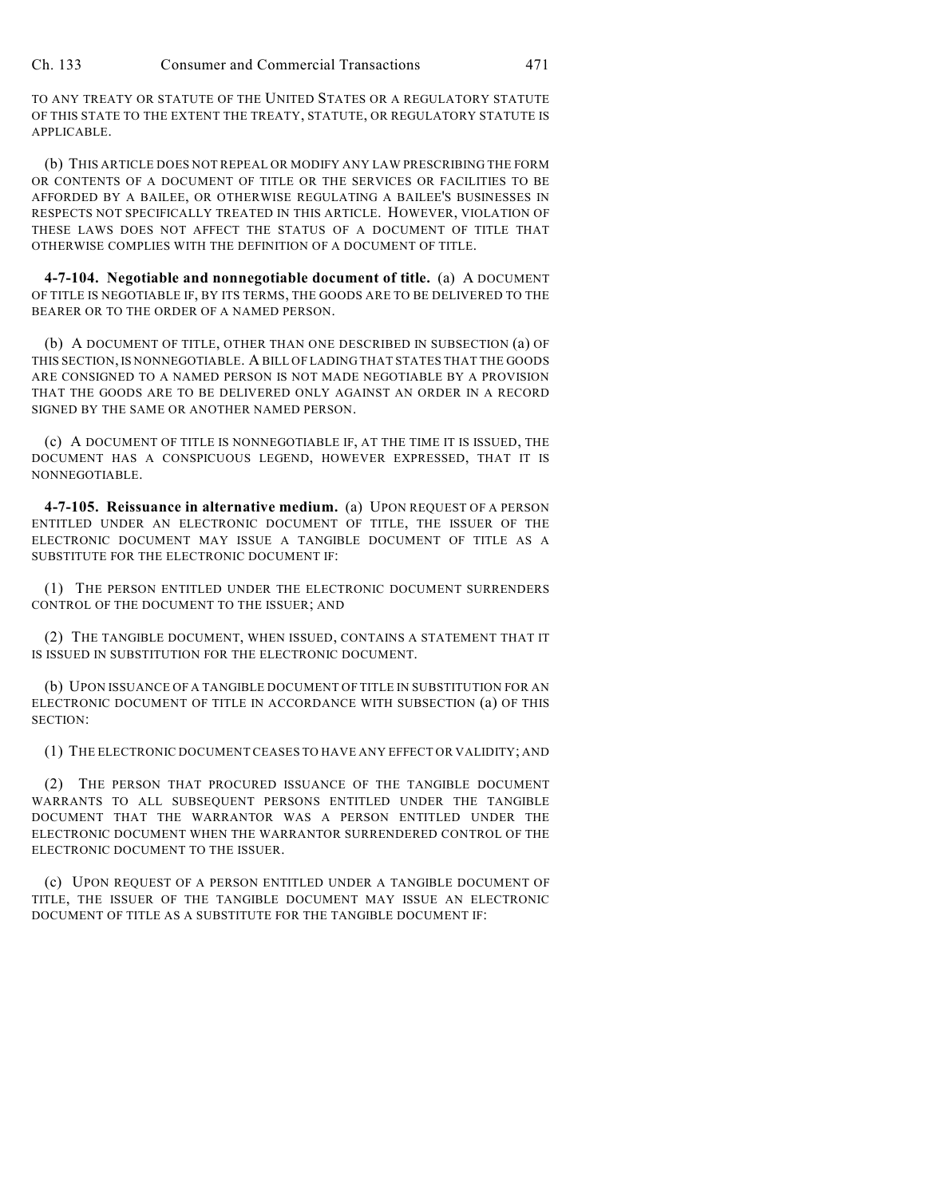TO ANY TREATY OR STATUTE OF THE UNITED STATES OR A REGULATORY STATUTE OF THIS STATE TO THE EXTENT THE TREATY, STATUTE, OR REGULATORY STATUTE IS APPLICABLE.

(b) THIS ARTICLE DOES NOT REPEAL OR MODIFY ANY LAW PRESCRIBING THE FORM OR CONTENTS OF A DOCUMENT OF TITLE OR THE SERVICES OR FACILITIES TO BE AFFORDED BY A BAILEE, OR OTHERWISE REGULATING A BAILEE'S BUSINESSES IN RESPECTS NOT SPECIFICALLY TREATED IN THIS ARTICLE. HOWEVER, VIOLATION OF THESE LAWS DOES NOT AFFECT THE STATUS OF A DOCUMENT OF TITLE THAT OTHERWISE COMPLIES WITH THE DEFINITION OF A DOCUMENT OF TITLE.

**4-7-104. Negotiable and nonnegotiable document of title.** (a) A DOCUMENT OF TITLE IS NEGOTIABLE IF, BY ITS TERMS, THE GOODS ARE TO BE DELIVERED TO THE BEARER OR TO THE ORDER OF A NAMED PERSON.

(b) A DOCUMENT OF TITLE, OTHER THAN ONE DESCRIBED IN SUBSECTION (a) OF THIS SECTION, IS NONNEGOTIABLE. A BILL OF LADING THAT STATES THAT THE GOODS ARE CONSIGNED TO A NAMED PERSON IS NOT MADE NEGOTIABLE BY A PROVISION THAT THE GOODS ARE TO BE DELIVERED ONLY AGAINST AN ORDER IN A RECORD SIGNED BY THE SAME OR ANOTHER NAMED PERSON.

(c) A DOCUMENT OF TITLE IS NONNEGOTIABLE IF, AT THE TIME IT IS ISSUED, THE DOCUMENT HAS A CONSPICUOUS LEGEND, HOWEVER EXPRESSED, THAT IT IS NONNEGOTIABLE.

**4-7-105. Reissuance in alternative medium.** (a) UPON REQUEST OF A PERSON ENTITLED UNDER AN ELECTRONIC DOCUMENT OF TITLE, THE ISSUER OF THE ELECTRONIC DOCUMENT MAY ISSUE A TANGIBLE DOCUMENT OF TITLE AS A SUBSTITUTE FOR THE ELECTRONIC DOCUMENT IF:

(1) THE PERSON ENTITLED UNDER THE ELECTRONIC DOCUMENT SURRENDERS CONTROL OF THE DOCUMENT TO THE ISSUER; AND

(2) THE TANGIBLE DOCUMENT, WHEN ISSUED, CONTAINS A STATEMENT THAT IT IS ISSUED IN SUBSTITUTION FOR THE ELECTRONIC DOCUMENT.

(b) UPON ISSUANCE OF A TANGIBLE DOCUMENT OF TITLE IN SUBSTITUTION FOR AN ELECTRONIC DOCUMENT OF TITLE IN ACCORDANCE WITH SUBSECTION (a) OF THIS SECTION:

(1) THE ELECTRONIC DOCUMENT CEASES TO HAVE ANY EFFECT OR VALIDITY; AND

(2) THE PERSON THAT PROCURED ISSUANCE OF THE TANGIBLE DOCUMENT WARRANTS TO ALL SUBSEQUENT PERSONS ENTITLED UNDER THE TANGIBLE DOCUMENT THAT THE WARRANTOR WAS A PERSON ENTITLED UNDER THE ELECTRONIC DOCUMENT WHEN THE WARRANTOR SURRENDERED CONTROL OF THE ELECTRONIC DOCUMENT TO THE ISSUER.

(c) UPON REQUEST OF A PERSON ENTITLED UNDER A TANGIBLE DOCUMENT OF TITLE, THE ISSUER OF THE TANGIBLE DOCUMENT MAY ISSUE AN ELECTRONIC DOCUMENT OF TITLE AS A SUBSTITUTE FOR THE TANGIBLE DOCUMENT IF: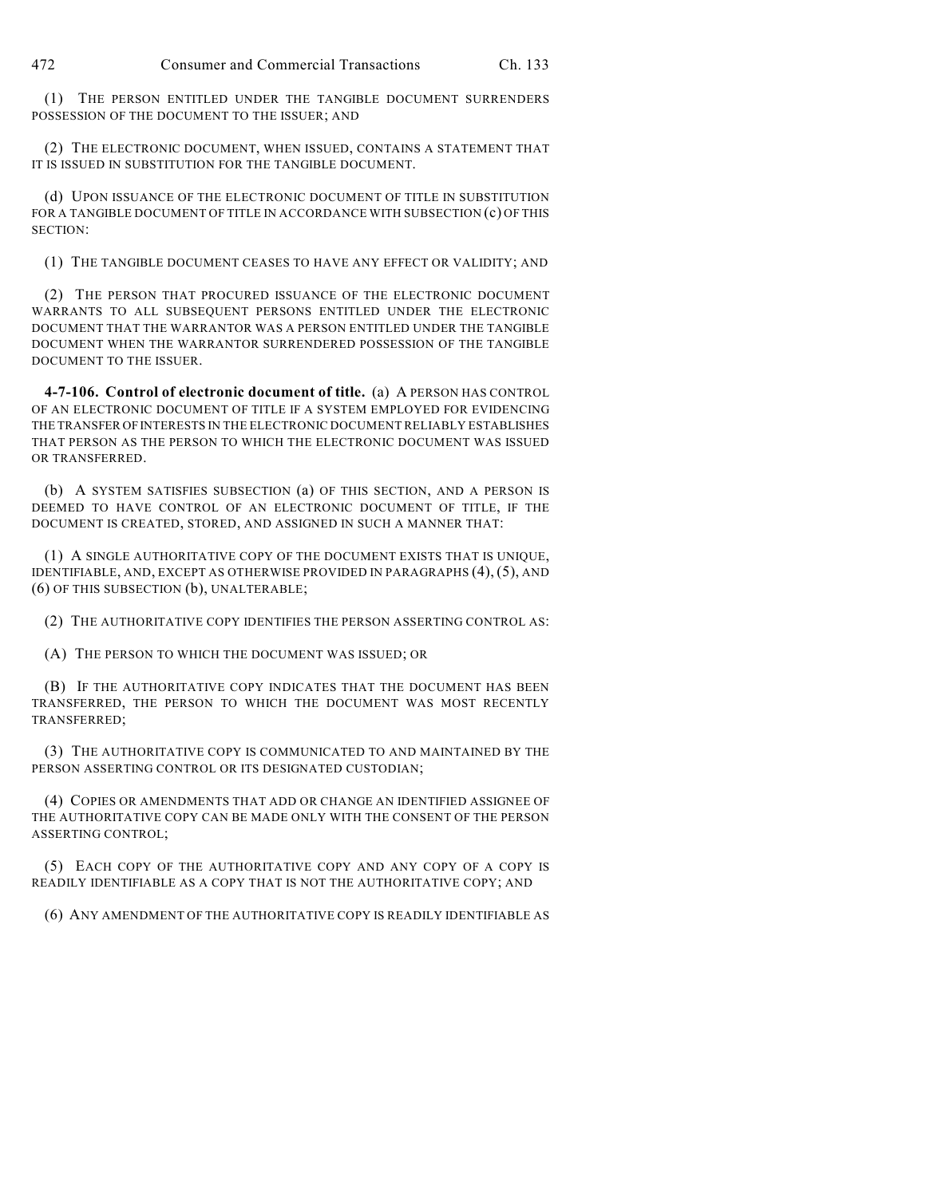(1) THE PERSON ENTITLED UNDER THE TANGIBLE DOCUMENT SURRENDERS POSSESSION OF THE DOCUMENT TO THE ISSUER; AND

(2) THE ELECTRONIC DOCUMENT, WHEN ISSUED, CONTAINS A STATEMENT THAT IT IS ISSUED IN SUBSTITUTION FOR THE TANGIBLE DOCUMENT.

(d) UPON ISSUANCE OF THE ELECTRONIC DOCUMENT OF TITLE IN SUBSTITUTION FOR A TANGIBLE DOCUMENT OF TITLE IN ACCORDANCE WITH SUBSECTION (c) OF THIS SECTION:

(1) THE TANGIBLE DOCUMENT CEASES TO HAVE ANY EFFECT OR VALIDITY; AND

(2) THE PERSON THAT PROCURED ISSUANCE OF THE ELECTRONIC DOCUMENT WARRANTS TO ALL SUBSEQUENT PERSONS ENTITLED UNDER THE ELECTRONIC DOCUMENT THAT THE WARRANTOR WAS A PERSON ENTITLED UNDER THE TANGIBLE DOCUMENT WHEN THE WARRANTOR SURRENDERED POSSESSION OF THE TANGIBLE DOCUMENT TO THE ISSUER.

**4-7-106. Control of electronic document of title.** (a) A PERSON HAS CONTROL OF AN ELECTRONIC DOCUMENT OF TITLE IF A SYSTEM EMPLOYED FOR EVIDENCING THE TRANSFER OF INTERESTS IN THE ELECTRONIC DOCUMENT RELIABLY ESTABLISHES THAT PERSON AS THE PERSON TO WHICH THE ELECTRONIC DOCUMENT WAS ISSUED OR TRANSFERRED.

(b) A SYSTEM SATISFIES SUBSECTION (a) OF THIS SECTION, AND A PERSON IS DEEMED TO HAVE CONTROL OF AN ELECTRONIC DOCUMENT OF TITLE, IF THE DOCUMENT IS CREATED, STORED, AND ASSIGNED IN SUCH A MANNER THAT:

(1) A SINGLE AUTHORITATIVE COPY OF THE DOCUMENT EXISTS THAT IS UNIQUE, IDENTIFIABLE, AND, EXCEPT AS OTHERWISE PROVIDED IN PARAGRAPHS (4), (5), AND (6) OF THIS SUBSECTION (b), UNALTERABLE;

(2) THE AUTHORITATIVE COPY IDENTIFIES THE PERSON ASSERTING CONTROL AS:

(A) THE PERSON TO WHICH THE DOCUMENT WAS ISSUED; OR

(B) IF THE AUTHORITATIVE COPY INDICATES THAT THE DOCUMENT HAS BEEN TRANSFERRED, THE PERSON TO WHICH THE DOCUMENT WAS MOST RECENTLY TRANSFERRED;

(3) THE AUTHORITATIVE COPY IS COMMUNICATED TO AND MAINTAINED BY THE PERSON ASSERTING CONTROL OR ITS DESIGNATED CUSTODIAN;

(4) COPIES OR AMENDMENTS THAT ADD OR CHANGE AN IDENTIFIED ASSIGNEE OF THE AUTHORITATIVE COPY CAN BE MADE ONLY WITH THE CONSENT OF THE PERSON ASSERTING CONTROL;

(5) EACH COPY OF THE AUTHORITATIVE COPY AND ANY COPY OF A COPY IS READILY IDENTIFIABLE AS A COPY THAT IS NOT THE AUTHORITATIVE COPY; AND

(6) ANY AMENDMENT OF THE AUTHORITATIVE COPY IS READILY IDENTIFIABLE AS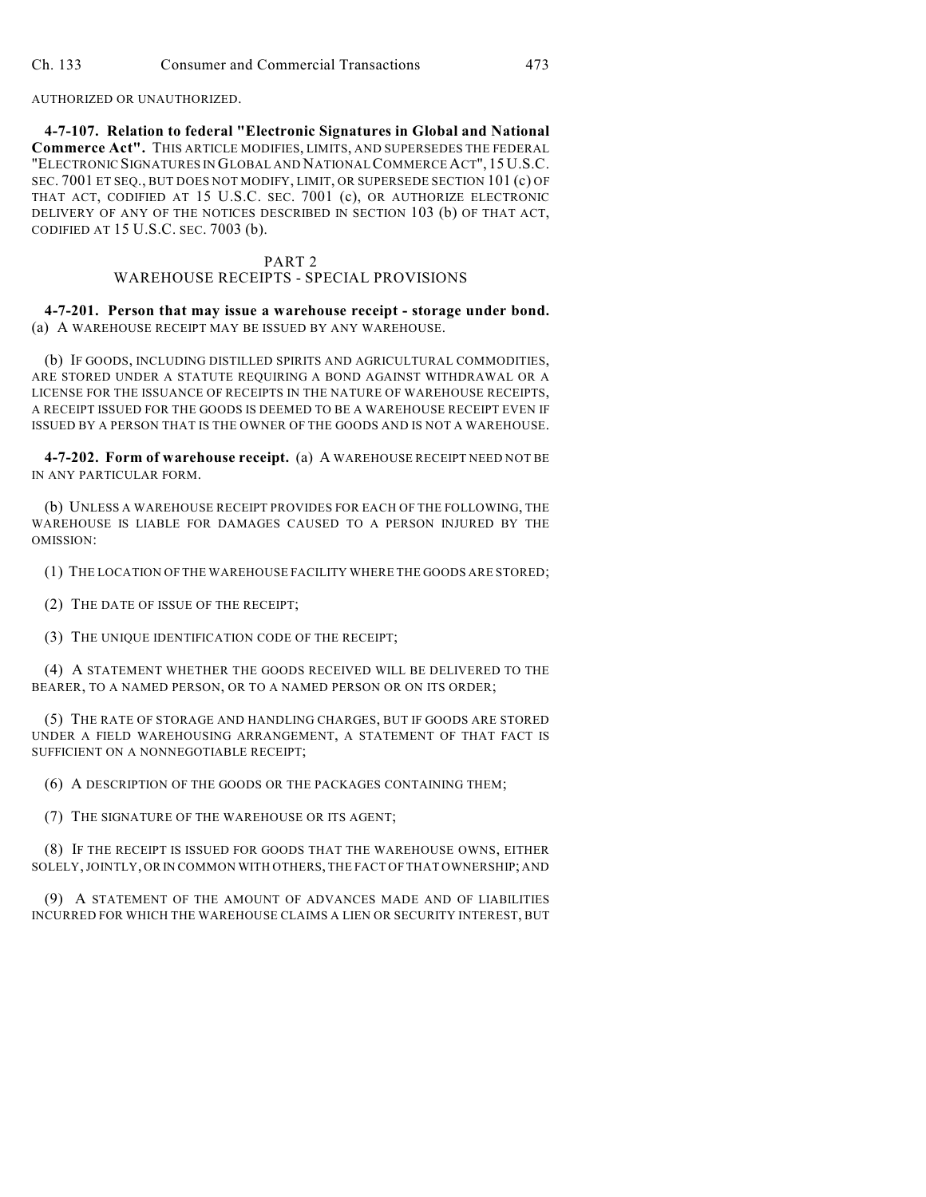AUTHORIZED OR UNAUTHORIZED.

**4-7-107. Relation to federal "Electronic Signatures in Global and National Commerce Act".** THIS ARTICLE MODIFIES, LIMITS, AND SUPERSEDES THE FEDERAL "ELECTRONIC SIGNATURES IN GLOBAL AND NATIONAL COMMERCE ACT", 15 U.S.C. SEC. 7001 ET SEQ., BUT DOES NOT MODIFY, LIMIT, OR SUPERSEDE SECTION 101 (c) OF THAT ACT, CODIFIED AT 15 U.S.C. SEC. 7001 (c), OR AUTHORIZE ELECTRONIC DELIVERY OF ANY OF THE NOTICES DESCRIBED IN SECTION 103 (b) OF THAT ACT, CODIFIED AT 15 U.S.C. SEC. 7003 (b).

#### PART 2

## WAREHOUSE RECEIPTS - SPECIAL PROVISIONS

**4-7-201. Person that may issue a warehouse receipt - storage under bond.** (a) A WAREHOUSE RECEIPT MAY BE ISSUED BY ANY WAREHOUSE.

(b) IF GOODS, INCLUDING DISTILLED SPIRITS AND AGRICULTURAL COMMODITIES, ARE STORED UNDER A STATUTE REQUIRING A BOND AGAINST WITHDRAWAL OR A LICENSE FOR THE ISSUANCE OF RECEIPTS IN THE NATURE OF WAREHOUSE RECEIPTS, A RECEIPT ISSUED FOR THE GOODS IS DEEMED TO BE A WAREHOUSE RECEIPT EVEN IF ISSUED BY A PERSON THAT IS THE OWNER OF THE GOODS AND IS NOT A WAREHOUSE.

**4-7-202. Form of warehouse receipt.** (a) A WAREHOUSE RECEIPT NEED NOT BE IN ANY PARTICULAR FORM.

(b) UNLESS A WAREHOUSE RECEIPT PROVIDES FOR EACH OF THE FOLLOWING, THE WAREHOUSE IS LIABLE FOR DAMAGES CAUSED TO A PERSON INJURED BY THE OMISSION:

(1) THE LOCATION OF THE WAREHOUSE FACILITY WHERE THE GOODS ARE STORED;

(2) THE DATE OF ISSUE OF THE RECEIPT;

(3) THE UNIQUE IDENTIFICATION CODE OF THE RECEIPT;

(4) A STATEMENT WHETHER THE GOODS RECEIVED WILL BE DELIVERED TO THE BEARER, TO A NAMED PERSON, OR TO A NAMED PERSON OR ON ITS ORDER;

(5) THE RATE OF STORAGE AND HANDLING CHARGES, BUT IF GOODS ARE STORED UNDER A FIELD WAREHOUSING ARRANGEMENT, A STATEMENT OF THAT FACT IS SUFFICIENT ON A NONNEGOTIABLE RECEIPT;

(6) A DESCRIPTION OF THE GOODS OR THE PACKAGES CONTAINING THEM;

(7) THE SIGNATURE OF THE WAREHOUSE OR ITS AGENT;

(8) IF THE RECEIPT IS ISSUED FOR GOODS THAT THE WAREHOUSE OWNS, EITHER SOLELY, JOINTLY, OR IN COMMON WITH OTHERS, THE FACT OF THAT OWNERSHIP; AND

(9) A STATEMENT OF THE AMOUNT OF ADVANCES MADE AND OF LIABILITIES INCURRED FOR WHICH THE WAREHOUSE CLAIMS A LIEN OR SECURITY INTEREST, BUT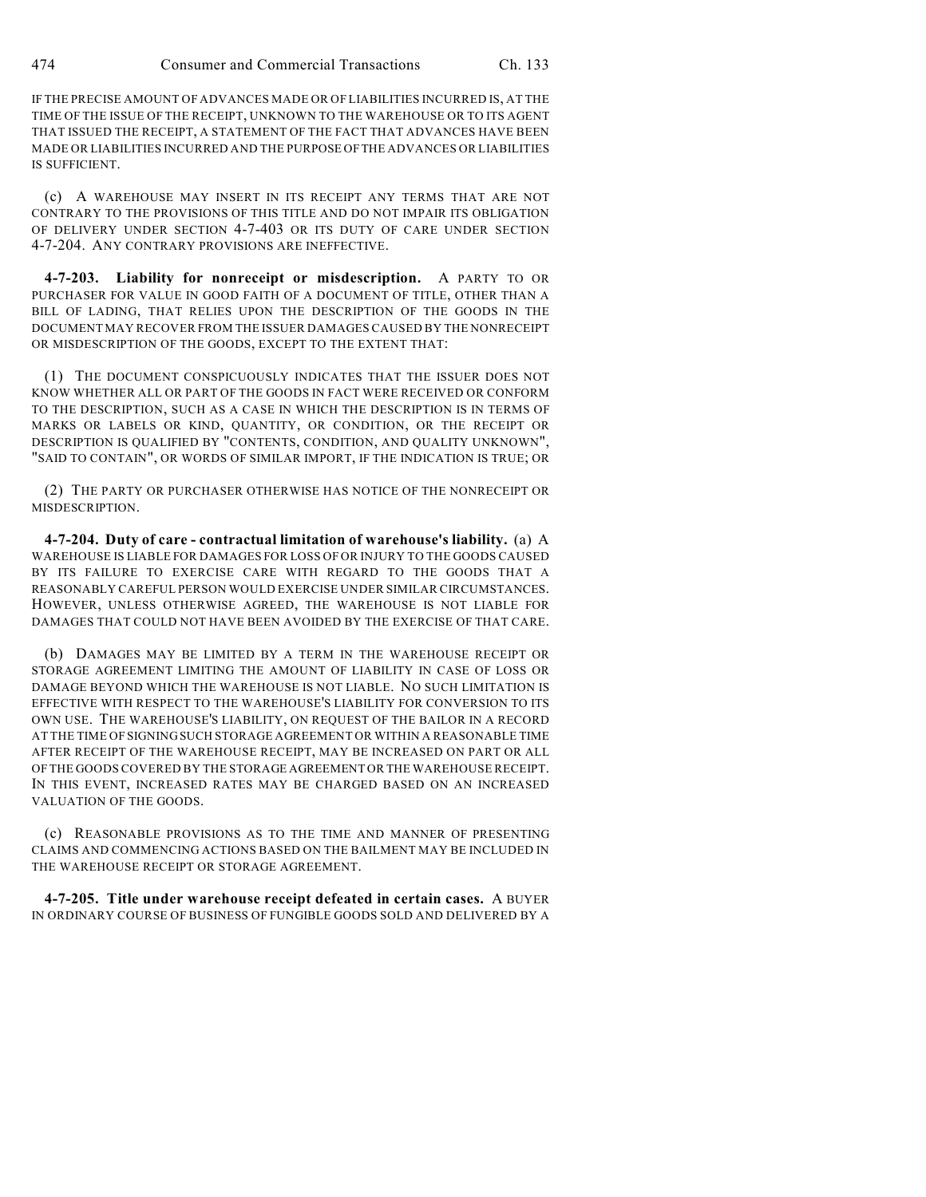IF THE PRECISE AMOUNT OF ADVANCES MADE OR OF LIABILITIES INCURRED IS, AT THE TIME OF THE ISSUE OF THE RECEIPT, UNKNOWN TO THE WAREHOUSE OR TO ITS AGENT THAT ISSUED THE RECEIPT, A STATEMENT OF THE FACT THAT ADVANCES HAVE BEEN MADE OR LIABILITIES INCURRED AND THE PURPOSE OF THE ADVANCES OR LIABILITIES IS SUFFICIENT.

(c) A WAREHOUSE MAY INSERT IN ITS RECEIPT ANY TERMS THAT ARE NOT CONTRARY TO THE PROVISIONS OF THIS TITLE AND DO NOT IMPAIR ITS OBLIGATION OF DELIVERY UNDER SECTION 4-7-403 OR ITS DUTY OF CARE UNDER SECTION 4-7-204. ANY CONTRARY PROVISIONS ARE INEFFECTIVE.

**4-7-203. Liability for nonreceipt or misdescription.** A PARTY TO OR PURCHASER FOR VALUE IN GOOD FAITH OF A DOCUMENT OF TITLE, OTHER THAN A BILL OF LADING, THAT RELIES UPON THE DESCRIPTION OF THE GOODS IN THE DOCUMENT MAY RECOVER FROM THE ISSUER DAMAGES CAUSED BY THE NONRECEIPT OR MISDESCRIPTION OF THE GOODS, EXCEPT TO THE EXTENT THAT:

(1) THE DOCUMENT CONSPICUOUSLY INDICATES THAT THE ISSUER DOES NOT KNOW WHETHER ALL OR PART OF THE GOODS IN FACT WERE RECEIVED OR CONFORM TO THE DESCRIPTION, SUCH AS A CASE IN WHICH THE DESCRIPTION IS IN TERMS OF MARKS OR LABELS OR KIND, QUANTITY, OR CONDITION, OR THE RECEIPT OR DESCRIPTION IS QUALIFIED BY "CONTENTS, CONDITION, AND QUALITY UNKNOWN", "SAID TO CONTAIN", OR WORDS OF SIMILAR IMPORT, IF THE INDICATION IS TRUE; OR

(2) THE PARTY OR PURCHASER OTHERWISE HAS NOTICE OF THE NONRECEIPT OR MISDESCRIPTION.

**4-7-204. Duty of care - contractual limitation of warehouse's liability.** (a) A WAREHOUSE IS LIABLE FOR DAMAGES FOR LOSS OF OR INJURY TO THE GOODS CAUSED BY ITS FAILURE TO EXERCISE CARE WITH REGARD TO THE GOODS THAT A REASONABLY CAREFUL PERSON WOULD EXERCISE UNDER SIMILAR CIRCUMSTANCES. HOWEVER, UNLESS OTHERWISE AGREED, THE WAREHOUSE IS NOT LIABLE FOR DAMAGES THAT COULD NOT HAVE BEEN AVOIDED BY THE EXERCISE OF THAT CARE.

(b) DAMAGES MAY BE LIMITED BY A TERM IN THE WAREHOUSE RECEIPT OR STORAGE AGREEMENT LIMITING THE AMOUNT OF LIABILITY IN CASE OF LOSS OR DAMAGE BEYOND WHICH THE WAREHOUSE IS NOT LIABLE. NO SUCH LIMITATION IS EFFECTIVE WITH RESPECT TO THE WAREHOUSE'S LIABILITY FOR CONVERSION TO ITS OWN USE. THE WAREHOUSE'S LIABILITY, ON REQUEST OF THE BAILOR IN A RECORD AT THE TIME OF SIGNING SUCH STORAGE AGREEMENT OR WITHIN A REASONABLE TIME AFTER RECEIPT OF THE WAREHOUSE RECEIPT, MAY BE INCREASED ON PART OR ALL OF THE GOODS COVERED BY THE STORAGE AGREEMENT OR THE WAREHOUSE RECEIPT. IN THIS EVENT, INCREASED RATES MAY BE CHARGED BASED ON AN INCREASED VALUATION OF THE GOODS.

(c) REASONABLE PROVISIONS AS TO THE TIME AND MANNER OF PRESENTING CLAIMS AND COMMENCING ACTIONS BASED ON THE BAILMENT MAY BE INCLUDED IN THE WAREHOUSE RECEIPT OR STORAGE AGREEMENT.

**4-7-205. Title under warehouse receipt defeated in certain cases.** A BUYER IN ORDINARY COURSE OF BUSINESS OF FUNGIBLE GOODS SOLD AND DELIVERED BY A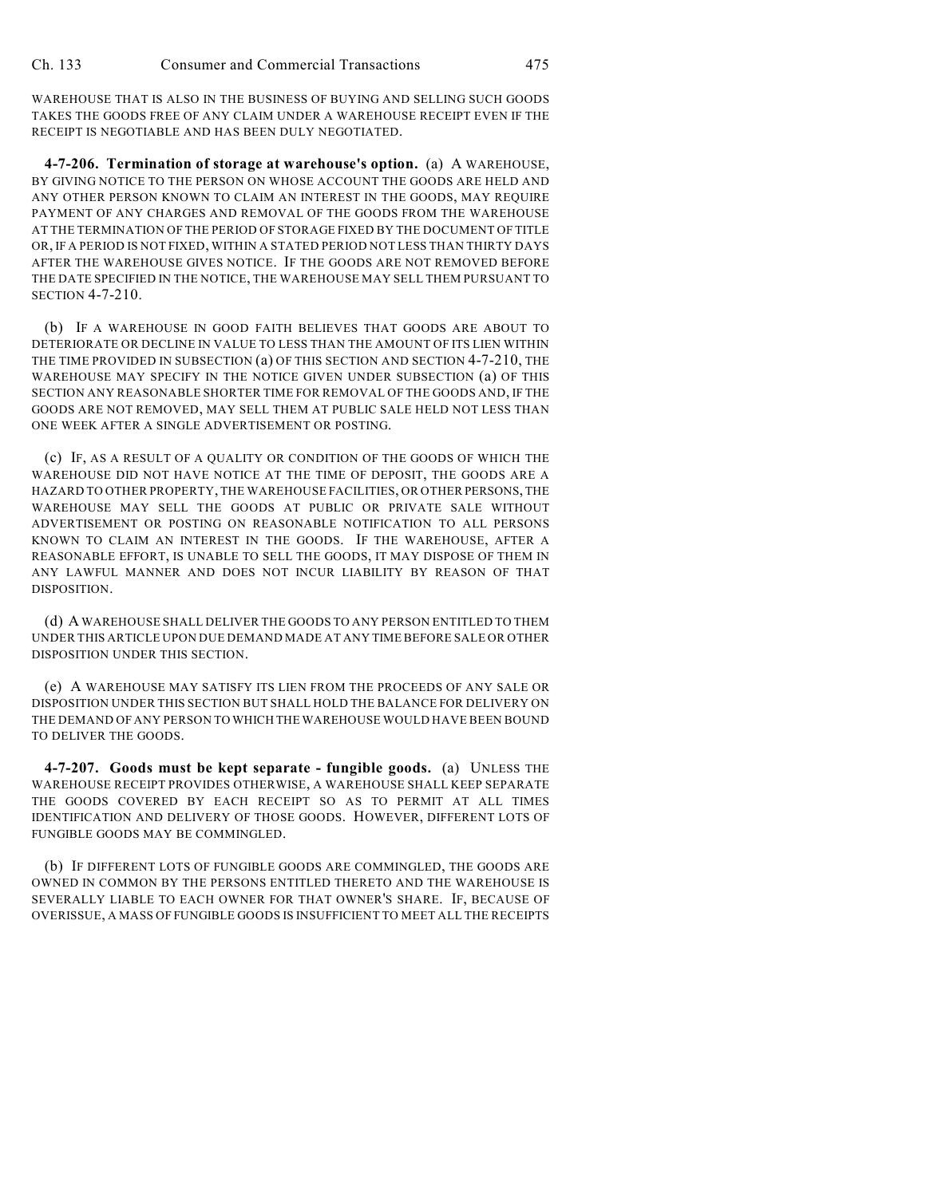WAREHOUSE THAT IS ALSO IN THE BUSINESS OF BUYING AND SELLING SUCH GOODS TAKES THE GOODS FREE OF ANY CLAIM UNDER A WAREHOUSE RECEIPT EVEN IF THE RECEIPT IS NEGOTIABLE AND HAS BEEN DULY NEGOTIATED.

**4-7-206. Termination of storage at warehouse's option.** (a) A WAREHOUSE, BY GIVING NOTICE TO THE PERSON ON WHOSE ACCOUNT THE GOODS ARE HELD AND ANY OTHER PERSON KNOWN TO CLAIM AN INTEREST IN THE GOODS, MAY REQUIRE PAYMENT OF ANY CHARGES AND REMOVAL OF THE GOODS FROM THE WAREHOUSE AT THE TERMINATION OF THE PERIOD OF STORAGE FIXED BY THE DOCUMENT OF TITLE OR, IF A PERIOD IS NOT FIXED, WITHIN A STATED PERIOD NOT LESS THAN THIRTY DAYS AFTER THE WAREHOUSE GIVES NOTICE. IF THE GOODS ARE NOT REMOVED BEFORE THE DATE SPECIFIED IN THE NOTICE, THE WAREHOUSE MAY SELL THEM PURSUANT TO SECTION 4-7-210.

(b) IF A WAREHOUSE IN GOOD FAITH BELIEVES THAT GOODS ARE ABOUT TO DETERIORATE OR DECLINE IN VALUE TO LESS THAN THE AMOUNT OF ITS LIEN WITHIN THE TIME PROVIDED IN SUBSECTION (a) OF THIS SECTION AND SECTION 4-7-210, THE WAREHOUSE MAY SPECIFY IN THE NOTICE GIVEN UNDER SUBSECTION (a) OF THIS SECTION ANY REASONABLE SHORTER TIME FOR REMOVAL OF THE GOODS AND, IF THE GOODS ARE NOT REMOVED, MAY SELL THEM AT PUBLIC SALE HELD NOT LESS THAN ONE WEEK AFTER A SINGLE ADVERTISEMENT OR POSTING.

(c) IF, AS A RESULT OF A QUALITY OR CONDITION OF THE GOODS OF WHICH THE WAREHOUSE DID NOT HAVE NOTICE AT THE TIME OF DEPOSIT, THE GOODS ARE A HAZARD TO OTHER PROPERTY, THE WAREHOUSE FACILITIES, OR OTHER PERSONS, THE WAREHOUSE MAY SELL THE GOODS AT PUBLIC OR PRIVATE SALE WITHOUT ADVERTISEMENT OR POSTING ON REASONABLE NOTIFICATION TO ALL PERSONS KNOWN TO CLAIM AN INTEREST IN THE GOODS. IF THE WAREHOUSE, AFTER A REASONABLE EFFORT, IS UNABLE TO SELL THE GOODS, IT MAY DISPOSE OF THEM IN ANY LAWFUL MANNER AND DOES NOT INCUR LIABILITY BY REASON OF THAT DISPOSITION.

(d) A WAREHOUSE SHALL DELIVER THE GOODS TO ANY PERSON ENTITLED TO THEM UNDER THIS ARTICLE UPON DUE DEMAND MADE AT ANY TIME BEFORE SALE OR OTHER DISPOSITION UNDER THIS SECTION.

(e) A WAREHOUSE MAY SATISFY ITS LIEN FROM THE PROCEEDS OF ANY SALE OR DISPOSITION UNDER THIS SECTION BUT SHALL HOLD THE BALANCE FOR DELIVERY ON THE DEMAND OF ANY PERSON TO WHICH THE WAREHOUSE WOULD HAVE BEEN BOUND TO DELIVER THE GOODS.

**4-7-207. Goods must be kept separate - fungible goods.** (a) UNLESS THE WAREHOUSE RECEIPT PROVIDES OTHERWISE, A WAREHOUSE SHALL KEEP SEPARATE THE GOODS COVERED BY EACH RECEIPT SO AS TO PERMIT AT ALL TIMES IDENTIFICATION AND DELIVERY OF THOSE GOODS. HOWEVER, DIFFERENT LOTS OF FUNGIBLE GOODS MAY BE COMMINGLED.

(b) IF DIFFERENT LOTS OF FUNGIBLE GOODS ARE COMMINGLED, THE GOODS ARE OWNED IN COMMON BY THE PERSONS ENTITLED THERETO AND THE WAREHOUSE IS SEVERALLY LIABLE TO EACH OWNER FOR THAT OWNER'S SHARE. IF, BECAUSE OF OVERISSUE, A MASS OF FUNGIBLE GOODS IS INSUFFICIENT TO MEET ALL THE RECEIPTS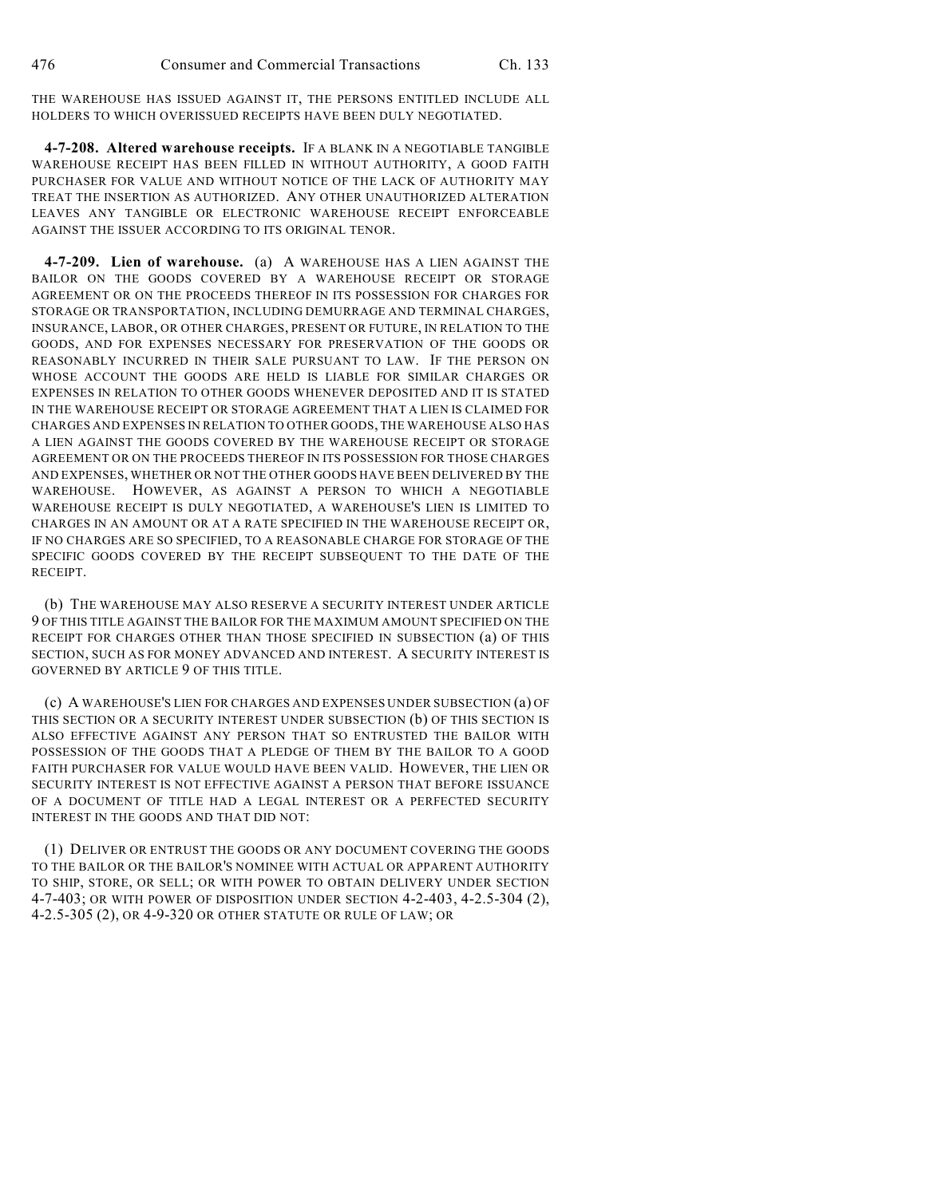THE WAREHOUSE HAS ISSUED AGAINST IT, THE PERSONS ENTITLED INCLUDE ALL HOLDERS TO WHICH OVERISSUED RECEIPTS HAVE BEEN DULY NEGOTIATED.

**4-7-208. Altered warehouse receipts.** IF A BLANK IN A NEGOTIABLE TANGIBLE WAREHOUSE RECEIPT HAS BEEN FILLED IN WITHOUT AUTHORITY, A GOOD FAITH PURCHASER FOR VALUE AND WITHOUT NOTICE OF THE LACK OF AUTHORITY MAY TREAT THE INSERTION AS AUTHORIZED. ANY OTHER UNAUTHORIZED ALTERATION LEAVES ANY TANGIBLE OR ELECTRONIC WAREHOUSE RECEIPT ENFORCEABLE AGAINST THE ISSUER ACCORDING TO ITS ORIGINAL TENOR.

**4-7-209. Lien of warehouse.** (a) A WAREHOUSE HAS A LIEN AGAINST THE BAILOR ON THE GOODS COVERED BY A WAREHOUSE RECEIPT OR STORAGE AGREEMENT OR ON THE PROCEEDS THEREOF IN ITS POSSESSION FOR CHARGES FOR STORAGE OR TRANSPORTATION, INCLUDING DEMURRAGE AND TERMINAL CHARGES, INSURANCE, LABOR, OR OTHER CHARGES, PRESENT OR FUTURE, IN RELATION TO THE GOODS, AND FOR EXPENSES NECESSARY FOR PRESERVATION OF THE GOODS OR REASONABLY INCURRED IN THEIR SALE PURSUANT TO LAW. IF THE PERSON ON WHOSE ACCOUNT THE GOODS ARE HELD IS LIABLE FOR SIMILAR CHARGES OR EXPENSES IN RELATION TO OTHER GOODS WHENEVER DEPOSITED AND IT IS STATED IN THE WAREHOUSE RECEIPT OR STORAGE AGREEMENT THAT A LIEN IS CLAIMED FOR CHARGES AND EXPENSES IN RELATION TO OTHER GOODS, THE WAREHOUSE ALSO HAS A LIEN AGAINST THE GOODS COVERED BY THE WAREHOUSE RECEIPT OR STORAGE AGREEMENT OR ON THE PROCEEDS THEREOF IN ITS POSSESSION FOR THOSE CHARGES AND EXPENSES, WHETHER OR NOT THE OTHER GOODS HAVE BEEN DELIVERED BY THE WAREHOUSE. HOWEVER, AS AGAINST A PERSON TO WHICH A NEGOTIABLE WAREHOUSE RECEIPT IS DULY NEGOTIATED, A WAREHOUSE'S LIEN IS LIMITED TO CHARGES IN AN AMOUNT OR AT A RATE SPECIFIED IN THE WAREHOUSE RECEIPT OR, IF NO CHARGES ARE SO SPECIFIED, TO A REASONABLE CHARGE FOR STORAGE OF THE SPECIFIC GOODS COVERED BY THE RECEIPT SUBSEQUENT TO THE DATE OF THE RECEIPT.

(b) THE WAREHOUSE MAY ALSO RESERVE A SECURITY INTEREST UNDER ARTICLE 9 OF THIS TITLE AGAINST THE BAILOR FOR THE MAXIMUM AMOUNT SPECIFIED ON THE RECEIPT FOR CHARGES OTHER THAN THOSE SPECIFIED IN SUBSECTION (a) OF THIS SECTION, SUCH AS FOR MONEY ADVANCED AND INTEREST. A SECURITY INTEREST IS GOVERNED BY ARTICLE 9 OF THIS TITLE.

(c) A WAREHOUSE'S LIEN FOR CHARGES AND EXPENSES UNDER SUBSECTION (a) OF THIS SECTION OR A SECURITY INTEREST UNDER SUBSECTION (b) OF THIS SECTION IS ALSO EFFECTIVE AGAINST ANY PERSON THAT SO ENTRUSTED THE BAILOR WITH POSSESSION OF THE GOODS THAT A PLEDGE OF THEM BY THE BAILOR TO A GOOD FAITH PURCHASER FOR VALUE WOULD HAVE BEEN VALID. HOWEVER, THE LIEN OR SECURITY INTEREST IS NOT EFFECTIVE AGAINST A PERSON THAT BEFORE ISSUANCE OF A DOCUMENT OF TITLE HAD A LEGAL INTEREST OR A PERFECTED SECURITY INTEREST IN THE GOODS AND THAT DID NOT:

(1) DELIVER OR ENTRUST THE GOODS OR ANY DOCUMENT COVERING THE GOODS TO THE BAILOR OR THE BAILOR'S NOMINEE WITH ACTUAL OR APPARENT AUTHORITY TO SHIP, STORE, OR SELL; OR WITH POWER TO OBTAIN DELIVERY UNDER SECTION 4-7-403; OR WITH POWER OF DISPOSITION UNDER SECTION 4-2-403, 4-2.5-304 (2), 4-2.5-305 (2), OR 4-9-320 OR OTHER STATUTE OR RULE OF LAW; OR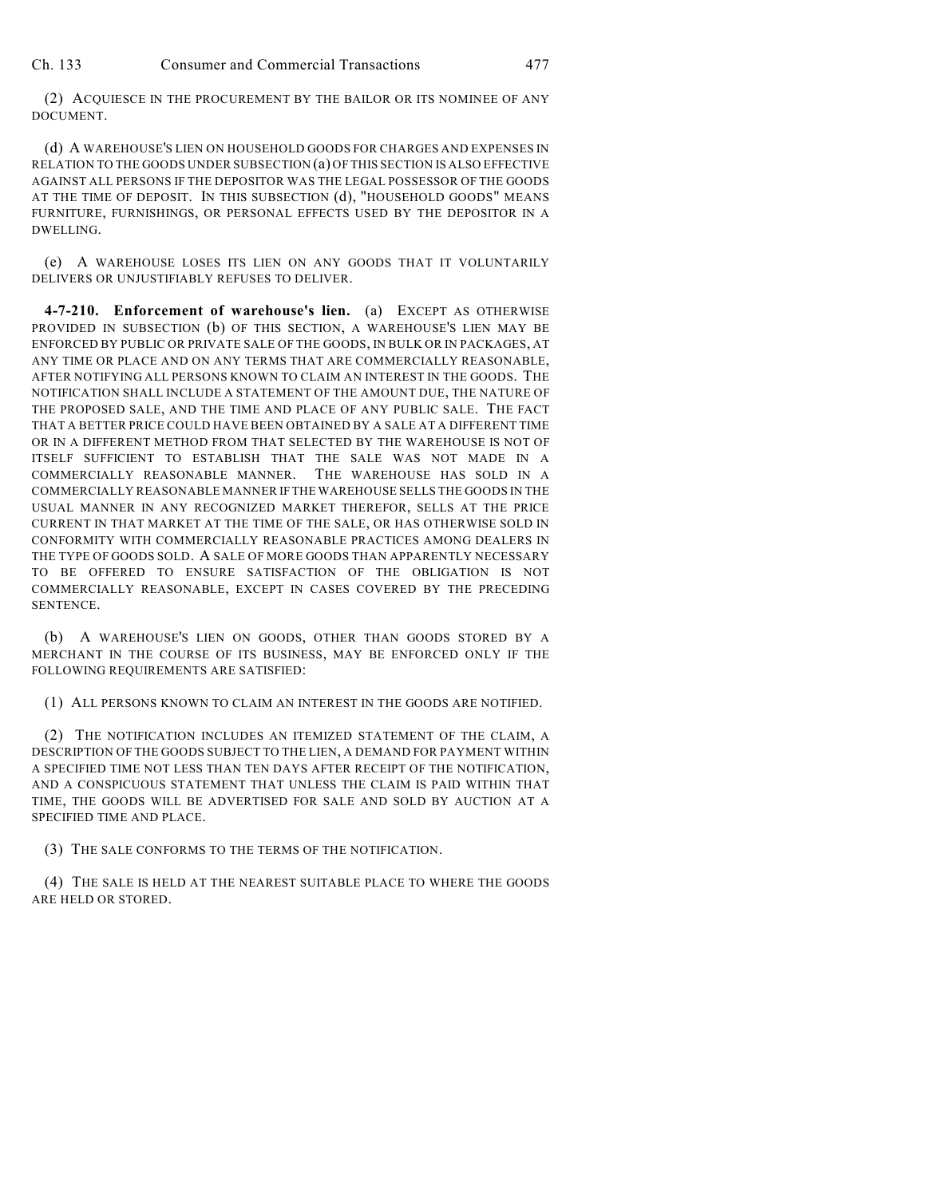(2) ACQUIESCE IN THE PROCUREMENT BY THE BAILOR OR ITS NOMINEE OF ANY DOCUMENT.

(d) A WAREHOUSE'S LIEN ON HOUSEHOLD GOODS FOR CHARGES AND EXPENSES IN RELATION TO THE GOODS UNDER SUBSECTION (a) OF THIS SECTION IS ALSO EFFECTIVE AGAINST ALL PERSONS IF THE DEPOSITOR WAS THE LEGAL POSSESSOR OF THE GOODS AT THE TIME OF DEPOSIT. IN THIS SUBSECTION (d), "HOUSEHOLD GOODS" MEANS FURNITURE, FURNISHINGS, OR PERSONAL EFFECTS USED BY THE DEPOSITOR IN A DWELLING.

(e) A WAREHOUSE LOSES ITS LIEN ON ANY GOODS THAT IT VOLUNTARILY DELIVERS OR UNJUSTIFIABLY REFUSES TO DELIVER.

**4-7-210. Enforcement of warehouse's lien.** (a) EXCEPT AS OTHERWISE PROVIDED IN SUBSECTION (b) OF THIS SECTION, A WAREHOUSE'S LIEN MAY BE ENFORCED BY PUBLIC OR PRIVATE SALE OF THE GOODS, IN BULK OR IN PACKAGES, AT ANY TIME OR PLACE AND ON ANY TERMS THAT ARE COMMERCIALLY REASONABLE, AFTER NOTIFYING ALL PERSONS KNOWN TO CLAIM AN INTEREST IN THE GOODS. THE NOTIFICATION SHALL INCLUDE A STATEMENT OF THE AMOUNT DUE, THE NATURE OF THE PROPOSED SALE, AND THE TIME AND PLACE OF ANY PUBLIC SALE. THE FACT THAT A BETTER PRICE COULD HAVE BEEN OBTAINED BY A SALE AT A DIFFERENT TIME OR IN A DIFFERENT METHOD FROM THAT SELECTED BY THE WAREHOUSE IS NOT OF ITSELF SUFFICIENT TO ESTABLISH THAT THE SALE WAS NOT MADE IN A COMMERCIALLY REASONABLE MANNER. THE WAREHOUSE HAS SOLD IN A COMMERCIALLY REASONABLE MANNER IF THE WAREHOUSE SELLS THE GOODS IN THE USUAL MANNER IN ANY RECOGNIZED MARKET THEREFOR, SELLS AT THE PRICE CURRENT IN THAT MARKET AT THE TIME OF THE SALE, OR HAS OTHERWISE SOLD IN CONFORMITY WITH COMMERCIALLY REASONABLE PRACTICES AMONG DEALERS IN THE TYPE OF GOODS SOLD. A SALE OF MORE GOODS THAN APPARENTLY NECESSARY TO BE OFFERED TO ENSURE SATISFACTION OF THE OBLIGATION IS NOT COMMERCIALLY REASONABLE, EXCEPT IN CASES COVERED BY THE PRECEDING SENTENCE.

(b) A WAREHOUSE'S LIEN ON GOODS, OTHER THAN GOODS STORED BY A MERCHANT IN THE COURSE OF ITS BUSINESS, MAY BE ENFORCED ONLY IF THE FOLLOWING REQUIREMENTS ARE SATISFIED:

(1) ALL PERSONS KNOWN TO CLAIM AN INTEREST IN THE GOODS ARE NOTIFIED.

(2) THE NOTIFICATION INCLUDES AN ITEMIZED STATEMENT OF THE CLAIM, A DESCRIPTION OF THE GOODS SUBJECT TO THE LIEN, A DEMAND FOR PAYMENT WITHIN A SPECIFIED TIME NOT LESS THAN TEN DAYS AFTER RECEIPT OF THE NOTIFICATION, AND A CONSPICUOUS STATEMENT THAT UNLESS THE CLAIM IS PAID WITHIN THAT TIME, THE GOODS WILL BE ADVERTISED FOR SALE AND SOLD BY AUCTION AT A SPECIFIED TIME AND PLACE.

(3) THE SALE CONFORMS TO THE TERMS OF THE NOTIFICATION.

(4) THE SALE IS HELD AT THE NEAREST SUITABLE PLACE TO WHERE THE GOODS ARE HELD OR STORED.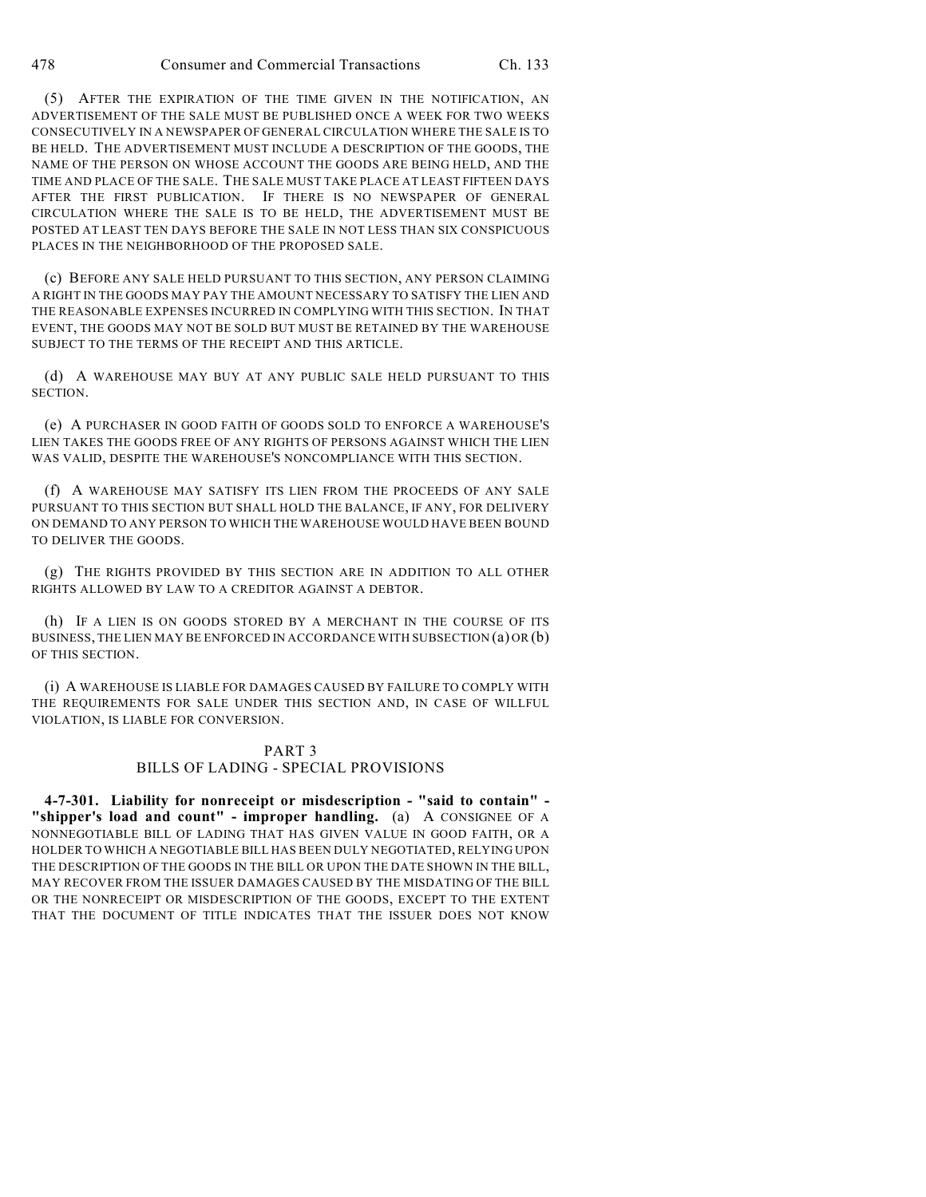(5) AFTER THE EXPIRATION OF THE TIME GIVEN IN THE NOTIFICATION, AN ADVERTISEMENT OF THE SALE MUST BE PUBLISHED ONCE A WEEK FOR TWO WEEKS CONSECUTIVELY IN A NEWSPAPER OF GENERAL CIRCULATION WHERE THE SALE IS TO BE HELD. THE ADVERTISEMENT MUST INCLUDE A DESCRIPTION OF THE GOODS, THE NAME OF THE PERSON ON WHOSE ACCOUNT THE GOODS ARE BEING HELD, AND THE TIME AND PLACE OF THE SALE. THE SALE MUST TAKE PLACE AT LEAST FIFTEEN DAYS AFTER THE FIRST PUBLICATION. IF THERE IS NO NEWSPAPER OF GENERAL CIRCULATION WHERE THE SALE IS TO BE HELD, THE ADVERTISEMENT MUST BE POSTED AT LEAST TEN DAYS BEFORE THE SALE IN NOT LESS THAN SIX CONSPICUOUS PLACES IN THE NEIGHBORHOOD OF THE PROPOSED SALE.

(c) BEFORE ANY SALE HELD PURSUANT TO THIS SECTION, ANY PERSON CLAIMING A RIGHT IN THE GOODS MAY PAY THE AMOUNT NECESSARY TO SATISFY THE LIEN AND THE REASONABLE EXPENSES INCURRED IN COMPLYING WITH THIS SECTION. IN THAT EVENT, THE GOODS MAY NOT BE SOLD BUT MUST BE RETAINED BY THE WAREHOUSE SUBJECT TO THE TERMS OF THE RECEIPT AND THIS ARTICLE.

(d) A WAREHOUSE MAY BUY AT ANY PUBLIC SALE HELD PURSUANT TO THIS SECTION.

(e) A PURCHASER IN GOOD FAITH OF GOODS SOLD TO ENFORCE A WAREHOUSE'S LIEN TAKES THE GOODS FREE OF ANY RIGHTS OF PERSONS AGAINST WHICH THE LIEN WAS VALID, DESPITE THE WAREHOUSE'S NONCOMPLIANCE WITH THIS SECTION.

(f) A WAREHOUSE MAY SATISFY ITS LIEN FROM THE PROCEEDS OF ANY SALE PURSUANT TO THIS SECTION BUT SHALL HOLD THE BALANCE, IF ANY, FOR DELIVERY ON DEMAND TO ANY PERSON TO WHICH THE WAREHOUSE WOULD HAVE BEEN BOUND TO DELIVER THE GOODS.

(g) THE RIGHTS PROVIDED BY THIS SECTION ARE IN ADDITION TO ALL OTHER RIGHTS ALLOWED BY LAW TO A CREDITOR AGAINST A DEBTOR.

(h) IF A LIEN IS ON GOODS STORED BY A MERCHANT IN THE COURSE OF ITS BUSINESS, THE LIEN MAY BE ENFORCED IN ACCORDANCE WITH SUBSECTION (a) OR (b) OF THIS SECTION.

(i) A WAREHOUSE IS LIABLE FOR DAMAGES CAUSED BY FAILURE TO COMPLY WITH THE REQUIREMENTS FOR SALE UNDER THIS SECTION AND, IN CASE OF WILLFUL VIOLATION, IS LIABLE FOR CONVERSION.

# PART 3 BILLS OF LADING - SPECIAL PROVISIONS

**4-7-301. Liability for nonreceipt or misdescription - "said to contain" - "shipper's load and count" - improper handling.** (a) A CONSIGNEE OF A NONNEGOTIABLE BILL OF LADING THAT HAS GIVEN VALUE IN GOOD FAITH, OR A HOLDER TO WHICH A NEGOTIABLE BILL HAS BEEN DULY NEGOTIATED, RELYING UPON THE DESCRIPTION OF THE GOODS IN THE BILL OR UPON THE DATE SHOWN IN THE BILL, MAY RECOVER FROM THE ISSUER DAMAGES CAUSED BY THE MISDATING OF THE BILL OR THE NONRECEIPT OR MISDESCRIPTION OF THE GOODS, EXCEPT TO THE EXTENT THAT THE DOCUMENT OF TITLE INDICATES THAT THE ISSUER DOES NOT KNOW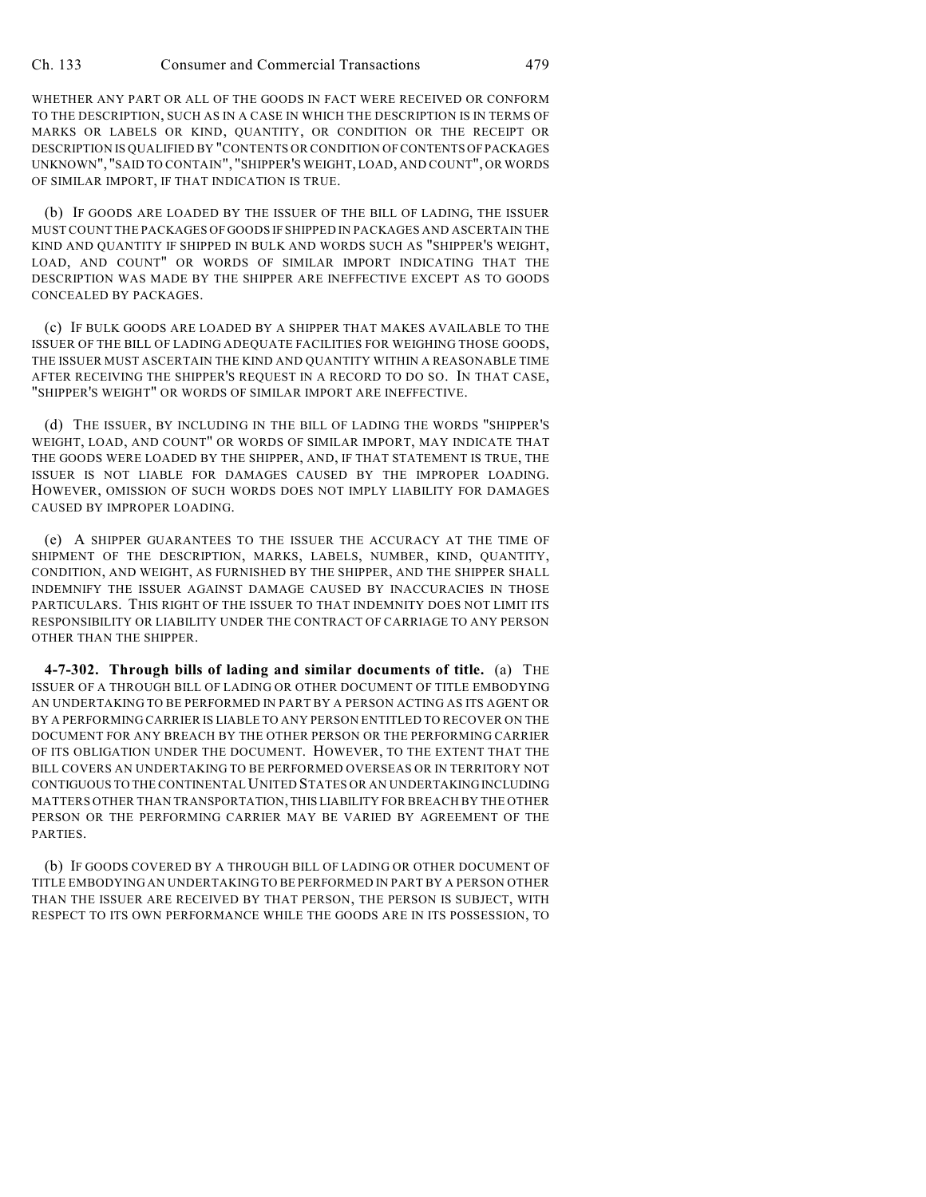WHETHER ANY PART OR ALL OF THE GOODS IN FACT WERE RECEIVED OR CONFORM TO THE DESCRIPTION, SUCH AS IN A CASE IN WHICH THE DESCRIPTION IS IN TERMS OF MARKS OR LABELS OR KIND, QUANTITY, OR CONDITION OR THE RECEIPT OR DESCRIPTION IS QUALIFIED BY "CONTENTS OR CONDITION OF CONTENTS OF PACKAGES UNKNOWN", "SAID TO CONTAIN", "SHIPPER'S WEIGHT, LOAD, AND COUNT", OR WORDS OF SIMILAR IMPORT, IF THAT INDICATION IS TRUE.

(b) IF GOODS ARE LOADED BY THE ISSUER OF THE BILL OF LADING, THE ISSUER MUST COUNT THE PACKAGES OF GOODS IF SHIPPED IN PACKAGES AND ASCERTAIN THE KIND AND QUANTITY IF SHIPPED IN BULK AND WORDS SUCH AS "SHIPPER'S WEIGHT, LOAD, AND COUNT" OR WORDS OF SIMILAR IMPORT INDICATING THAT THE DESCRIPTION WAS MADE BY THE SHIPPER ARE INEFFECTIVE EXCEPT AS TO GOODS CONCEALED BY PACKAGES.

(c) IF BULK GOODS ARE LOADED BY A SHIPPER THAT MAKES AVAILABLE TO THE ISSUER OF THE BILL OF LADING ADEQUATE FACILITIES FOR WEIGHING THOSE GOODS, THE ISSUER MUST ASCERTAIN THE KIND AND QUANTITY WITHIN A REASONABLE TIME AFTER RECEIVING THE SHIPPER'S REQUEST IN A RECORD TO DO SO. IN THAT CASE, "SHIPPER'S WEIGHT" OR WORDS OF SIMILAR IMPORT ARE INEFFECTIVE.

(d) THE ISSUER, BY INCLUDING IN THE BILL OF LADING THE WORDS "SHIPPER'S WEIGHT, LOAD, AND COUNT" OR WORDS OF SIMILAR IMPORT, MAY INDICATE THAT THE GOODS WERE LOADED BY THE SHIPPER, AND, IF THAT STATEMENT IS TRUE, THE ISSUER IS NOT LIABLE FOR DAMAGES CAUSED BY THE IMPROPER LOADING. HOWEVER, OMISSION OF SUCH WORDS DOES NOT IMPLY LIABILITY FOR DAMAGES CAUSED BY IMPROPER LOADING.

(e) A SHIPPER GUARANTEES TO THE ISSUER THE ACCURACY AT THE TIME OF SHIPMENT OF THE DESCRIPTION, MARKS, LABELS, NUMBER, KIND, QUANTITY, CONDITION, AND WEIGHT, AS FURNISHED BY THE SHIPPER, AND THE SHIPPER SHALL INDEMNIFY THE ISSUER AGAINST DAMAGE CAUSED BY INACCURACIES IN THOSE PARTICULARS. THIS RIGHT OF THE ISSUER TO THAT INDEMNITY DOES NOT LIMIT ITS RESPONSIBILITY OR LIABILITY UNDER THE CONTRACT OF CARRIAGE TO ANY PERSON OTHER THAN THE SHIPPER.

**4-7-302. Through bills of lading and similar documents of title.** (a) THE ISSUER OF A THROUGH BILL OF LADING OR OTHER DOCUMENT OF TITLE EMBODYING AN UNDERTAKING TO BE PERFORMED IN PART BY A PERSON ACTING AS ITS AGENT OR BY A PERFORMING CARRIER IS LIABLE TO ANY PERSON ENTITLED TO RECOVER ON THE DOCUMENT FOR ANY BREACH BY THE OTHER PERSON OR THE PERFORMING CARRIER OF ITS OBLIGATION UNDER THE DOCUMENT. HOWEVER, TO THE EXTENT THAT THE BILL COVERS AN UNDERTAKING TO BE PERFORMED OVERSEAS OR IN TERRITORY NOT CONTIGUOUS TO THE CONTINENTAL UNITED STATES OR AN UNDERTAKING INCLUDING MATTERS OTHER THAN TRANSPORTATION, THIS LIABILITY FOR BREACH BY THE OTHER PERSON OR THE PERFORMING CARRIER MAY BE VARIED BY AGREEMENT OF THE PARTIES.

(b) IF GOODS COVERED BY A THROUGH BILL OF LADING OR OTHER DOCUMENT OF TITLE EMBODYING AN UNDERTAKING TO BE PERFORMED IN PART BY A PERSON OTHER THAN THE ISSUER ARE RECEIVED BY THAT PERSON, THE PERSON IS SUBJECT, WITH RESPECT TO ITS OWN PERFORMANCE WHILE THE GOODS ARE IN ITS POSSESSION, TO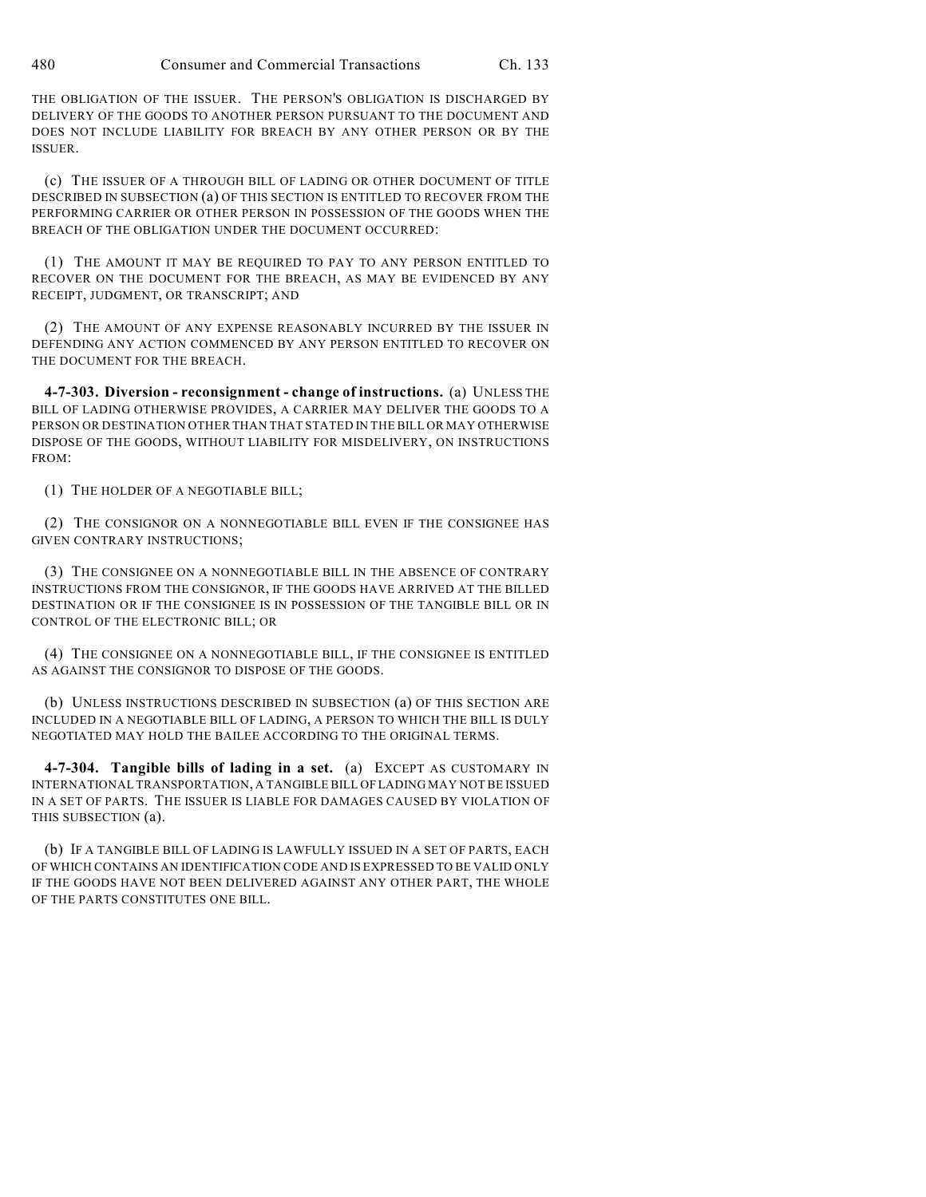THE OBLIGATION OF THE ISSUER. THE PERSON'S OBLIGATION IS DISCHARGED BY DELIVERY OF THE GOODS TO ANOTHER PERSON PURSUANT TO THE DOCUMENT AND DOES NOT INCLUDE LIABILITY FOR BREACH BY ANY OTHER PERSON OR BY THE ISSUER.

(c) THE ISSUER OF A THROUGH BILL OF LADING OR OTHER DOCUMENT OF TITLE DESCRIBED IN SUBSECTION (a) OF THIS SECTION IS ENTITLED TO RECOVER FROM THE PERFORMING CARRIER OR OTHER PERSON IN POSSESSION OF THE GOODS WHEN THE BREACH OF THE OBLIGATION UNDER THE DOCUMENT OCCURRED:

(1) THE AMOUNT IT MAY BE REQUIRED TO PAY TO ANY PERSON ENTITLED TO RECOVER ON THE DOCUMENT FOR THE BREACH, AS MAY BE EVIDENCED BY ANY RECEIPT, JUDGMENT, OR TRANSCRIPT; AND

(2) THE AMOUNT OF ANY EXPENSE REASONABLY INCURRED BY THE ISSUER IN DEFENDING ANY ACTION COMMENCED BY ANY PERSON ENTITLED TO RECOVER ON THE DOCUMENT FOR THE BREACH.

**4-7-303. Diversion - reconsignment - change of instructions.** (a) UNLESS THE BILL OF LADING OTHERWISE PROVIDES, A CARRIER MAY DELIVER THE GOODS TO A PERSON OR DESTINATION OTHER THAN THAT STATED IN THE BILL OR MAY OTHERWISE DISPOSE OF THE GOODS, WITHOUT LIABILITY FOR MISDELIVERY, ON INSTRUCTIONS FROM:

(1) THE HOLDER OF A NEGOTIABLE BILL;

(2) THE CONSIGNOR ON A NONNEGOTIABLE BILL EVEN IF THE CONSIGNEE HAS GIVEN CONTRARY INSTRUCTIONS;

(3) THE CONSIGNEE ON A NONNEGOTIABLE BILL IN THE ABSENCE OF CONTRARY INSTRUCTIONS FROM THE CONSIGNOR, IF THE GOODS HAVE ARRIVED AT THE BILLED DESTINATION OR IF THE CONSIGNEE IS IN POSSESSION OF THE TANGIBLE BILL OR IN CONTROL OF THE ELECTRONIC BILL; OR

(4) THE CONSIGNEE ON A NONNEGOTIABLE BILL, IF THE CONSIGNEE IS ENTITLED AS AGAINST THE CONSIGNOR TO DISPOSE OF THE GOODS.

(b) UNLESS INSTRUCTIONS DESCRIBED IN SUBSECTION (a) OF THIS SECTION ARE INCLUDED IN A NEGOTIABLE BILL OF LADING, A PERSON TO WHICH THE BILL IS DULY NEGOTIATED MAY HOLD THE BAILEE ACCORDING TO THE ORIGINAL TERMS.

**4-7-304. Tangible bills of lading in a set.** (a) EXCEPT AS CUSTOMARY IN INTERNATIONAL TRANSPORTATION, A TANGIBLE BILL OF LADING MAY NOT BE ISSUED IN A SET OF PARTS. THE ISSUER IS LIABLE FOR DAMAGES CAUSED BY VIOLATION OF THIS SUBSECTION (a).

(b) IF A TANGIBLE BILL OF LADING IS LAWFULLY ISSUED IN A SET OF PARTS, EACH OF WHICH CONTAINS AN IDENTIFICATION CODE AND IS EXPRESSED TO BE VALID ONLY IF THE GOODS HAVE NOT BEEN DELIVERED AGAINST ANY OTHER PART, THE WHOLE OF THE PARTS CONSTITUTES ONE BILL.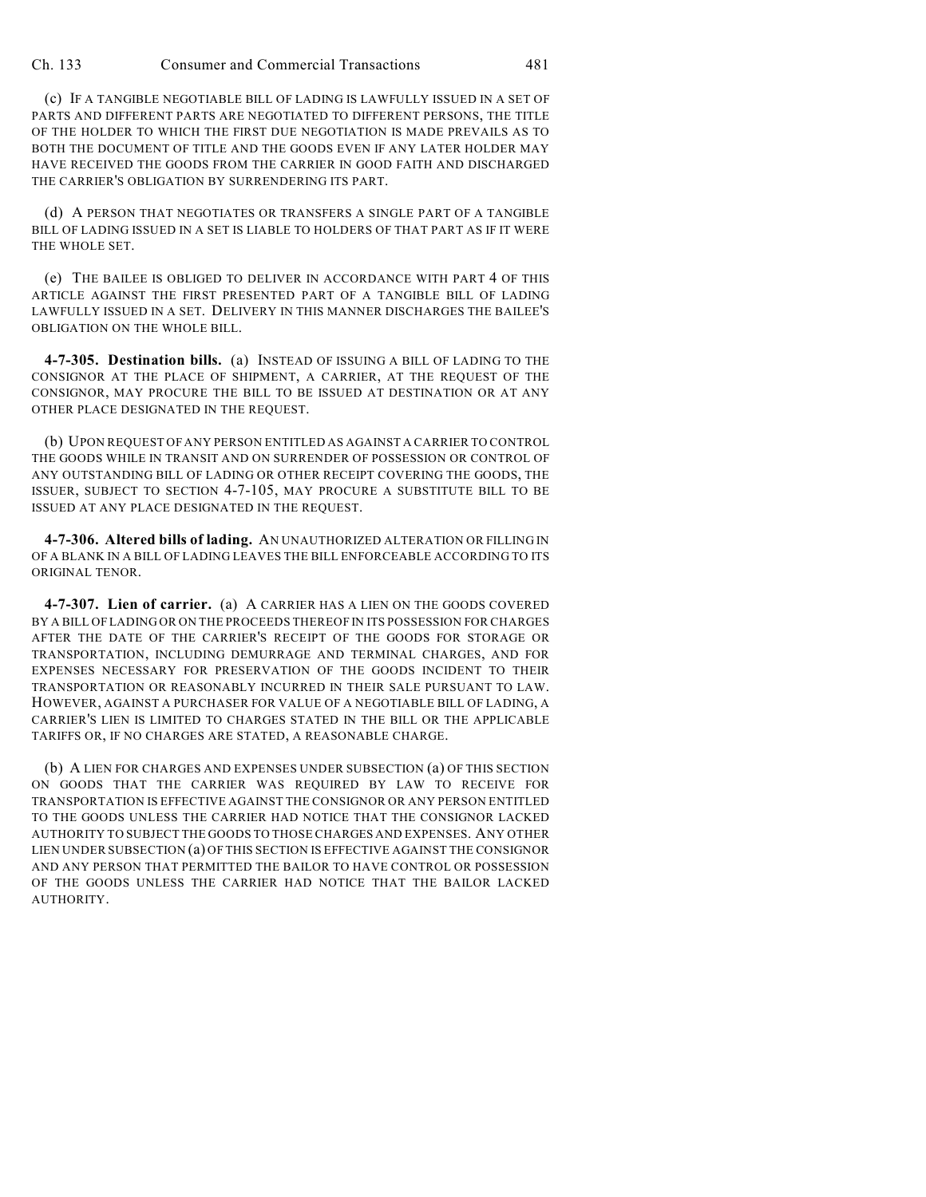Ch. 133 Consumer and Commercial Transactions 481

(c) IF A TANGIBLE NEGOTIABLE BILL OF LADING IS LAWFULLY ISSUED IN A SET OF PARTS AND DIFFERENT PARTS ARE NEGOTIATED TO DIFFERENT PERSONS, THE TITLE OF THE HOLDER TO WHICH THE FIRST DUE NEGOTIATION IS MADE PREVAILS AS TO BOTH THE DOCUMENT OF TITLE AND THE GOODS EVEN IF ANY LATER HOLDER MAY HAVE RECEIVED THE GOODS FROM THE CARRIER IN GOOD FAITH AND DISCHARGED THE CARRIER'S OBLIGATION BY SURRENDERING ITS PART.

(d) A PERSON THAT NEGOTIATES OR TRANSFERS A SINGLE PART OF A TANGIBLE BILL OF LADING ISSUED IN A SET IS LIABLE TO HOLDERS OF THAT PART AS IF IT WERE THE WHOLE SET.

(e) THE BAILEE IS OBLIGED TO DELIVER IN ACCORDANCE WITH PART 4 OF THIS ARTICLE AGAINST THE FIRST PRESENTED PART OF A TANGIBLE BILL OF LADING LAWFULLY ISSUED IN A SET. DELIVERY IN THIS MANNER DISCHARGES THE BAILEE'S OBLIGATION ON THE WHOLE BILL.

**4-7-305. Destination bills.** (a) INSTEAD OF ISSUING A BILL OF LADING TO THE CONSIGNOR AT THE PLACE OF SHIPMENT, A CARRIER, AT THE REQUEST OF THE CONSIGNOR, MAY PROCURE THE BILL TO BE ISSUED AT DESTINATION OR AT ANY OTHER PLACE DESIGNATED IN THE REQUEST.

(b) UPON REQUEST OF ANY PERSON ENTITLED AS AGAINST A CARRIER TO CONTROL THE GOODS WHILE IN TRANSIT AND ON SURRENDER OF POSSESSION OR CONTROL OF ANY OUTSTANDING BILL OF LADING OR OTHER RECEIPT COVERING THE GOODS, THE ISSUER, SUBJECT TO SECTION 4-7-105, MAY PROCURE A SUBSTITUTE BILL TO BE ISSUED AT ANY PLACE DESIGNATED IN THE REQUEST.

**4-7-306. Altered bills of lading.** AN UNAUTHORIZED ALTERATION OR FILLING IN OF A BLANK IN A BILL OF LADING LEAVES THE BILL ENFORCEABLE ACCORDING TO ITS ORIGINAL TENOR.

**4-7-307. Lien of carrier.** (a) A CARRIER HAS A LIEN ON THE GOODS COVERED BY A BILL OF LADING OR ON THE PROCEEDS THEREOF IN ITS POSSESSION FOR CHARGES AFTER THE DATE OF THE CARRIER'S RECEIPT OF THE GOODS FOR STORAGE OR TRANSPORTATION, INCLUDING DEMURRAGE AND TERMINAL CHARGES, AND FOR EXPENSES NECESSARY FOR PRESERVATION OF THE GOODS INCIDENT TO THEIR TRANSPORTATION OR REASONABLY INCURRED IN THEIR SALE PURSUANT TO LAW. HOWEVER, AGAINST A PURCHASER FOR VALUE OF A NEGOTIABLE BILL OF LADING, A CARRIER'S LIEN IS LIMITED TO CHARGES STATED IN THE BILL OR THE APPLICABLE TARIFFS OR, IF NO CHARGES ARE STATED, A REASONABLE CHARGE.

(b) A LIEN FOR CHARGES AND EXPENSES UNDER SUBSECTION (a) OF THIS SECTION ON GOODS THAT THE CARRIER WAS REQUIRED BY LAW TO RECEIVE FOR TRANSPORTATION IS EFFECTIVE AGAINST THE CONSIGNOR OR ANY PERSON ENTITLED TO THE GOODS UNLESS THE CARRIER HAD NOTICE THAT THE CONSIGNOR LACKED AUTHORITY TO SUBJECT THE GOODS TO THOSE CHARGES AND EXPENSES. ANY OTHER LIEN UNDER SUBSECTION (a) OFTHIS SECTION IS EFFECTIVE AGAINST THE CONSIGNOR AND ANY PERSON THAT PERMITTED THE BAILOR TO HAVE CONTROL OR POSSESSION OF THE GOODS UNLESS THE CARRIER HAD NOTICE THAT THE BAILOR LACKED AUTHORITY.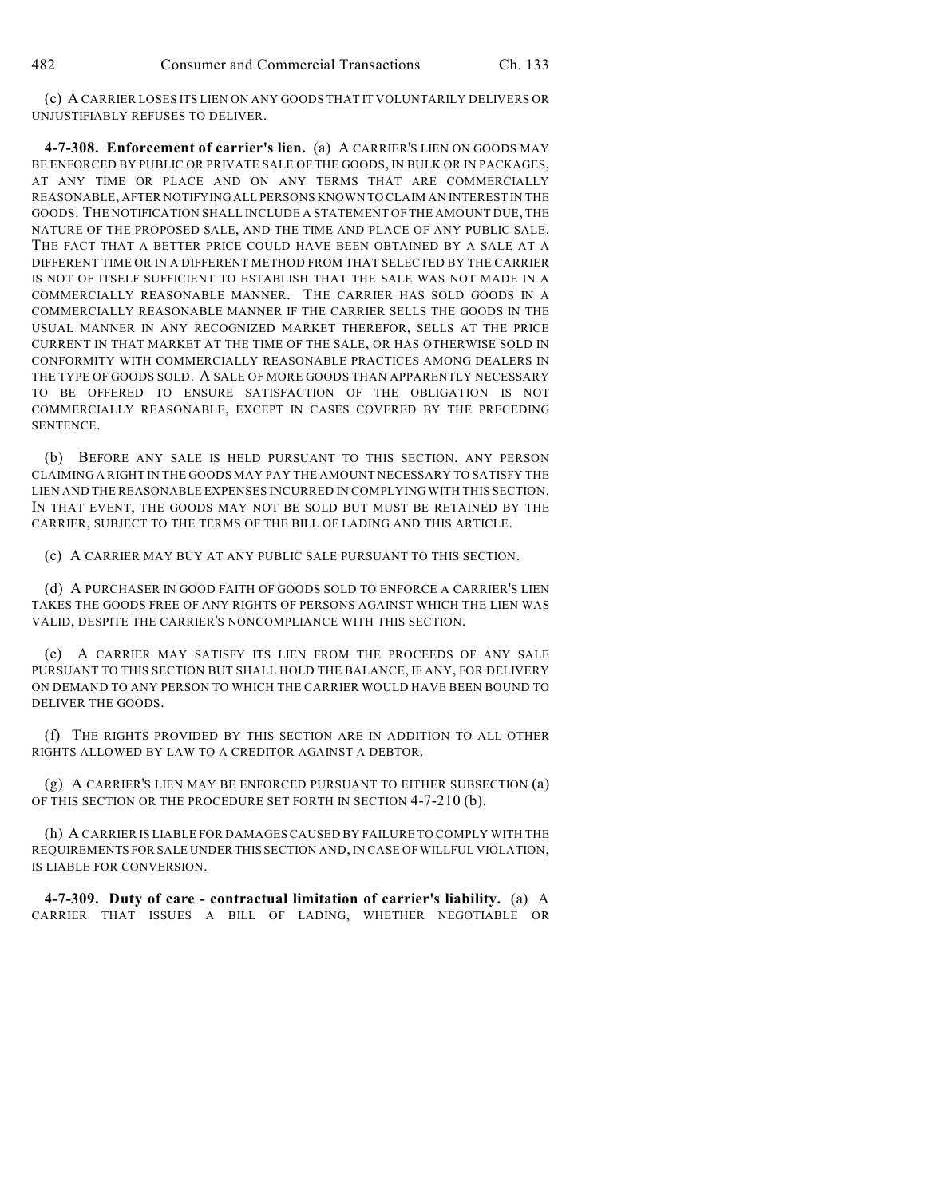(c) A CARRIER LOSES ITS LIEN ON ANY GOODS THAT IT VOLUNTARILY DELIVERS OR UNJUSTIFIABLY REFUSES TO DELIVER.

**4-7-308. Enforcement of carrier's lien.** (a) A CARRIER'S LIEN ON GOODS MAY BE ENFORCED BY PUBLIC OR PRIVATE SALE OF THE GOODS, IN BULK OR IN PACKAGES, AT ANY TIME OR PLACE AND ON ANY TERMS THAT ARE COMMERCIALLY REASONABLE, AFTER NOTIFYING ALL PERSONS KNOWN TO CLAIM AN INTEREST IN THE GOODS. THE NOTIFICATION SHALL INCLUDE A STATEMENT OF THE AMOUNT DUE, THE NATURE OF THE PROPOSED SALE, AND THE TIME AND PLACE OF ANY PUBLIC SALE. THE FACT THAT A BETTER PRICE COULD HAVE BEEN OBTAINED BY A SALE AT A DIFFERENT TIME OR IN A DIFFERENT METHOD FROM THAT SELECTED BY THE CARRIER IS NOT OF ITSELF SUFFICIENT TO ESTABLISH THAT THE SALE WAS NOT MADE IN A COMMERCIALLY REASONABLE MANNER. THE CARRIER HAS SOLD GOODS IN A COMMERCIALLY REASONABLE MANNER IF THE CARRIER SELLS THE GOODS IN THE USUAL MANNER IN ANY RECOGNIZED MARKET THEREFOR, SELLS AT THE PRICE CURRENT IN THAT MARKET AT THE TIME OF THE SALE, OR HAS OTHERWISE SOLD IN CONFORMITY WITH COMMERCIALLY REASONABLE PRACTICES AMONG DEALERS IN THE TYPE OF GOODS SOLD. A SALE OF MORE GOODS THAN APPARENTLY NECESSARY TO BE OFFERED TO ENSURE SATISFACTION OF THE OBLIGATION IS NOT COMMERCIALLY REASONABLE, EXCEPT IN CASES COVERED BY THE PRECEDING SENTENCE.

(b) BEFORE ANY SALE IS HELD PURSUANT TO THIS SECTION, ANY PERSON CLAIMING A RIGHT IN THE GOODS MAY PAY THE AMOUNT NECESSARY TO SATISFY THE LIEN AND THE REASONABLE EXPENSES INCURRED IN COMPLYING WITH THIS SECTION. IN THAT EVENT, THE GOODS MAY NOT BE SOLD BUT MUST BE RETAINED BY THE CARRIER, SUBJECT TO THE TERMS OF THE BILL OF LADING AND THIS ARTICLE.

(c) A CARRIER MAY BUY AT ANY PUBLIC SALE PURSUANT TO THIS SECTION.

(d) A PURCHASER IN GOOD FAITH OF GOODS SOLD TO ENFORCE A CARRIER'S LIEN TAKES THE GOODS FREE OF ANY RIGHTS OF PERSONS AGAINST WHICH THE LIEN WAS VALID, DESPITE THE CARRIER'S NONCOMPLIANCE WITH THIS SECTION.

(e) A CARRIER MAY SATISFY ITS LIEN FROM THE PROCEEDS OF ANY SALE PURSUANT TO THIS SECTION BUT SHALL HOLD THE BALANCE, IF ANY, FOR DELIVERY ON DEMAND TO ANY PERSON TO WHICH THE CARRIER WOULD HAVE BEEN BOUND TO DELIVER THE GOODS.

(f) THE RIGHTS PROVIDED BY THIS SECTION ARE IN ADDITION TO ALL OTHER RIGHTS ALLOWED BY LAW TO A CREDITOR AGAINST A DEBTOR.

(g) A CARRIER'S LIEN MAY BE ENFORCED PURSUANT TO EITHER SUBSECTION (a) OF THIS SECTION OR THE PROCEDURE SET FORTH IN SECTION 4-7-210 (b).

(h) A CARRIER IS LIABLE FOR DAMAGES CAUSED BY FAILURE TO COMPLY WITH THE REQUIREMENTS FOR SALE UNDER THIS SECTION AND, IN CASE OF WILLFUL VIOLATION, IS LIABLE FOR CONVERSION.

**4-7-309. Duty of care - contractual limitation of carrier's liability.** (a) A CARRIER THAT ISSUES A BILL OF LADING, WHETHER NEGOTIABLE OR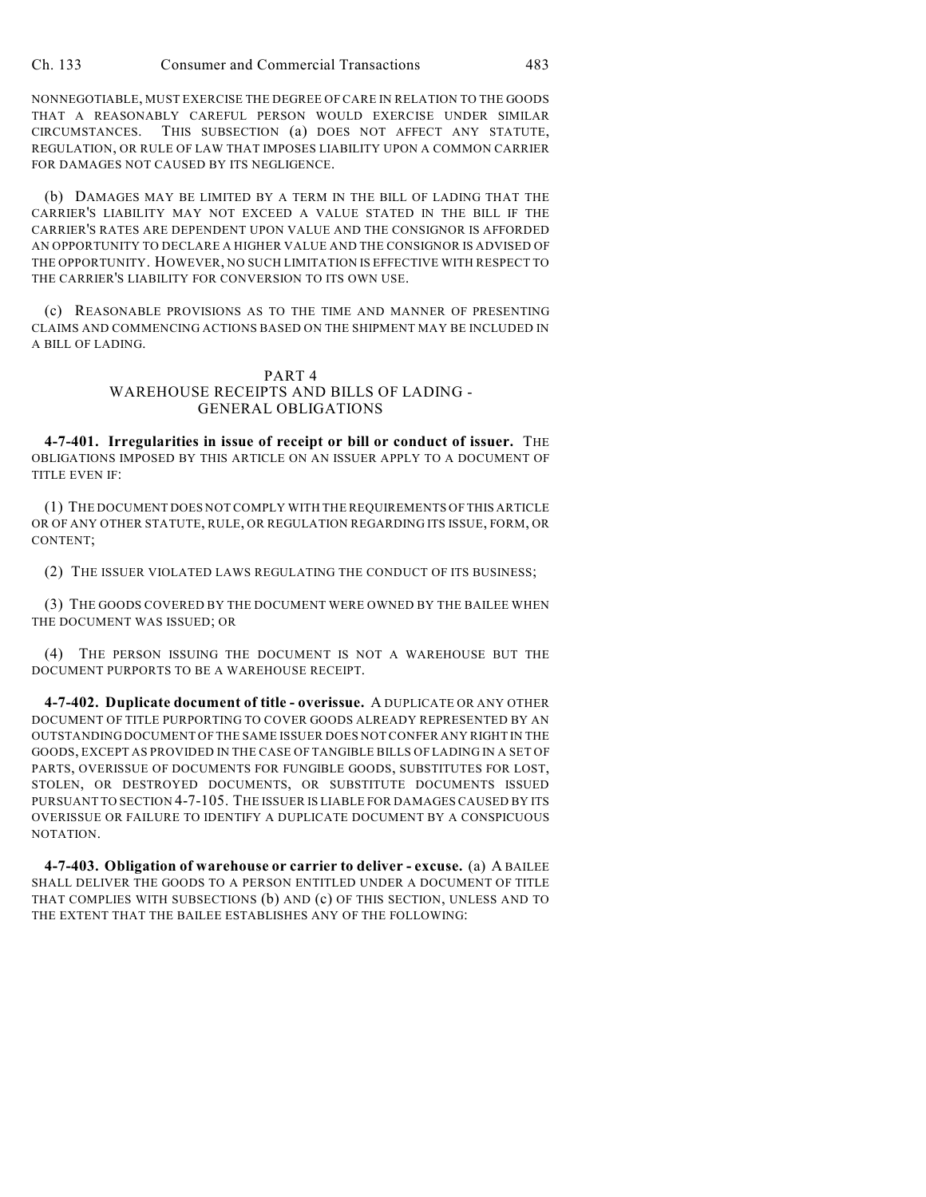NONNEGOTIABLE, MUST EXERCISE THE DEGREE OF CARE IN RELATION TO THE GOODS THAT A REASONABLY CAREFUL PERSON WOULD EXERCISE UNDER SIMILAR CIRCUMSTANCES. THIS SUBSECTION (a) DOES NOT AFFECT ANY STATUTE, REGULATION, OR RULE OF LAW THAT IMPOSES LIABILITY UPON A COMMON CARRIER FOR DAMAGES NOT CAUSED BY ITS NEGLIGENCE.

(b) DAMAGES MAY BE LIMITED BY A TERM IN THE BILL OF LADING THAT THE CARRIER'S LIABILITY MAY NOT EXCEED A VALUE STATED IN THE BILL IF THE CARRIER'S RATES ARE DEPENDENT UPON VALUE AND THE CONSIGNOR IS AFFORDED AN OPPORTUNITY TO DECLARE A HIGHER VALUE AND THE CONSIGNOR IS ADVISED OF THE OPPORTUNITY. HOWEVER, NO SUCH LIMITATION IS EFFECTIVE WITH RESPECT TO THE CARRIER'S LIABILITY FOR CONVERSION TO ITS OWN USE.

(c) REASONABLE PROVISIONS AS TO THE TIME AND MANNER OF PRESENTING CLAIMS AND COMMENCING ACTIONS BASED ON THE SHIPMENT MAY BE INCLUDED IN A BILL OF LADING.

## PART 4 WAREHOUSE RECEIPTS AND BILLS OF LADING - GENERAL OBLIGATIONS

**4-7-401. Irregularities in issue of receipt or bill or conduct of issuer.** THE OBLIGATIONS IMPOSED BY THIS ARTICLE ON AN ISSUER APPLY TO A DOCUMENT OF TITLE EVEN IF:

(1) THE DOCUMENT DOES NOT COMPLY WITH THE REQUIREMENTS OF THIS ARTICLE OR OF ANY OTHER STATUTE, RULE, OR REGULATION REGARDING ITS ISSUE, FORM, OR CONTENT;

(2) THE ISSUER VIOLATED LAWS REGULATING THE CONDUCT OF ITS BUSINESS;

(3) THE GOODS COVERED BY THE DOCUMENT WERE OWNED BY THE BAILEE WHEN THE DOCUMENT WAS ISSUED; OR

(4) THE PERSON ISSUING THE DOCUMENT IS NOT A WAREHOUSE BUT THE DOCUMENT PURPORTS TO BE A WAREHOUSE RECEIPT.

**4-7-402. Duplicate document of title - overissue.** A DUPLICATE OR ANY OTHER DOCUMENT OF TITLE PURPORTING TO COVER GOODS ALREADY REPRESENTED BY AN OUTSTANDING DOCUMENT OF THE SAME ISSUER DOES NOT CONFER ANY RIGHT IN THE GOODS, EXCEPT AS PROVIDED IN THE CASE OF TANGIBLE BILLS OF LADING IN A SET OF PARTS, OVERISSUE OF DOCUMENTS FOR FUNGIBLE GOODS, SUBSTITUTES FOR LOST, STOLEN, OR DESTROYED DOCUMENTS, OR SUBSTITUTE DOCUMENTS ISSUED PURSUANT TO SECTION 4-7-105. THE ISSUER IS LIABLE FOR DAMAGES CAUSED BY ITS OVERISSUE OR FAILURE TO IDENTIFY A DUPLICATE DOCUMENT BY A CONSPICUOUS NOTATION.

**4-7-403. Obligation of warehouse or carrier to deliver - excuse.** (a) A BAILEE SHALL DELIVER THE GOODS TO A PERSON ENTITLED UNDER A DOCUMENT OF TITLE THAT COMPLIES WITH SUBSECTIONS (b) AND (c) OF THIS SECTION, UNLESS AND TO THE EXTENT THAT THE BAILEE ESTABLISHES ANY OF THE FOLLOWING: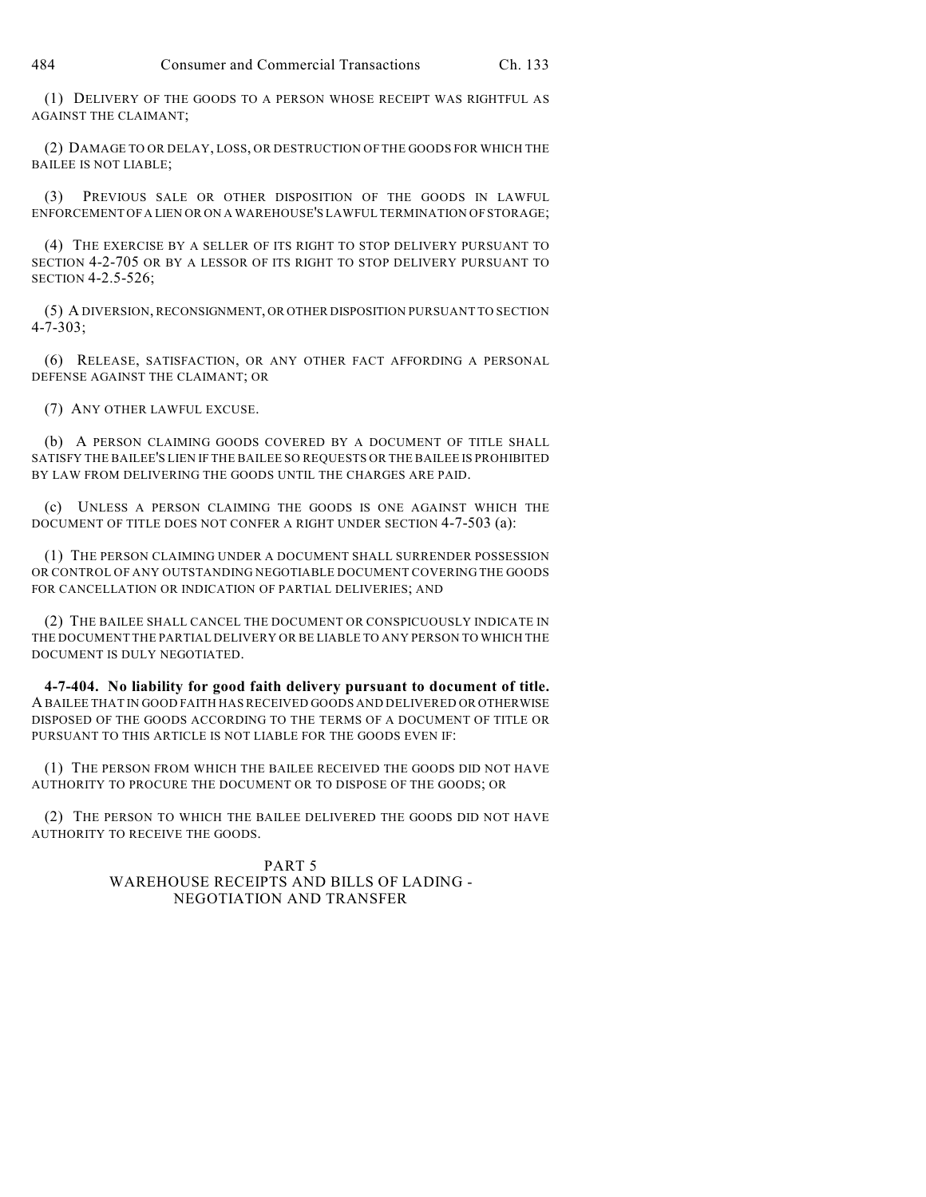(1) DELIVERY OF THE GOODS TO A PERSON WHOSE RECEIPT WAS RIGHTFUL AS AGAINST THE CLAIMANT;

(2) DAMAGE TO OR DELAY, LOSS, OR DESTRUCTION OF THE GOODS FOR WHICH THE BAILEE IS NOT LIABLE;

(3) PREVIOUS SALE OR OTHER DISPOSITION OF THE GOODS IN LAWFUL ENFORCEMENT OF A LIEN OR ON A WAREHOUSE'S LAWFUL TERMINATION OF STORAGE;

(4) THE EXERCISE BY A SELLER OF ITS RIGHT TO STOP DELIVERY PURSUANT TO SECTION 4-2-705 OR BY A LESSOR OF ITS RIGHT TO STOP DELIVERY PURSUANT TO SECTION 4-2.5-526;

(5) A DIVERSION, RECONSIGNMENT, OR OTHER DISPOSITION PURSUANT TO SECTION 4-7-303;

(6) RELEASE, SATISFACTION, OR ANY OTHER FACT AFFORDING A PERSONAL DEFENSE AGAINST THE CLAIMANT; OR

(7) ANY OTHER LAWFUL EXCUSE.

(b) A PERSON CLAIMING GOODS COVERED BY A DOCUMENT OF TITLE SHALL SATISFY THE BAILEE'S LIEN IF THE BAILEE SO REQUESTS OR THE BAILEE IS PROHIBITED BY LAW FROM DELIVERING THE GOODS UNTIL THE CHARGES ARE PAID.

(c) UNLESS A PERSON CLAIMING THE GOODS IS ONE AGAINST WHICH THE DOCUMENT OF TITLE DOES NOT CONFER A RIGHT UNDER SECTION 4-7-503 (a):

(1) THE PERSON CLAIMING UNDER A DOCUMENT SHALL SURRENDER POSSESSION OR CONTROL OF ANY OUTSTANDING NEGOTIABLE DOCUMENT COVERING THE GOODS FOR CANCELLATION OR INDICATION OF PARTIAL DELIVERIES; AND

(2) THE BAILEE SHALL CANCEL THE DOCUMENT OR CONSPICUOUSLY INDICATE IN THE DOCUMENT THE PARTIAL DELIVERY OR BE LIABLE TO ANY PERSON TO WHICH THE DOCUMENT IS DULY NEGOTIATED.

**4-7-404. No liability for good faith delivery pursuant to document of title.** A BAILEE THAT IN GOOD FAITH HAS RECEIVED GOODS AND DELIVERED OR OTHERWISE DISPOSED OF THE GOODS ACCORDING TO THE TERMS OF A DOCUMENT OF TITLE OR PURSUANT TO THIS ARTICLE IS NOT LIABLE FOR THE GOODS EVEN IF:

(1) THE PERSON FROM WHICH THE BAILEE RECEIVED THE GOODS DID NOT HAVE AUTHORITY TO PROCURE THE DOCUMENT OR TO DISPOSE OF THE GOODS; OR

(2) THE PERSON TO WHICH THE BAILEE DELIVERED THE GOODS DID NOT HAVE AUTHORITY TO RECEIVE THE GOODS.

> PART 5 WAREHOUSE RECEIPTS AND BILLS OF LADING - NEGOTIATION AND TRANSFER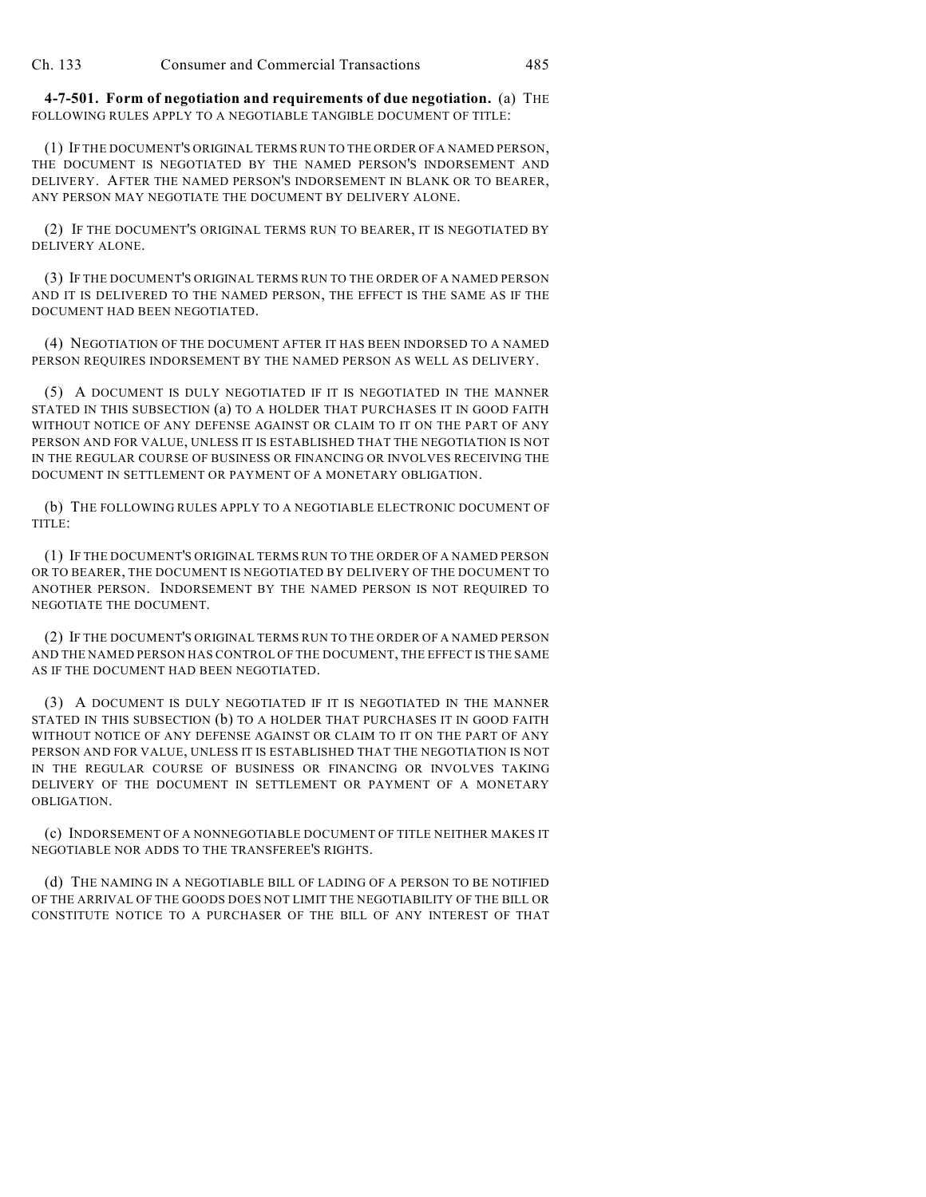**4-7-501. Form of negotiation and requirements of due negotiation.** (a) THE FOLLOWING RULES APPLY TO A NEGOTIABLE TANGIBLE DOCUMENT OF TITLE:

(1) IF THE DOCUMENT'S ORIGINAL TERMS RUN TO THE ORDER OF A NAMED PERSON, THE DOCUMENT IS NEGOTIATED BY THE NAMED PERSON'S INDORSEMENT AND DELIVERY. AFTER THE NAMED PERSON'S INDORSEMENT IN BLANK OR TO BEARER, ANY PERSON MAY NEGOTIATE THE DOCUMENT BY DELIVERY ALONE.

(2) IF THE DOCUMENT'S ORIGINAL TERMS RUN TO BEARER, IT IS NEGOTIATED BY DELIVERY ALONE.

(3) IF THE DOCUMENT'S ORIGINAL TERMS RUN TO THE ORDER OF A NAMED PERSON AND IT IS DELIVERED TO THE NAMED PERSON, THE EFFECT IS THE SAME AS IF THE DOCUMENT HAD BEEN NEGOTIATED.

(4) NEGOTIATION OF THE DOCUMENT AFTER IT HAS BEEN INDORSED TO A NAMED PERSON REQUIRES INDORSEMENT BY THE NAMED PERSON AS WELL AS DELIVERY.

(5) A DOCUMENT IS DULY NEGOTIATED IF IT IS NEGOTIATED IN THE MANNER STATED IN THIS SUBSECTION (a) TO A HOLDER THAT PURCHASES IT IN GOOD FAITH WITHOUT NOTICE OF ANY DEFENSE AGAINST OR CLAIM TO IT ON THE PART OF ANY PERSON AND FOR VALUE, UNLESS IT IS ESTABLISHED THAT THE NEGOTIATION IS NOT IN THE REGULAR COURSE OF BUSINESS OR FINANCING OR INVOLVES RECEIVING THE DOCUMENT IN SETTLEMENT OR PAYMENT OF A MONETARY OBLIGATION.

(b) THE FOLLOWING RULES APPLY TO A NEGOTIABLE ELECTRONIC DOCUMENT OF TITLE:

(1) IF THE DOCUMENT'S ORIGINAL TERMS RUN TO THE ORDER OF A NAMED PERSON OR TO BEARER, THE DOCUMENT IS NEGOTIATED BY DELIVERY OF THE DOCUMENT TO ANOTHER PERSON. INDORSEMENT BY THE NAMED PERSON IS NOT REQUIRED TO NEGOTIATE THE DOCUMENT.

(2) IF THE DOCUMENT'S ORIGINAL TERMS RUN TO THE ORDER OF A NAMED PERSON AND THE NAMED PERSON HAS CONTROL OF THE DOCUMENT, THE EFFECT IS THE SAME AS IF THE DOCUMENT HAD BEEN NEGOTIATED.

(3) A DOCUMENT IS DULY NEGOTIATED IF IT IS NEGOTIATED IN THE MANNER STATED IN THIS SUBSECTION (b) TO A HOLDER THAT PURCHASES IT IN GOOD FAITH WITHOUT NOTICE OF ANY DEFENSE AGAINST OR CLAIM TO IT ON THE PART OF ANY PERSON AND FOR VALUE, UNLESS IT IS ESTABLISHED THAT THE NEGOTIATION IS NOT IN THE REGULAR COURSE OF BUSINESS OR FINANCING OR INVOLVES TAKING DELIVERY OF THE DOCUMENT IN SETTLEMENT OR PAYMENT OF A MONETARY OBLIGATION.

(c) INDORSEMENT OF A NONNEGOTIABLE DOCUMENT OF TITLE NEITHER MAKES IT NEGOTIABLE NOR ADDS TO THE TRANSFEREE'S RIGHTS.

(d) THE NAMING IN A NEGOTIABLE BILL OF LADING OF A PERSON TO BE NOTIFIED OF THE ARRIVAL OF THE GOODS DOES NOT LIMIT THE NEGOTIABILITY OF THE BILL OR CONSTITUTE NOTICE TO A PURCHASER OF THE BILL OF ANY INTEREST OF THAT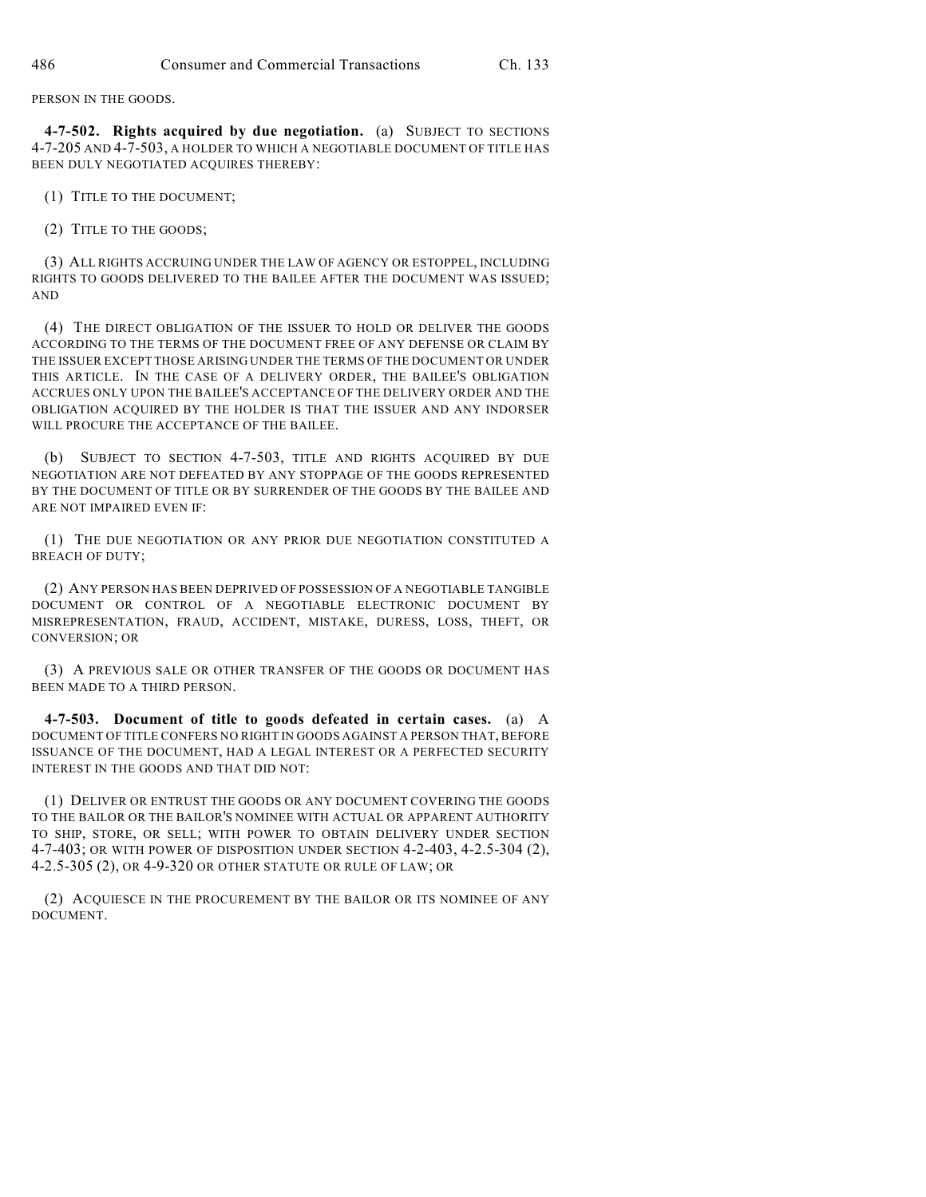PERSON IN THE GOODS.

**4-7-502. Rights acquired by due negotiation.** (a) SUBJECT TO SECTIONS 4-7-205 AND 4-7-503, A HOLDER TO WHICH A NEGOTIABLE DOCUMENT OF TITLE HAS BEEN DULY NEGOTIATED ACOUIRES THEREBY:

(1) TITLE TO THE DOCUMENT;

(2) TITLE TO THE GOODS;

(3) ALL RIGHTS ACCRUING UNDER THE LAW OF AGENCY OR ESTOPPEL, INCLUDING RIGHTS TO GOODS DELIVERED TO THE BAILEE AFTER THE DOCUMENT WAS ISSUED; AND

(4) THE DIRECT OBLIGATION OF THE ISSUER TO HOLD OR DELIVER THE GOODS ACCORDING TO THE TERMS OF THE DOCUMENT FREE OF ANY DEFENSE OR CLAIM BY THE ISSUER EXCEPT THOSE ARISING UNDER THE TERMS OF THE DOCUMENT OR UNDER THIS ARTICLE. IN THE CASE OF A DELIVERY ORDER, THE BAILEE'S OBLIGATION ACCRUES ONLY UPON THE BAILEE'S ACCEPTANCE OF THE DELIVERY ORDER AND THE OBLIGATION ACQUIRED BY THE HOLDER IS THAT THE ISSUER AND ANY INDORSER WILL PROCURE THE ACCEPTANCE OF THE BAILEE.

(b) SUBJECT TO SECTION 4-7-503, TITLE AND RIGHTS ACQUIRED BY DUE NEGOTIATION ARE NOT DEFEATED BY ANY STOPPAGE OF THE GOODS REPRESENTED BY THE DOCUMENT OF TITLE OR BY SURRENDER OF THE GOODS BY THE BAILEE AND ARE NOT IMPAIRED EVEN IF:

(1) THE DUE NEGOTIATION OR ANY PRIOR DUE NEGOTIATION CONSTITUTED A BREACH OF DUTY;

(2) ANY PERSON HAS BEEN DEPRIVED OF POSSESSION OF A NEGOTIABLE TANGIBLE DOCUMENT OR CONTROL OF A NEGOTIABLE ELECTRONIC DOCUMENT BY MISREPRESENTATION, FRAUD, ACCIDENT, MISTAKE, DURESS, LOSS, THEFT, OR CONVERSION; OR

(3) A PREVIOUS SALE OR OTHER TRANSFER OF THE GOODS OR DOCUMENT HAS BEEN MADE TO A THIRD PERSON.

**4-7-503. Document of title to goods defeated in certain cases.** (a) A DOCUMENT OF TITLE CONFERS NO RIGHT IN GOODS AGAINST A PERSON THAT, BEFORE ISSUANCE OF THE DOCUMENT, HAD A LEGAL INTEREST OR A PERFECTED SECURITY INTEREST IN THE GOODS AND THAT DID NOT:

(1) DELIVER OR ENTRUST THE GOODS OR ANY DOCUMENT COVERING THE GOODS TO THE BAILOR OR THE BAILOR'S NOMINEE WITH ACTUAL OR APPARENT AUTHORITY TO SHIP, STORE, OR SELL; WITH POWER TO OBTAIN DELIVERY UNDER SECTION 4-7-403; OR WITH POWER OF DISPOSITION UNDER SECTION 4-2-403, 4-2.5-304 (2), 4-2.5-305 (2), OR 4-9-320 OR OTHER STATUTE OR RULE OF LAW; OR

(2) ACQUIESCE IN THE PROCUREMENT BY THE BAILOR OR ITS NOMINEE OF ANY DOCUMENT.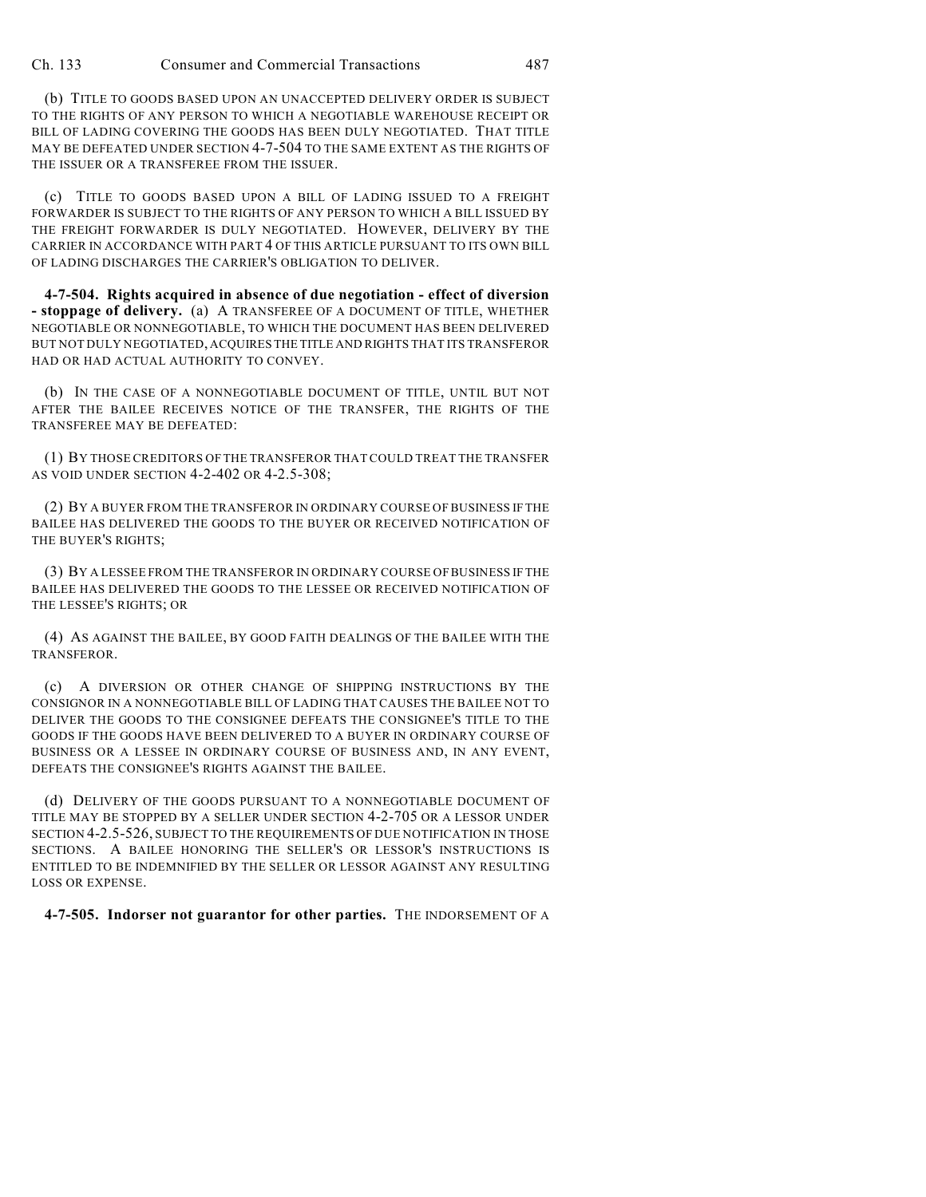Ch. 133 Consumer and Commercial Transactions 487

(b) TITLE TO GOODS BASED UPON AN UNACCEPTED DELIVERY ORDER IS SUBJECT TO THE RIGHTS OF ANY PERSON TO WHICH A NEGOTIABLE WAREHOUSE RECEIPT OR BILL OF LADING COVERING THE GOODS HAS BEEN DULY NEGOTIATED. THAT TITLE MAY BE DEFEATED UNDER SECTION 4-7-504 TO THE SAME EXTENT AS THE RIGHTS OF THE ISSUER OR A TRANSFEREE FROM THE ISSUER.

(c) TITLE TO GOODS BASED UPON A BILL OF LADING ISSUED TO A FREIGHT FORWARDER IS SUBJECT TO THE RIGHTS OF ANY PERSON TO WHICH A BILL ISSUED BY THE FREIGHT FORWARDER IS DULY NEGOTIATED. HOWEVER, DELIVERY BY THE CARRIER IN ACCORDANCE WITH PART 4 OF THIS ARTICLE PURSUANT TO ITS OWN BILL OF LADING DISCHARGES THE CARRIER'S OBLIGATION TO DELIVER.

**4-7-504. Rights acquired in absence of due negotiation - effect of diversion - stoppage of delivery.** (a) A TRANSFEREE OF A DOCUMENT OF TITLE, WHETHER NEGOTIABLE OR NONNEGOTIABLE, TO WHICH THE DOCUMENT HAS BEEN DELIVERED BUT NOT DULY NEGOTIATED, ACQUIRES THE TITLE AND RIGHTS THAT ITS TRANSFEROR HAD OR HAD ACTUAL AUTHORITY TO CONVEY.

(b) IN THE CASE OF A NONNEGOTIABLE DOCUMENT OF TITLE, UNTIL BUT NOT AFTER THE BAILEE RECEIVES NOTICE OF THE TRANSFER, THE RIGHTS OF THE TRANSFEREE MAY BE DEFEATED:

(1) BY THOSE CREDITORS OF THE TRANSFEROR THAT COULD TREAT THE TRANSFER AS VOID UNDER SECTION 4-2-402 OR 4-2.5-308;

(2) BY A BUYER FROM THE TRANSFEROR IN ORDINARY COURSE OF BUSINESS IF THE BAILEE HAS DELIVERED THE GOODS TO THE BUYER OR RECEIVED NOTIFICATION OF THE BUYER'S RIGHTS;

(3) BY A LESSEE FROM THE TRANSFEROR IN ORDINARY COURSE OF BUSINESS IF THE BAILEE HAS DELIVERED THE GOODS TO THE LESSEE OR RECEIVED NOTIFICATION OF THE LESSEE'S RIGHTS; OR

(4) AS AGAINST THE BAILEE, BY GOOD FAITH DEALINGS OF THE BAILEE WITH THE TRANSFEROR.

(c) A DIVERSION OR OTHER CHANGE OF SHIPPING INSTRUCTIONS BY THE CONSIGNOR IN A NONNEGOTIABLE BILL OF LADING THAT CAUSES THE BAILEE NOT TO DELIVER THE GOODS TO THE CONSIGNEE DEFEATS THE CONSIGNEE'S TITLE TO THE GOODS IF THE GOODS HAVE BEEN DELIVERED TO A BUYER IN ORDINARY COURSE OF BUSINESS OR A LESSEE IN ORDINARY COURSE OF BUSINESS AND, IN ANY EVENT, DEFEATS THE CONSIGNEE'S RIGHTS AGAINST THE BAILEE.

(d) DELIVERY OF THE GOODS PURSUANT TO A NONNEGOTIABLE DOCUMENT OF TITLE MAY BE STOPPED BY A SELLER UNDER SECTION 4-2-705 OR A LESSOR UNDER SECTION 4-2.5-526, SUBJECT TO THE REQUIREMENTS OF DUE NOTIFICATION IN THOSE SECTIONS. A BAILEE HONORING THE SELLER'S OR LESSOR'S INSTRUCTIONS IS ENTITLED TO BE INDEMNIFIED BY THE SELLER OR LESSOR AGAINST ANY RESULTING LOSS OR EXPENSE.

**4-7-505. Indorser not guarantor for other parties.** THE INDORSEMENT OF A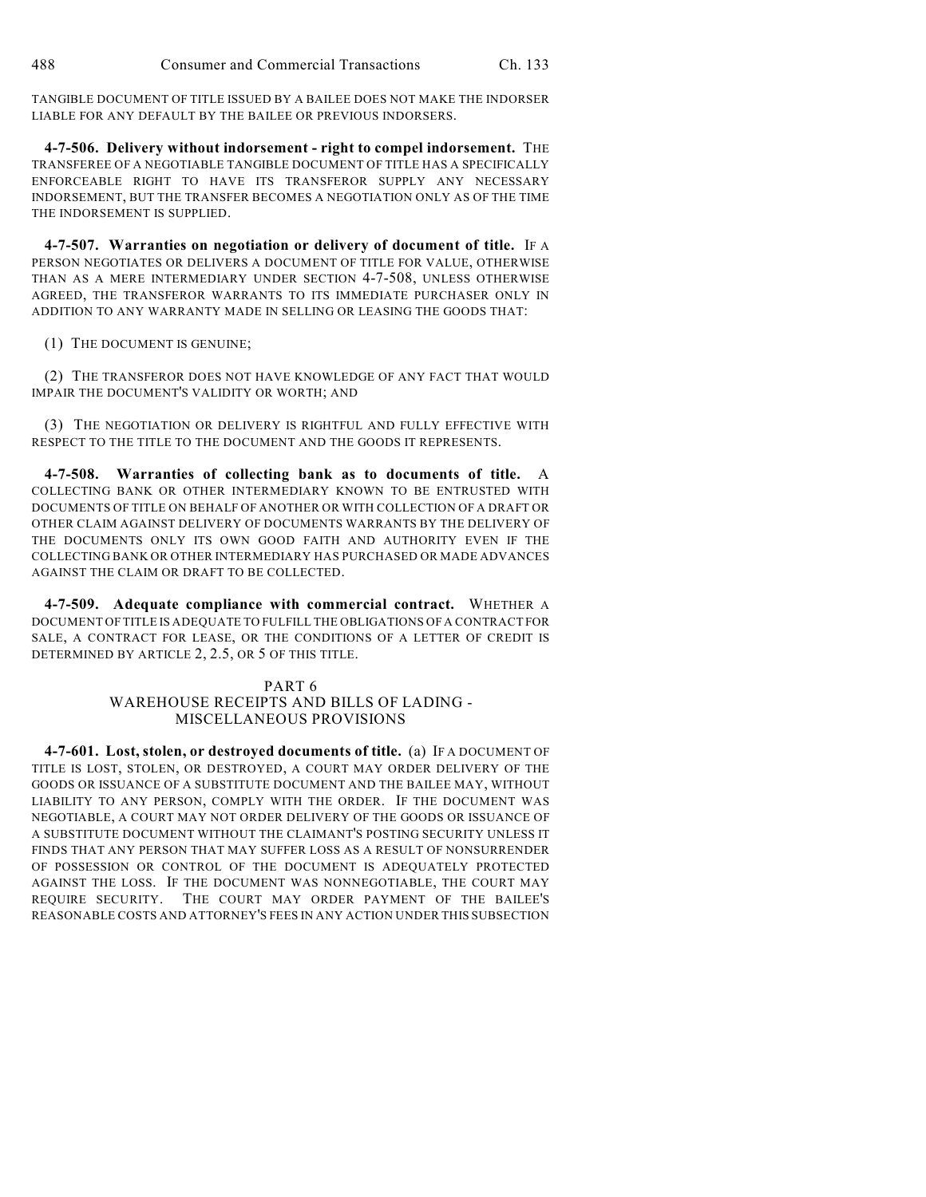TANGIBLE DOCUMENT OF TITLE ISSUED BY A BAILEE DOES NOT MAKE THE INDORSER LIABLE FOR ANY DEFAULT BY THE BAILEE OR PREVIOUS INDORSERS.

**4-7-506. Delivery without indorsement - right to compel indorsement.** THE TRANSFEREE OF A NEGOTIABLE TANGIBLE DOCUMENT OF TITLE HAS A SPECIFICALLY ENFORCEABLE RIGHT TO HAVE ITS TRANSFEROR SUPPLY ANY NECESSARY INDORSEMENT, BUT THE TRANSFER BECOMES A NEGOTIATION ONLY AS OF THE TIME THE INDORSEMENT IS SUPPLIED.

**4-7-507. Warranties on negotiation or delivery of document of title.** IF A PERSON NEGOTIATES OR DELIVERS A DOCUMENT OF TITLE FOR VALUE, OTHERWISE THAN AS A MERE INTERMEDIARY UNDER SECTION 4-7-508, UNLESS OTHERWISE AGREED, THE TRANSFEROR WARRANTS TO ITS IMMEDIATE PURCHASER ONLY IN ADDITION TO ANY WARRANTY MADE IN SELLING OR LEASING THE GOODS THAT:

(1) THE DOCUMENT IS GENUINE;

(2) THE TRANSFEROR DOES NOT HAVE KNOWLEDGE OF ANY FACT THAT WOULD IMPAIR THE DOCUMENT'S VALIDITY OR WORTH; AND

(3) THE NEGOTIATION OR DELIVERY IS RIGHTFUL AND FULLY EFFECTIVE WITH RESPECT TO THE TITLE TO THE DOCUMENT AND THE GOODS IT REPRESENTS.

**4-7-508. Warranties of collecting bank as to documents of title.** A COLLECTING BANK OR OTHER INTERMEDIARY KNOWN TO BE ENTRUSTED WITH DOCUMENTS OF TITLE ON BEHALF OF ANOTHER OR WITH COLLECTION OF A DRAFT OR OTHER CLAIM AGAINST DELIVERY OF DOCUMENTS WARRANTS BY THE DELIVERY OF THE DOCUMENTS ONLY ITS OWN GOOD FAITH AND AUTHORITY EVEN IF THE COLLECTING BANK OR OTHER INTERMEDIARY HAS PURCHASED OR MADE ADVANCES AGAINST THE CLAIM OR DRAFT TO BE COLLECTED.

**4-7-509. Adequate compliance with commercial contract.** WHETHER A DOCUMENT OF TITLE IS ADEQUATE TO FULFILL THE OBLIGATIONS OF A CONTRACT FOR SALE, A CONTRACT FOR LEASE, OR THE CONDITIONS OF A LETTER OF CREDIT IS DETERMINED BY ARTICLE 2, 2.5, OR 5 OF THIS TITLE.

## PART 6 WAREHOUSE RECEIPTS AND BILLS OF LADING - MISCELLANEOUS PROVISIONS

**4-7-601. Lost, stolen, or destroyed documents of title.** (a) IF A DOCUMENT OF TITLE IS LOST, STOLEN, OR DESTROYED, A COURT MAY ORDER DELIVERY OF THE GOODS OR ISSUANCE OF A SUBSTITUTE DOCUMENT AND THE BAILEE MAY, WITHOUT LIABILITY TO ANY PERSON, COMPLY WITH THE ORDER. IF THE DOCUMENT WAS NEGOTIABLE, A COURT MAY NOT ORDER DELIVERY OF THE GOODS OR ISSUANCE OF A SUBSTITUTE DOCUMENT WITHOUT THE CLAIMANT'S POSTING SECURITY UNLESS IT FINDS THAT ANY PERSON THAT MAY SUFFER LOSS AS A RESULT OF NONSURRENDER OF POSSESSION OR CONTROL OF THE DOCUMENT IS ADEQUATELY PROTECTED AGAINST THE LOSS. IF THE DOCUMENT WAS NONNEGOTIABLE, THE COURT MAY REQUIRE SECURITY. THE COURT MAY ORDER PAYMENT OF THE BAILEE'S REASONABLE COSTS AND ATTORNEY'S FEES IN ANY ACTION UNDER THIS SUBSECTION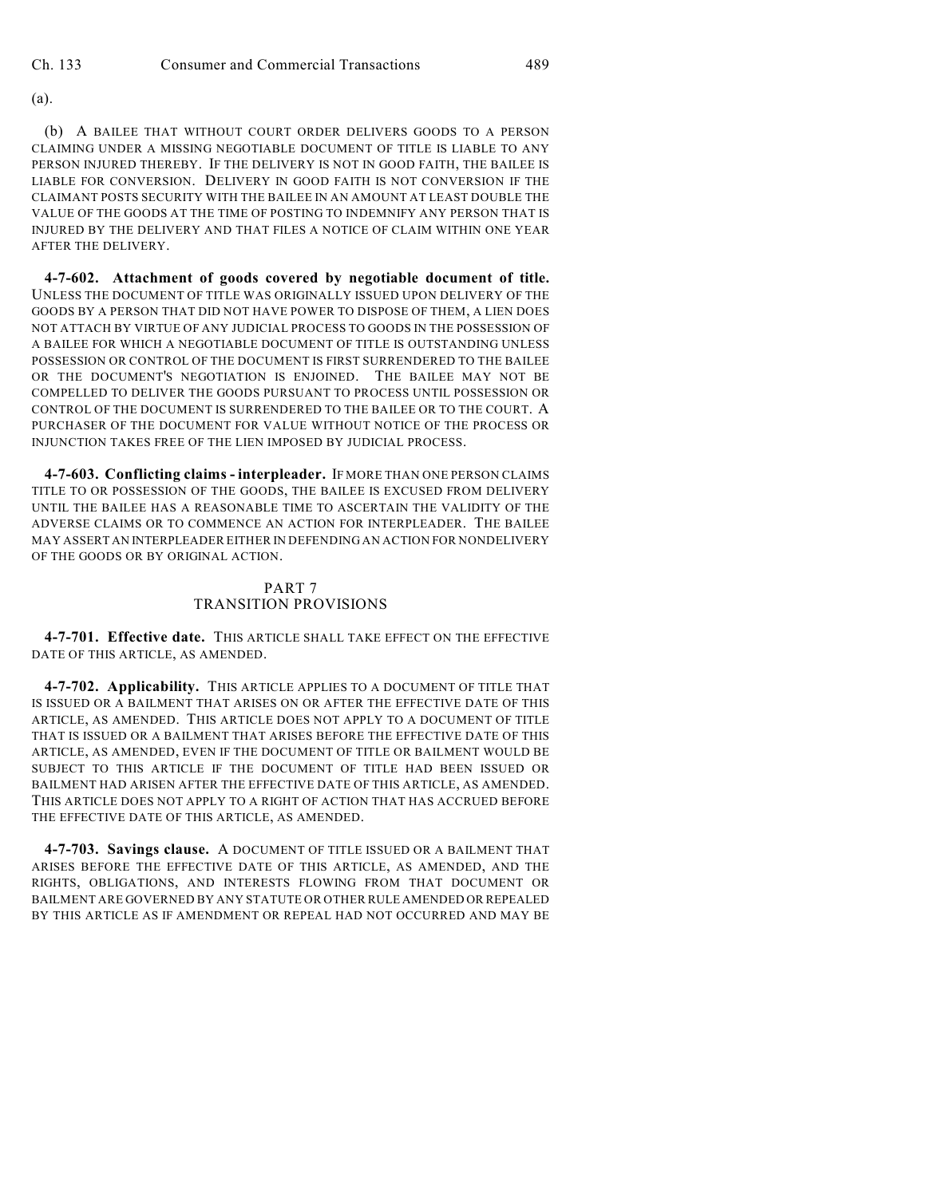(a).

(b) A BAILEE THAT WITHOUT COURT ORDER DELIVERS GOODS TO A PERSON CLAIMING UNDER A MISSING NEGOTIABLE DOCUMENT OF TITLE IS LIABLE TO ANY PERSON INJURED THEREBY. IF THE DELIVERY IS NOT IN GOOD FAITH, THE BAILEE IS LIABLE FOR CONVERSION. DELIVERY IN GOOD FAITH IS NOT CONVERSION IF THE CLAIMANT POSTS SECURITY WITH THE BAILEE IN AN AMOUNT AT LEAST DOUBLE THE VALUE OF THE GOODS AT THE TIME OF POSTING TO INDEMNIFY ANY PERSON THAT IS INJURED BY THE DELIVERY AND THAT FILES A NOTICE OF CLAIM WITHIN ONE YEAR AFTER THE DELIVERY.

**4-7-602. Attachment of goods covered by negotiable document of title.** UNLESS THE DOCUMENT OF TITLE WAS ORIGINALLY ISSUED UPON DELIVERY OF THE GOODS BY A PERSON THAT DID NOT HAVE POWER TO DISPOSE OF THEM, A LIEN DOES NOT ATTACH BY VIRTUE OF ANY JUDICIAL PROCESS TO GOODS IN THE POSSESSION OF A BAILEE FOR WHICH A NEGOTIABLE DOCUMENT OF TITLE IS OUTSTANDING UNLESS POSSESSION OR CONTROL OF THE DOCUMENT IS FIRST SURRENDERED TO THE BAILEE OR THE DOCUMENT'S NEGOTIATION IS ENJOINED. THE BAILEE MAY NOT BE COMPELLED TO DELIVER THE GOODS PURSUANT TO PROCESS UNTIL POSSESSION OR CONTROL OF THE DOCUMENT IS SURRENDERED TO THE BAILEE OR TO THE COURT. A PURCHASER OF THE DOCUMENT FOR VALUE WITHOUT NOTICE OF THE PROCESS OR INJUNCTION TAKES FREE OF THE LIEN IMPOSED BY JUDICIAL PROCESS.

**4-7-603. Conflicting claims - interpleader.** IF MORE THAN ONE PERSON CLAIMS TITLE TO OR POSSESSION OF THE GOODS, THE BAILEE IS EXCUSED FROM DELIVERY UNTIL THE BAILEE HAS A REASONABLE TIME TO ASCERTAIN THE VALIDITY OF THE ADVERSE CLAIMS OR TO COMMENCE AN ACTION FOR INTERPLEADER. THE BAILEE MAY ASSERT AN INTERPLEADER EITHER IN DEFENDING AN ACTION FOR NONDELIVERY OF THE GOODS OR BY ORIGINAL ACTION.

# PART 7 TRANSITION PROVISIONS

**4-7-701. Effective date.** THIS ARTICLE SHALL TAKE EFFECT ON THE EFFECTIVE DATE OF THIS ARTICLE, AS AMENDED.

**4-7-702. Applicability.** THIS ARTICLE APPLIES TO A DOCUMENT OF TITLE THAT IS ISSUED OR A BAILMENT THAT ARISES ON OR AFTER THE EFFECTIVE DATE OF THIS ARTICLE, AS AMENDED. THIS ARTICLE DOES NOT APPLY TO A DOCUMENT OF TITLE THAT IS ISSUED OR A BAILMENT THAT ARISES BEFORE THE EFFECTIVE DATE OF THIS ARTICLE, AS AMENDED, EVEN IF THE DOCUMENT OF TITLE OR BAILMENT WOULD BE SUBJECT TO THIS ARTICLE IF THE DOCUMENT OF TITLE HAD BEEN ISSUED OR BAILMENT HAD ARISEN AFTER THE EFFECTIVE DATE OF THIS ARTICLE, AS AMENDED. THIS ARTICLE DOES NOT APPLY TO A RIGHT OF ACTION THAT HAS ACCRUED BEFORE THE EFFECTIVE DATE OF THIS ARTICLE, AS AMENDED.

**4-7-703. Savings clause.** A DOCUMENT OF TITLE ISSUED OR A BAILMENT THAT ARISES BEFORE THE EFFECTIVE DATE OF THIS ARTICLE, AS AMENDED, AND THE RIGHTS, OBLIGATIONS, AND INTERESTS FLOWING FROM THAT DOCUMENT OR BAILMENT ARE GOVERNED BY ANY STATUTE OR OTHER RULE AMENDED OR REPEALED BY THIS ARTICLE AS IF AMENDMENT OR REPEAL HAD NOT OCCURRED AND MAY BE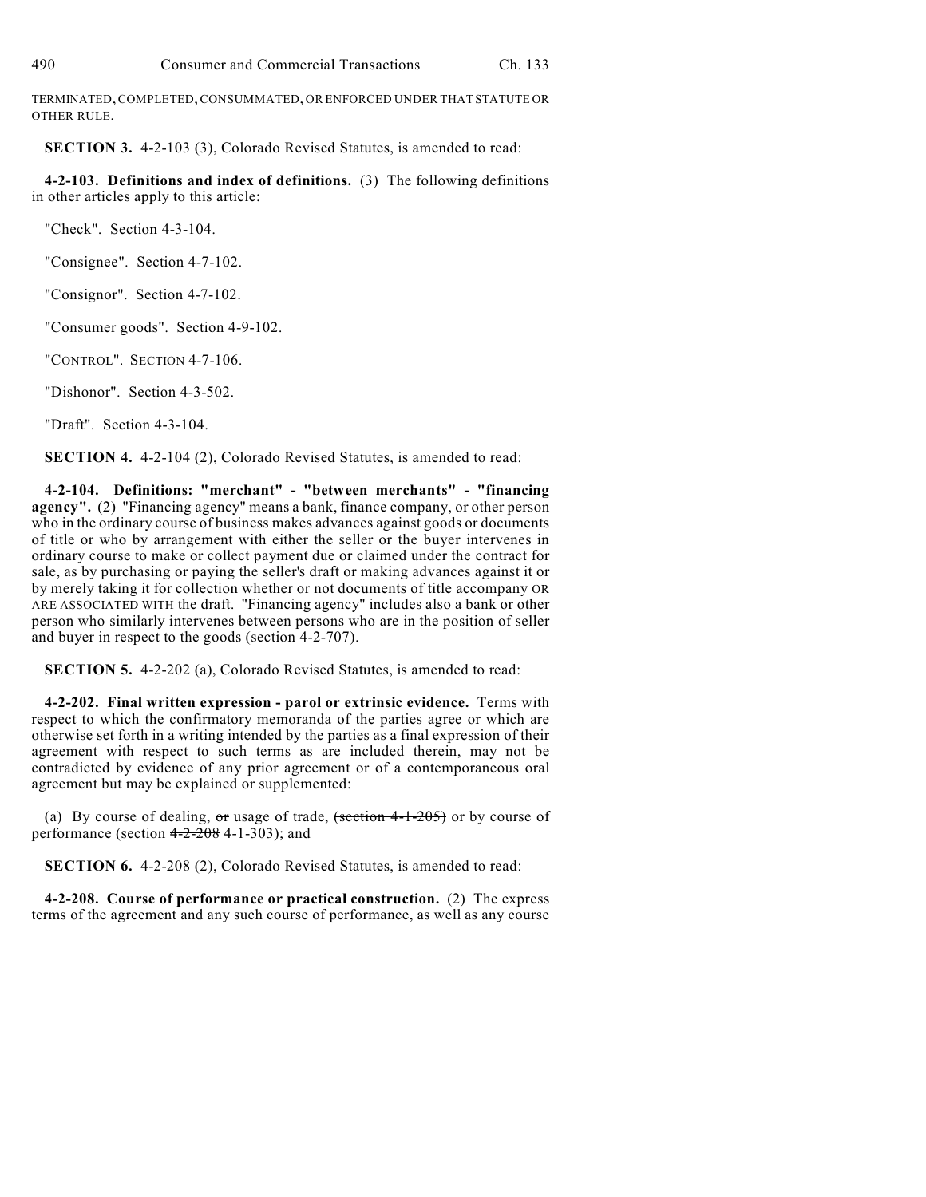TERMINATED, COMPLETED, CONSUMMATED, OR ENFORCED UNDER THAT STATUTE OR OTHER RULE.

**SECTION 3.** 4-2-103 (3), Colorado Revised Statutes, is amended to read:

**4-2-103. Definitions and index of definitions.** (3) The following definitions in other articles apply to this article:

"Check". Section 4-3-104.

"Consignee". Section 4-7-102.

"Consignor". Section 4-7-102.

"Consumer goods". Section 4-9-102.

"CONTROL". SECTION 4-7-106.

"Dishonor". Section 4-3-502.

"Draft". Section 4-3-104.

**SECTION 4.** 4-2-104 (2), Colorado Revised Statutes, is amended to read:

**4-2-104. Definitions: "merchant" - "between merchants" - "financing agency".** (2) "Financing agency" means a bank, finance company, or other person who in the ordinary course of business makes advances against goods or documents of title or who by arrangement with either the seller or the buyer intervenes in ordinary course to make or collect payment due or claimed under the contract for sale, as by purchasing or paying the seller's draft or making advances against it or by merely taking it for collection whether or not documents of title accompany OR ARE ASSOCIATED WITH the draft. "Financing agency" includes also a bank or other person who similarly intervenes between persons who are in the position of seller and buyer in respect to the goods (section 4-2-707).

**SECTION 5.** 4-2-202 (a), Colorado Revised Statutes, is amended to read:

**4-2-202. Final written expression - parol or extrinsic evidence.** Terms with respect to which the confirmatory memoranda of the parties agree or which are otherwise set forth in a writing intended by the parties as a final expression of their agreement with respect to such terms as are included therein, may not be contradicted by evidence of any prior agreement or of a contemporaneous oral agreement but may be explained or supplemented:

(a) By course of dealing,  $\sigma r$  usage of trade, (section 4-1-205) or by course of performance (section  $4-2-208$  4-1-303); and

**SECTION 6.** 4-2-208 (2), Colorado Revised Statutes, is amended to read:

**4-2-208. Course of performance or practical construction.** (2) The express terms of the agreement and any such course of performance, as well as any course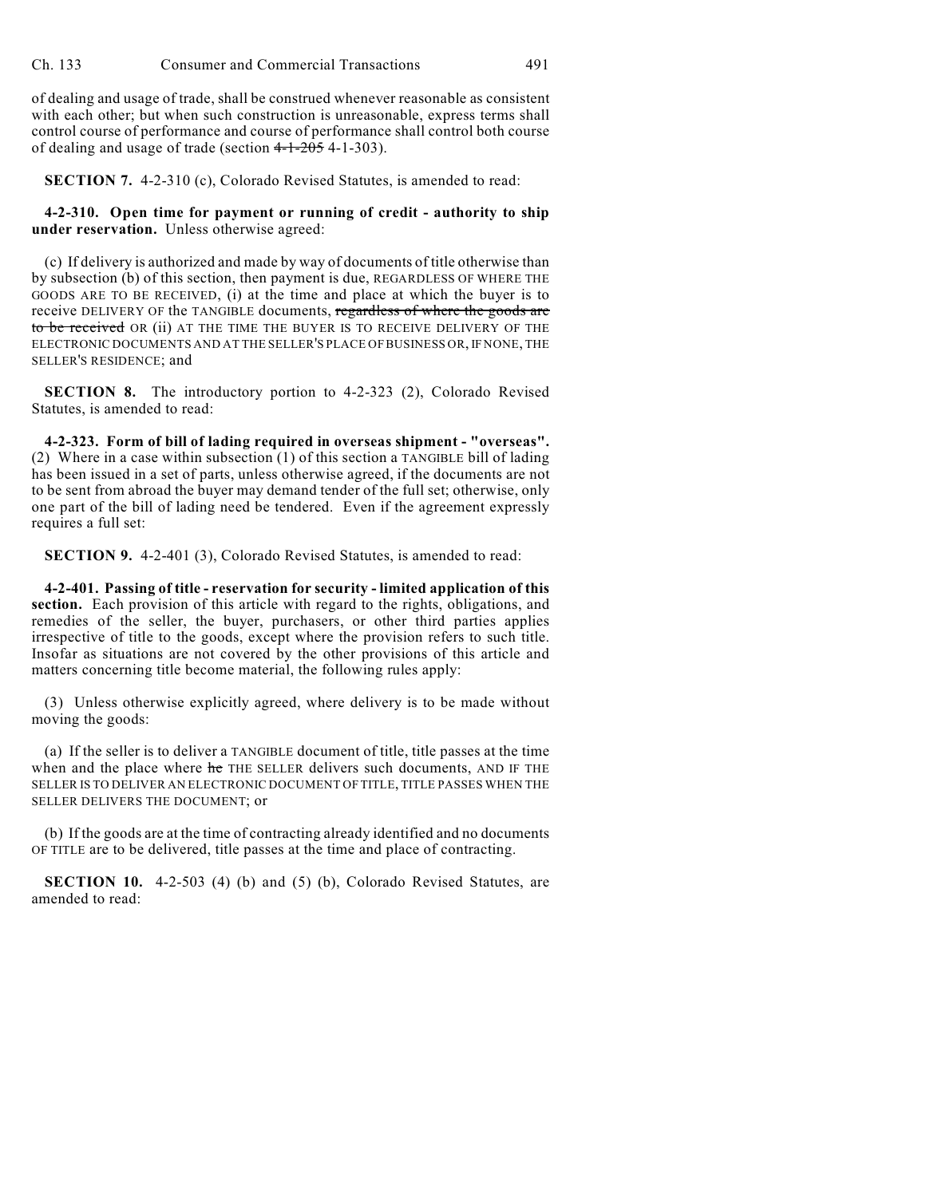of dealing and usage of trade, shall be construed whenever reasonable as consistent with each other; but when such construction is unreasonable, express terms shall control course of performance and course of performance shall control both course of dealing and usage of trade (section 4-1-205 4-1-303).

**SECTION 7.** 4-2-310 (c), Colorado Revised Statutes, is amended to read:

**4-2-310. Open time for payment or running of credit - authority to ship under reservation.** Unless otherwise agreed:

(c) If delivery is authorized and made by way of documents of title otherwise than by subsection (b) of this section, then payment is due, REGARDLESS OF WHERE THE GOODS ARE TO BE RECEIVED, (i) at the time and place at which the buyer is to receive DELIVERY OF the TANGIBLE documents, regardless of where the goods are to be received OR (ii) AT THE TIME THE BUYER IS TO RECEIVE DELIVERY OF THE ELECTRONIC DOCUMENTS AND AT THE SELLER'S PLACE OF BUSINESS OR, IF NONE, THE SELLER'S RESIDENCE; and

**SECTION 8.** The introductory portion to 4-2-323 (2), Colorado Revised Statutes, is amended to read:

**4-2-323. Form of bill of lading required in overseas shipment - "overseas".** (2) Where in a case within subsection (1) of this section a TANGIBLE bill of lading has been issued in a set of parts, unless otherwise agreed, if the documents are not to be sent from abroad the buyer may demand tender of the full set; otherwise, only one part of the bill of lading need be tendered. Even if the agreement expressly requires a full set:

**SECTION 9.** 4-2-401 (3), Colorado Revised Statutes, is amended to read:

**4-2-401. Passing of title - reservation for security - limited application of this section.** Each provision of this article with regard to the rights, obligations, and remedies of the seller, the buyer, purchasers, or other third parties applies irrespective of title to the goods, except where the provision refers to such title. Insofar as situations are not covered by the other provisions of this article and matters concerning title become material, the following rules apply:

(3) Unless otherwise explicitly agreed, where delivery is to be made without moving the goods:

(a) If the seller is to deliver a TANGIBLE document of title, title passes at the time when and the place where he THE SELLER delivers such documents, AND IF THE SELLER IS TO DELIVER AN ELECTRONIC DOCUMENT OF TITLE, TITLE PASSES WHEN THE SELLER DELIVERS THE DOCUMENT; or

(b) If the goods are at the time of contracting already identified and no documents OF TITLE are to be delivered, title passes at the time and place of contracting.

**SECTION 10.** 4-2-503 (4) (b) and (5) (b), Colorado Revised Statutes, are amended to read: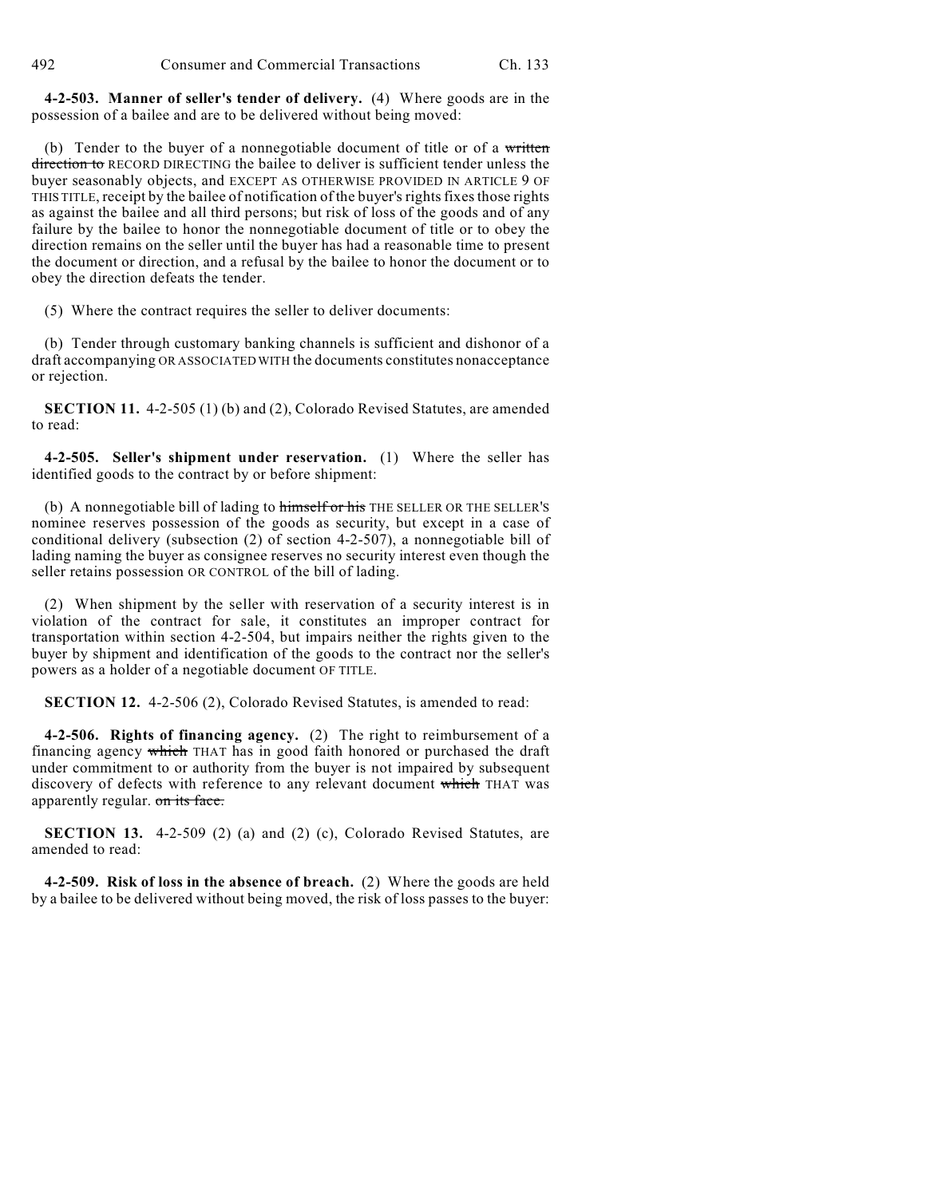**4-2-503. Manner of seller's tender of delivery.** (4) Where goods are in the possession of a bailee and are to be delivered without being moved:

(b) Tender to the buyer of a nonnegotiable document of title or of a written direction to RECORD DIRECTING the bailee to deliver is sufficient tender unless the buyer seasonably objects, and EXCEPT AS OTHERWISE PROVIDED IN ARTICLE 9 OF THIS TITLE, receipt by the bailee of notification of the buyer's rights fixes those rights as against the bailee and all third persons; but risk of loss of the goods and of any failure by the bailee to honor the nonnegotiable document of title or to obey the direction remains on the seller until the buyer has had a reasonable time to present the document or direction, and a refusal by the bailee to honor the document or to obey the direction defeats the tender.

(5) Where the contract requires the seller to deliver documents:

(b) Tender through customary banking channels is sufficient and dishonor of a draft accompanying OR ASSOCIATED WITH the documents constitutes nonacceptance or rejection.

**SECTION 11.** 4-2-505 (1) (b) and (2), Colorado Revised Statutes, are amended to read:

**4-2-505. Seller's shipment under reservation.** (1) Where the seller has identified goods to the contract by or before shipment:

(b) A nonnegotiable bill of lading to himself or his THE SELLER OR THE SELLER'S nominee reserves possession of the goods as security, but except in a case of conditional delivery (subsection (2) of section 4-2-507), a nonnegotiable bill of lading naming the buyer as consignee reserves no security interest even though the seller retains possession OR CONTROL of the bill of lading.

(2) When shipment by the seller with reservation of a security interest is in violation of the contract for sale, it constitutes an improper contract for transportation within section 4-2-504, but impairs neither the rights given to the buyer by shipment and identification of the goods to the contract nor the seller's powers as a holder of a negotiable document OF TITLE.

**SECTION 12.** 4-2-506 (2), Colorado Revised Statutes, is amended to read:

**4-2-506. Rights of financing agency.** (2) The right to reimbursement of a financing agency which THAT has in good faith honored or purchased the draft under commitment to or authority from the buyer is not impaired by subsequent discovery of defects with reference to any relevant document which THAT was apparently regular. on its face.

**SECTION 13.** 4-2-509 (2) (a) and (2) (c), Colorado Revised Statutes, are amended to read:

**4-2-509. Risk of loss in the absence of breach.** (2) Where the goods are held by a bailee to be delivered without being moved, the risk of loss passes to the buyer: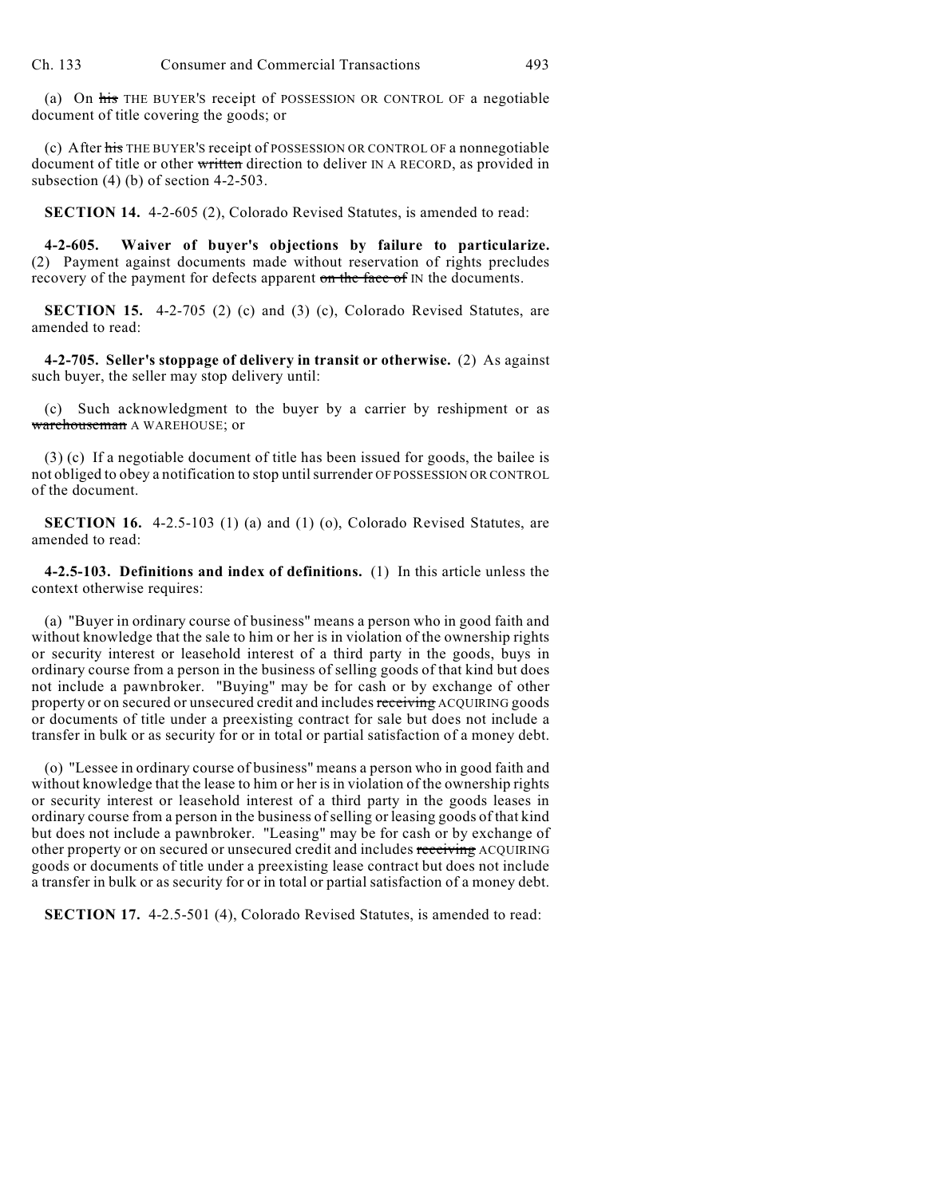Ch. 133 Consumer and Commercial Transactions 493

(a) On his THE BUYER'S receipt of POSSESSION OR CONTROL OF a negotiable document of title covering the goods; or

(c) After his THE BUYER'S receipt of POSSESSION OR CONTROL OF a nonnegotiable document of title or other written direction to deliver IN A RECORD, as provided in subsection (4) (b) of section 4-2-503.

**SECTION 14.** 4-2-605 (2), Colorado Revised Statutes, is amended to read:

**4-2-605. Waiver of buyer's objections by failure to particularize.** (2) Payment against documents made without reservation of rights precludes recovery of the payment for defects apparent on the face of IN the documents.

**SECTION 15.** 4-2-705 (2) (c) and (3) (c), Colorado Revised Statutes, are amended to read:

**4-2-705. Seller's stoppage of delivery in transit or otherwise.** (2) As against such buyer, the seller may stop delivery until:

(c) Such acknowledgment to the buyer by a carrier by reshipment or as warehouseman A WAREHOUSE; or

(3) (c) If a negotiable document of title has been issued for goods, the bailee is not obliged to obey a notification to stop until surrender OF POSSESSION OR CONTROL of the document.

**SECTION 16.** 4-2.5-103 (1) (a) and (1) (o), Colorado Revised Statutes, are amended to read:

**4-2.5-103. Definitions and index of definitions.** (1) In this article unless the context otherwise requires:

(a) "Buyer in ordinary course of business" means a person who in good faith and without knowledge that the sale to him or her is in violation of the ownership rights or security interest or leasehold interest of a third party in the goods, buys in ordinary course from a person in the business of selling goods of that kind but does not include a pawnbroker. "Buying" may be for cash or by exchange of other property or on secured or unsecured credit and includes receiving ACQUIRING goods or documents of title under a preexisting contract for sale but does not include a transfer in bulk or as security for or in total or partial satisfaction of a money debt.

(o) "Lessee in ordinary course of business" means a person who in good faith and without knowledge that the lease to him or her is in violation of the ownership rights or security interest or leasehold interest of a third party in the goods leases in ordinary course from a person in the business of selling or leasing goods of that kind but does not include a pawnbroker. "Leasing" may be for cash or by exchange of other property or on secured or unsecured credit and includes receiving ACQUIRING goods or documents of title under a preexisting lease contract but does not include a transfer in bulk or as security for or in total or partial satisfaction of a money debt.

**SECTION 17.** 4-2.5-501 (4), Colorado Revised Statutes, is amended to read: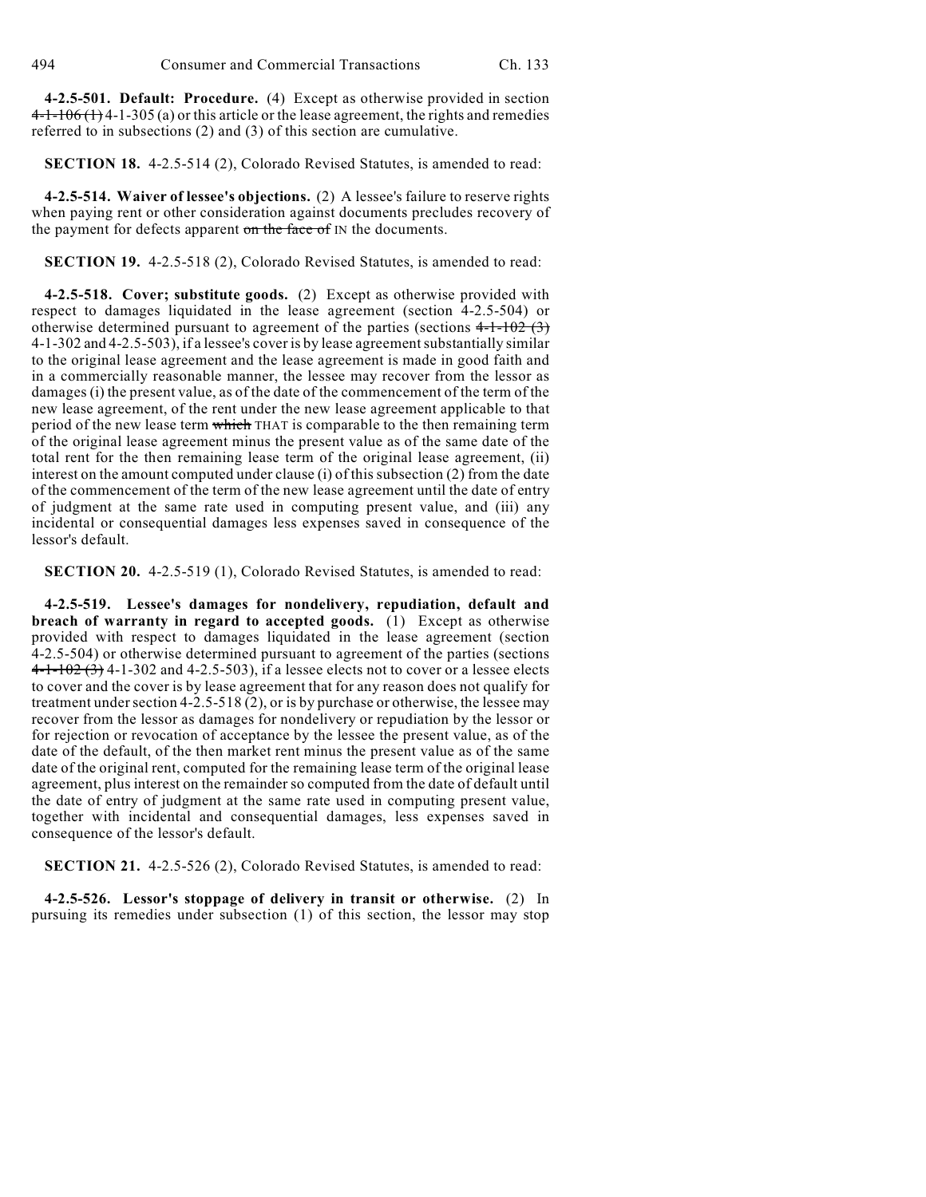**4-2.5-501. Default: Procedure.** (4) Except as otherwise provided in section  $4-1-106(1)$  4-1-305 (a) or this article or the lease agreement, the rights and remedies referred to in subsections (2) and (3) of this section are cumulative.

**SECTION 18.** 4-2.5-514 (2), Colorado Revised Statutes, is amended to read:

**4-2.5-514. Waiver of lessee's objections.** (2) A lessee's failure to reserve rights when paying rent or other consideration against documents precludes recovery of the payment for defects apparent on the face of IN the documents.

**SECTION 19.** 4-2.5-518 (2), Colorado Revised Statutes, is amended to read:

**4-2.5-518. Cover; substitute goods.** (2) Except as otherwise provided with respect to damages liquidated in the lease agreement (section 4-2.5-504) or otherwise determined pursuant to agreement of the parties (sections  $4-1-102$   $(3)$ ) 4-1-302 and 4-2.5-503), if a lessee's cover is by lease agreement substantially similar to the original lease agreement and the lease agreement is made in good faith and in a commercially reasonable manner, the lessee may recover from the lessor as damages (i) the present value, as of the date of the commencement of the term of the new lease agreement, of the rent under the new lease agreement applicable to that period of the new lease term which THAT is comparable to the then remaining term of the original lease agreement minus the present value as of the same date of the total rent for the then remaining lease term of the original lease agreement, (ii) interest on the amount computed under clause (i) of this subsection (2) from the date of the commencement of the term of the new lease agreement until the date of entry of judgment at the same rate used in computing present value, and (iii) any incidental or consequential damages less expenses saved in consequence of the lessor's default.

**SECTION 20.** 4-2.5-519 (1), Colorado Revised Statutes, is amended to read:

**4-2.5-519. Lessee's damages for nondelivery, repudiation, default and breach of warranty in regard to accepted goods.** (1) Except as otherwise provided with respect to damages liquidated in the lease agreement (section 4-2.5-504) or otherwise determined pursuant to agreement of the parties (sections  $4-1-102$  (3)  $4-1-302$  and  $4-2.5-503$ ), if a lessee elects not to cover or a lessee elects to cover and the cover is by lease agreement that for any reason does not qualify for treatment under section 4-2.5-518 (2), or is by purchase or otherwise, the lessee may recover from the lessor as damages for nondelivery or repudiation by the lessor or for rejection or revocation of acceptance by the lessee the present value, as of the date of the default, of the then market rent minus the present value as of the same date of the original rent, computed for the remaining lease term of the original lease agreement, plus interest on the remainder so computed from the date of default until the date of entry of judgment at the same rate used in computing present value, together with incidental and consequential damages, less expenses saved in consequence of the lessor's default.

**SECTION 21.** 4-2.5-526 (2), Colorado Revised Statutes, is amended to read:

**4-2.5-526. Lessor's stoppage of delivery in transit or otherwise.** (2) In pursuing its remedies under subsection (1) of this section, the lessor may stop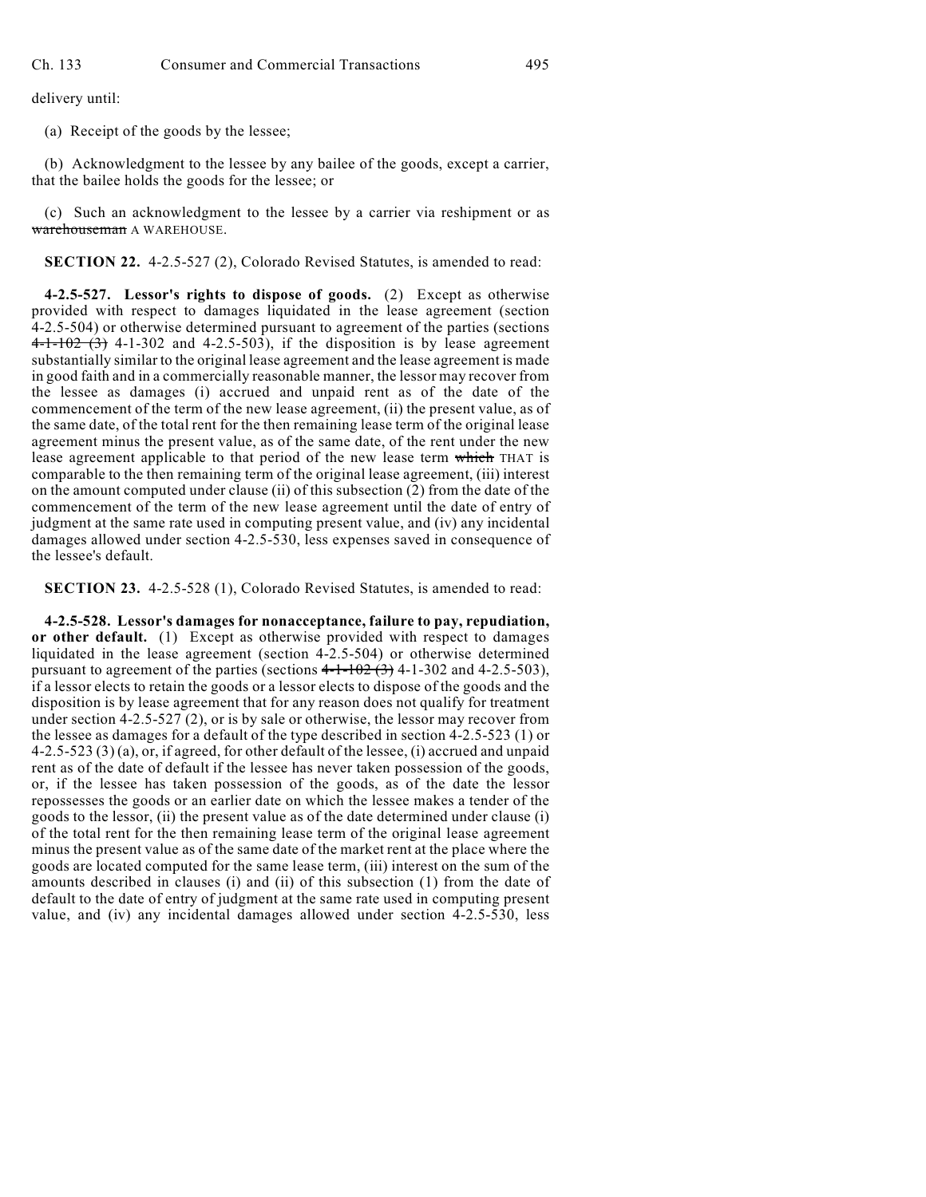delivery until:

(a) Receipt of the goods by the lessee;

(b) Acknowledgment to the lessee by any bailee of the goods, except a carrier, that the bailee holds the goods for the lessee; or

(c) Such an acknowledgment to the lessee by a carrier via reshipment or as warehouseman A WAREHOUSE.

**SECTION 22.** 4-2.5-527 (2), Colorado Revised Statutes, is amended to read:

**4-2.5-527. Lessor's rights to dispose of goods.** (2) Except as otherwise provided with respect to damages liquidated in the lease agreement (section 4-2.5-504) or otherwise determined pursuant to agreement of the parties (sections  $4-1-102$  (3) 4-1-302 and 4-2.5-503), if the disposition is by lease agreement substantially similar to the original lease agreement and the lease agreement is made in good faith and in a commercially reasonable manner, the lessor may recover from the lessee as damages (i) accrued and unpaid rent as of the date of the commencement of the term of the new lease agreement, (ii) the present value, as of the same date, of the total rent for the then remaining lease term of the original lease agreement minus the present value, as of the same date, of the rent under the new lease agreement applicable to that period of the new lease term which THAT is comparable to the then remaining term of the original lease agreement, (iii) interest on the amount computed under clause (ii) of this subsection (2) from the date of the commencement of the term of the new lease agreement until the date of entry of judgment at the same rate used in computing present value, and (iv) any incidental damages allowed under section 4-2.5-530, less expenses saved in consequence of the lessee's default.

**SECTION 23.** 4-2.5-528 (1), Colorado Revised Statutes, is amended to read:

**4-2.5-528. Lessor's damages for nonacceptance, failure to pay, repudiation, or other default.** (1) Except as otherwise provided with respect to damages liquidated in the lease agreement (section 4-2.5-504) or otherwise determined pursuant to agreement of the parties (sections  $4-1-102$  (3) 4-1-302 and 4-2.5-503), if a lessor elects to retain the goods or a lessor elects to dispose of the goods and the disposition is by lease agreement that for any reason does not qualify for treatment under section 4-2.5-527 (2), or is by sale or otherwise, the lessor may recover from the lessee as damages for a default of the type described in section 4-2.5-523 (1) or 4-2.5-523 (3) (a), or, if agreed, for other default of the lessee, (i) accrued and unpaid rent as of the date of default if the lessee has never taken possession of the goods, or, if the lessee has taken possession of the goods, as of the date the lessor repossesses the goods or an earlier date on which the lessee makes a tender of the goods to the lessor, (ii) the present value as of the date determined under clause (i) of the total rent for the then remaining lease term of the original lease agreement minus the present value as of the same date of the market rent at the place where the goods are located computed for the same lease term, (iii) interest on the sum of the amounts described in clauses (i) and (ii) of this subsection (1) from the date of default to the date of entry of judgment at the same rate used in computing present value, and (iv) any incidental damages allowed under section 4-2.5-530, less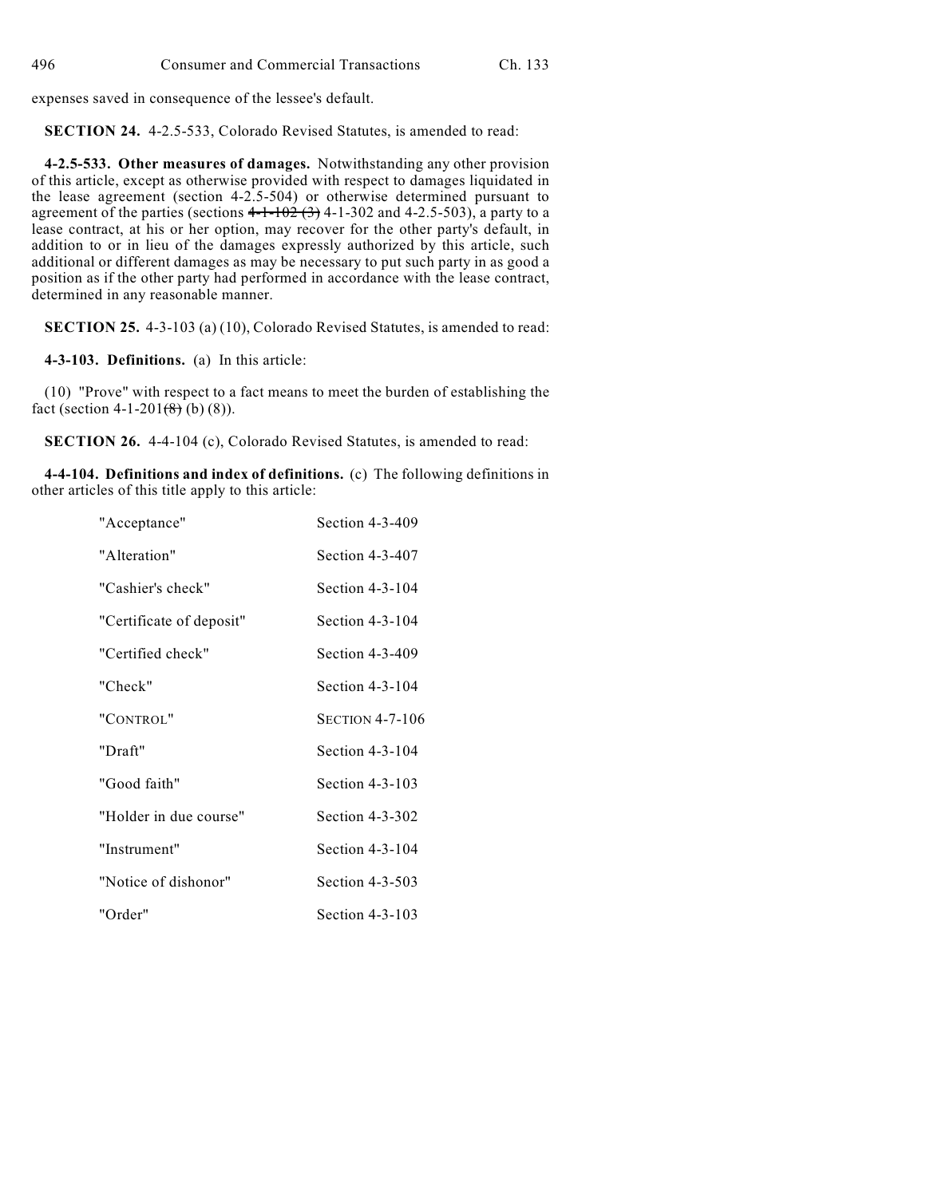expenses saved in consequence of the lessee's default.

**SECTION 24.** 4-2.5-533, Colorado Revised Statutes, is amended to read:

**4-2.5-533. Other measures of damages.** Notwithstanding any other provision of this article, except as otherwise provided with respect to damages liquidated in the lease agreement (section 4-2.5-504) or otherwise determined pursuant to agreement of the parties (sections  $4-1-102$  (3) 4-1-302 and 4-2.5-503), a party to a lease contract, at his or her option, may recover for the other party's default, in addition to or in lieu of the damages expressly authorized by this article, such additional or different damages as may be necessary to put such party in as good a position as if the other party had performed in accordance with the lease contract, determined in any reasonable manner.

**SECTION 25.** 4-3-103 (a) (10), Colorado Revised Statutes, is amended to read:

**4-3-103. Definitions.** (a) In this article:

(10) "Prove" with respect to a fact means to meet the burden of establishing the fact (section 4-1-201<del>(8)</del> (b) (8)).

**SECTION 26.** 4-4-104 (c), Colorado Revised Statutes, is amended to read:

**4-4-104. Definitions and index of definitions.** (c) The following definitions in other articles of this title apply to this article:

| "Acceptance"             | Section $4-3-409$      |
|--------------------------|------------------------|
| "Alteration"             | Section $4-3-407$      |
| "Cashier's check"        | Section $4-3-104$      |
| "Certificate of deposit" | Section $4-3-104$      |
| "Certified check"        | Section $4-3-409$      |
| "Check"                  | Section $4-3-104$      |
| "CONTROL"                | <b>SECTION 4-7-106</b> |
| "Draft"                  | Section $4-3-104$      |
| "Good faith"             | Section $4-3-103$      |
| "Holder in due course"   | Section 4-3-302        |
| "Instrument"             | Section 4-3-104        |
| "Notice of dishonor"     | Section 4-3-503        |
| "Order"                  | Section $4-3-103$      |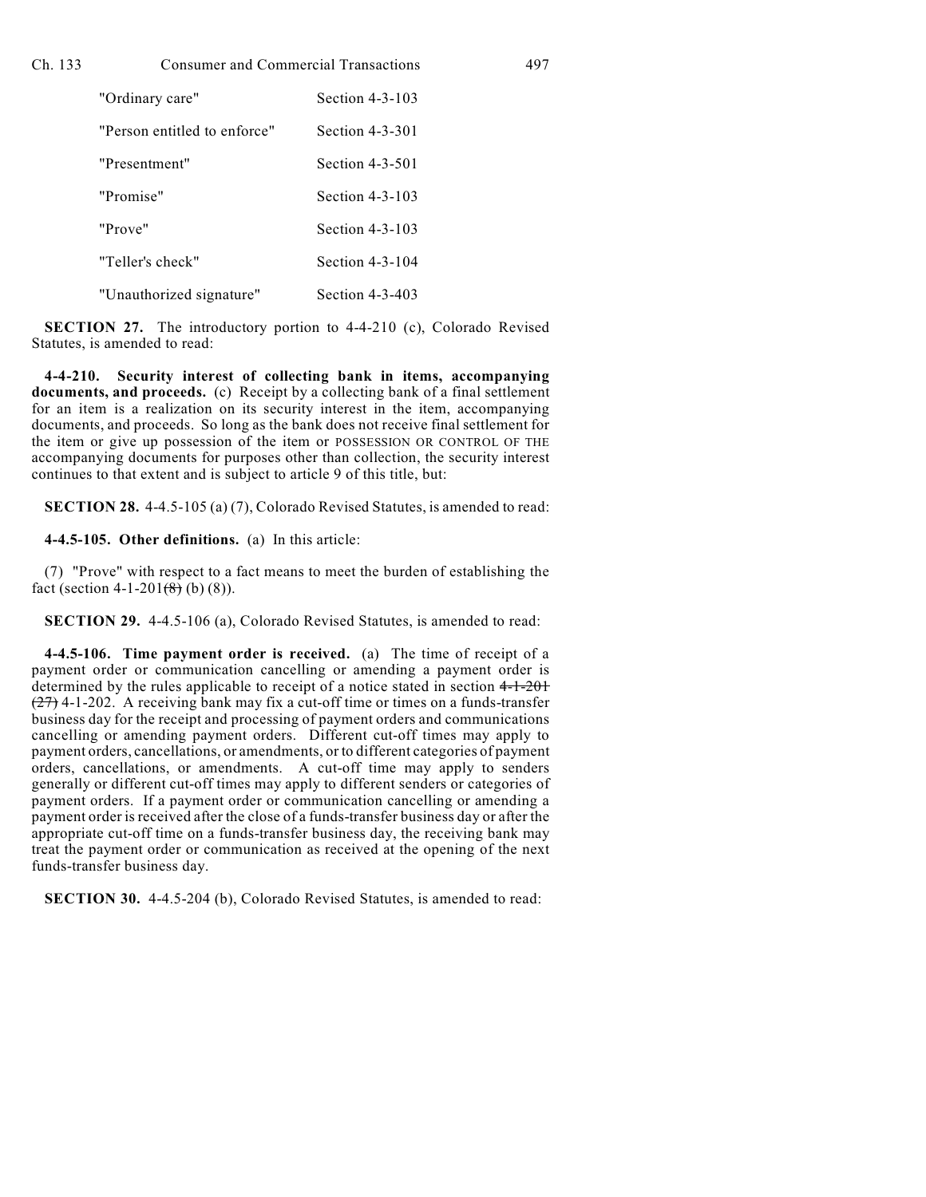| Ch. 133 | Consumer and Commercial Transactions |                   | 497 |
|---------|--------------------------------------|-------------------|-----|
|         | "Ordinary care"                      | Section 4-3-103   |     |
|         | "Person entitled to enforce"         | Section 4-3-301   |     |
|         | "Presentment"                        | Section 4-3-501   |     |
|         | "Promise"                            | Section 4-3-103   |     |
|         | "Prove"                              | Section 4-3-103   |     |
|         | "Teller's check"                     | Section $4-3-104$ |     |
|         | "Unauthorized signature"             | Section 4-3-403   |     |

**SECTION 27.** The introductory portion to 4-4-210 (c), Colorado Revised Statutes, is amended to read:

**4-4-210. Security interest of collecting bank in items, accompanying documents, and proceeds.** (c) Receipt by a collecting bank of a final settlement for an item is a realization on its security interest in the item, accompanying documents, and proceeds. So long as the bank does not receive final settlement for the item or give up possession of the item or POSSESSION OR CONTROL OF THE accompanying documents for purposes other than collection, the security interest continues to that extent and is subject to article 9 of this title, but:

**SECTION 28.** 4-4.5-105 (a) (7), Colorado Revised Statutes, is amended to read:

**4-4.5-105. Other definitions.** (a) In this article:

(7) "Prove" with respect to a fact means to meet the burden of establishing the fact (section 4-1-201<del>(8)</del> (b) (8)).

**SECTION 29.** 4-4.5-106 (a), Colorado Revised Statutes, is amended to read:

**4-4.5-106. Time payment order is received.** (a) The time of receipt of a payment order or communication cancelling or amending a payment order is determined by the rules applicable to receipt of a notice stated in section 4-1-201  $(27)$  4-1-202. A receiving bank may fix a cut-off time or times on a funds-transfer business day for the receipt and processing of payment orders and communications cancelling or amending payment orders. Different cut-off times may apply to payment orders, cancellations, or amendments, or to different categories of payment orders, cancellations, or amendments. A cut-off time may apply to senders generally or different cut-off times may apply to different senders or categories of payment orders. If a payment order or communication cancelling or amending a payment order is received after the close of a funds-transfer business day or after the appropriate cut-off time on a funds-transfer business day, the receiving bank may treat the payment order or communication as received at the opening of the next funds-transfer business day.

**SECTION 30.** 4-4.5-204 (b), Colorado Revised Statutes, is amended to read: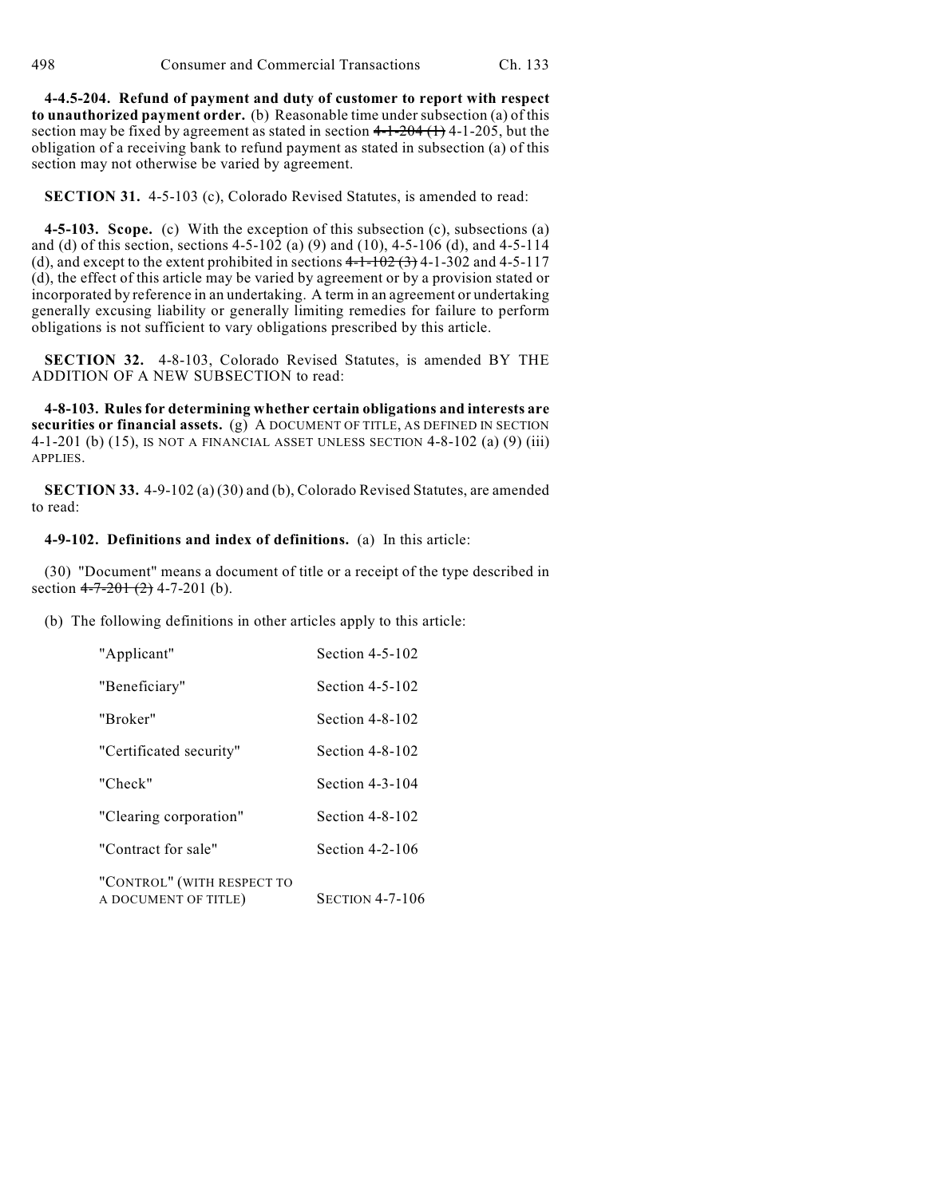**4-4.5-204. Refund of payment and duty of customer to report with respect to unauthorized payment order.** (b) Reasonable time under subsection (a) of this section may be fixed by agreement as stated in section  $4-1-204(1)$  4-1-205, but the obligation of a receiving bank to refund payment as stated in subsection (a) of this section may not otherwise be varied by agreement.

**SECTION 31.** 4-5-103 (c), Colorado Revised Statutes, is amended to read:

**4-5-103. Scope.** (c) With the exception of this subsection (c), subsections (a) and (d) of this section, sections 4-5-102 (a) (9) and (10), 4-5-106 (d), and 4-5-114 (d), and except to the extent prohibited in sections  $4\overline{+1\cdot 102(3)}$  4-1-302 and 4-5-117 (d), the effect of this article may be varied by agreement or by a provision stated or incorporated by reference in an undertaking. A term in an agreement or undertaking generally excusing liability or generally limiting remedies for failure to perform obligations is not sufficient to vary obligations prescribed by this article.

**SECTION 32.** 4-8-103, Colorado Revised Statutes, is amended BY THE ADDITION OF A NEW SUBSECTION to read:

**4-8-103. Rules for determining whether certain obligations and interests are securities or financial assets.** (g) A DOCUMENT OF TITLE, AS DEFINED IN SECTION 4-1-201 (b) (15), IS NOT A FINANCIAL ASSET UNLESS SECTION 4-8-102 (a) (9) (iii) APPLIES.

**SECTION 33.** 4-9-102 (a) (30) and (b), Colorado Revised Statutes, are amended to read:

## **4-9-102. Definitions and index of definitions.** (a) In this article:

(30) "Document" means a document of title or a receipt of the type described in section  $4-7-201$  (2)  $4-7-201$  (b).

(b) The following definitions in other articles apply to this article:

| "Applicant"                                        | Section 4-5-102        |
|----------------------------------------------------|------------------------|
| "Beneficiary"                                      | Section 4-5-102        |
| "Broker"                                           | Section 4-8-102        |
| "Certificated security"                            | Section 4-8-102        |
| "Check"                                            | Section 4-3-104        |
| "Clearing corporation"                             | Section 4-8-102        |
| "Contract for sale"                                | Section 4-2-106        |
| "CONTROL" (WITH RESPECT TO<br>A DOCUMENT OF TITLE) | <b>SECTION 4-7-106</b> |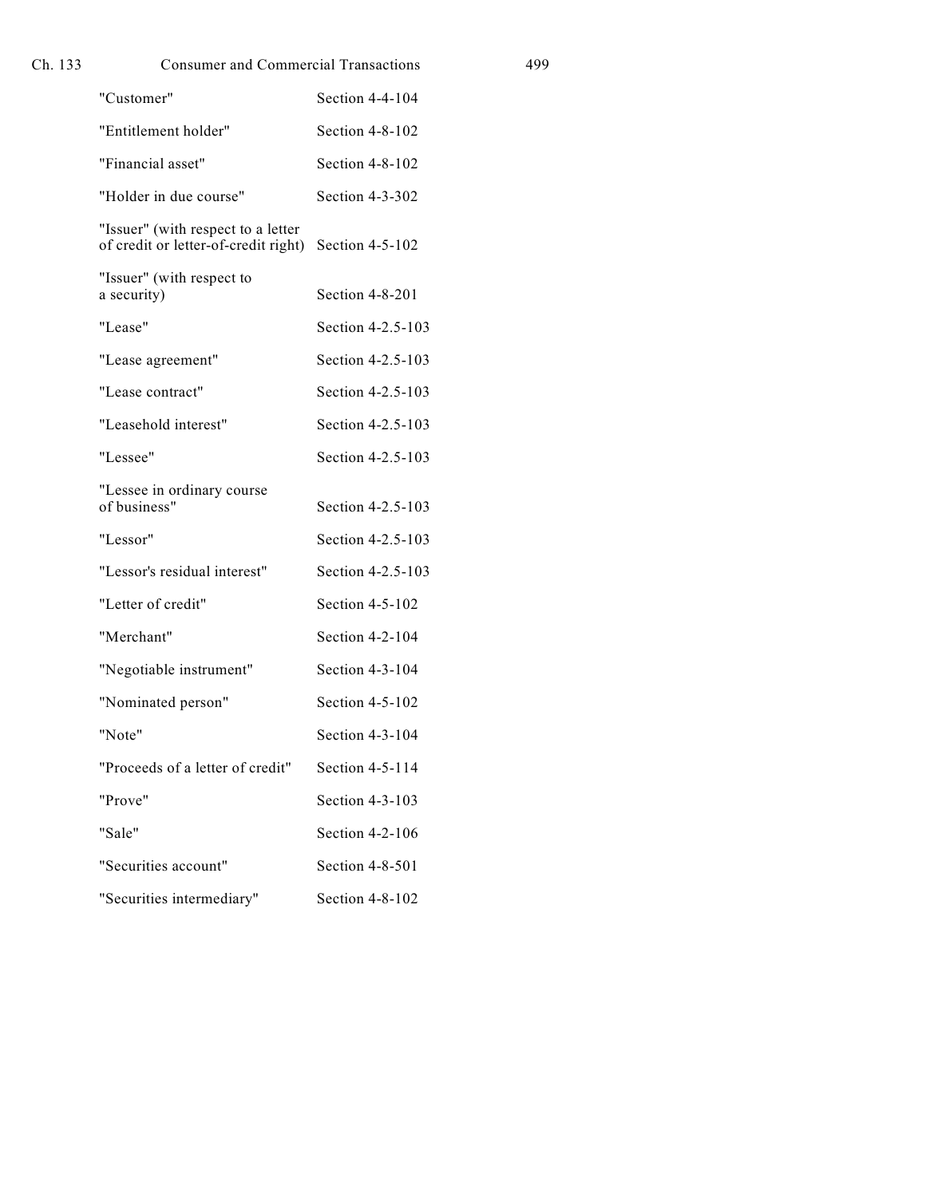| Ch. 133 | <b>Consumer and Commercial Transactions</b>                                |                   | 499 |
|---------|----------------------------------------------------------------------------|-------------------|-----|
|         | "Customer"                                                                 | Section 4-4-104   |     |
|         | "Entitlement holder"                                                       | Section $4-8-102$ |     |
|         | "Financial asset"                                                          | Section $4-8-102$ |     |
|         | "Holder in due course"                                                     | Section $4-3-302$ |     |
|         | "Issuer" (with respect to a letter<br>of credit or letter-of-credit right) | Section 4-5-102   |     |
|         | "Issuer" (with respect to<br>a security)                                   | Section 4-8-201   |     |
|         | "Lease"                                                                    | Section 4-2.5-103 |     |
|         | "Lease agreement"                                                          | Section 4-2.5-103 |     |
|         | "Lease contract"                                                           | Section 4-2.5-103 |     |
|         | "Leasehold interest"                                                       | Section 4-2.5-103 |     |
|         | "Lessee"                                                                   | Section 4-2.5-103 |     |
|         | "Lessee in ordinary course<br>of business"                                 | Section 4-2.5-103 |     |
|         | "Lessor"                                                                   | Section 4-2.5-103 |     |
|         | "Lessor's residual interest"                                               | Section 4-2.5-103 |     |
|         | "Letter of credit"                                                         | Section 4-5-102   |     |
|         | "Merchant"                                                                 | Section 4-2-104   |     |
|         | "Negotiable instrument"                                                    | Section 4-3-104   |     |
|         | "Nominated person"                                                         | Section $4-5-102$ |     |
|         | "Note"                                                                     | Section 4-3-104   |     |
|         | "Proceeds of a letter of credit"                                           | Section 4-5-114   |     |
|         | "Prove"                                                                    | Section 4-3-103   |     |
|         | "Sale"                                                                     | Section 4-2-106   |     |
|         | "Securities account"                                                       | Section 4-8-501   |     |
|         | "Securities intermediary"                                                  | Section 4-8-102   |     |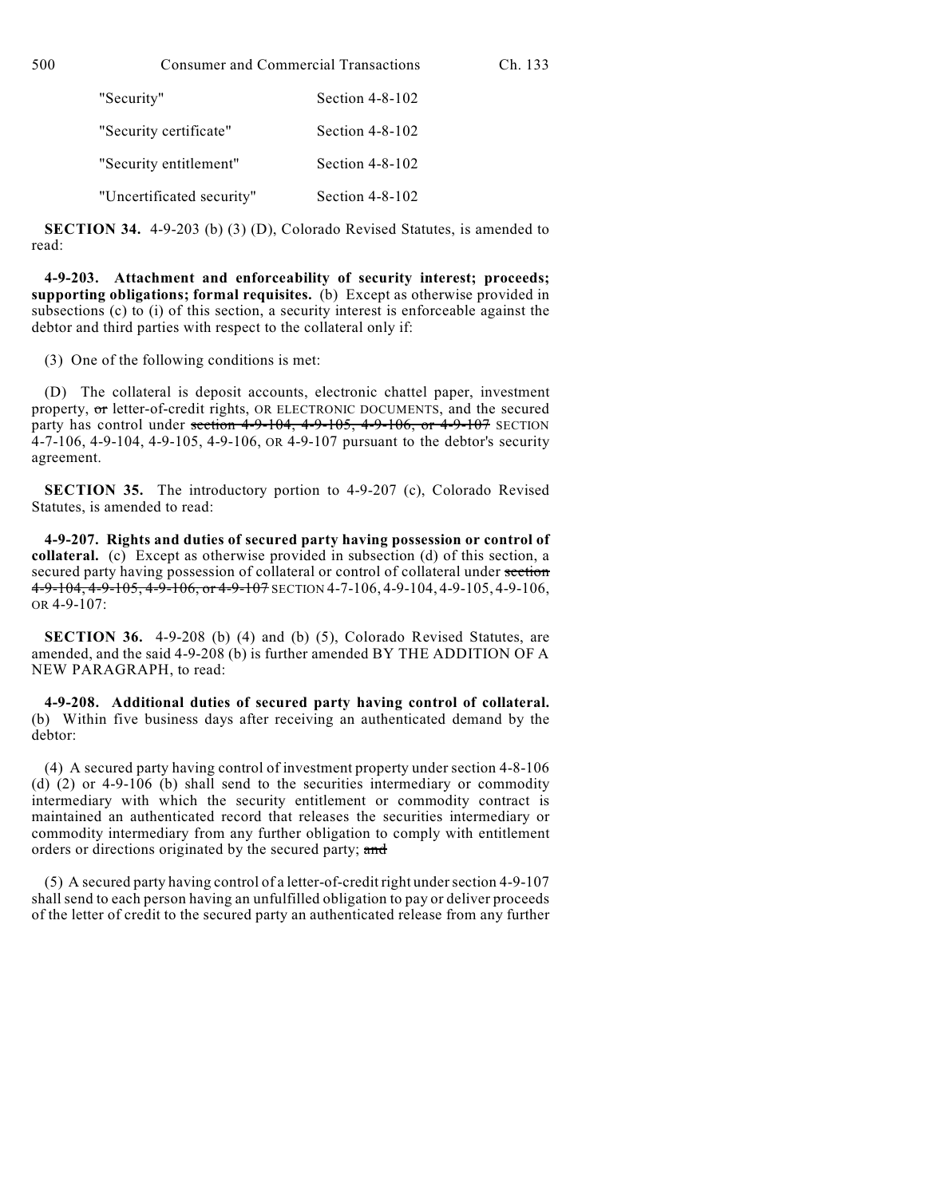500 Consumer and Commercial Transactions Ch. 133

| "Security"                | Section $4-8-102$ |
|---------------------------|-------------------|
| "Security certificate"    | Section $4-8-102$ |
| "Security entitlement"    | Section $4-8-102$ |
| "Uncertificated security" | Section $4-8-102$ |

**SECTION 34.** 4-9-203 (b) (3) (D), Colorado Revised Statutes, is amended to read:

**4-9-203. Attachment and enforceability of security interest; proceeds; supporting obligations; formal requisites.** (b) Except as otherwise provided in subsections (c) to (i) of this section, a security interest is enforceable against the debtor and third parties with respect to the collateral only if:

(3) One of the following conditions is met:

(D) The collateral is deposit accounts, electronic chattel paper, investment property, or letter-of-credit rights, OR ELECTRONIC DOCUMENTS, and the secured party has control under section 4-9-104, 4-9-105, 4-9-106, or 4-9-107 SECTION 4-7-106, 4-9-104, 4-9-105, 4-9-106, OR 4-9-107 pursuant to the debtor's security agreement.

**SECTION 35.** The introductory portion to 4-9-207 (c), Colorado Revised Statutes, is amended to read:

**4-9-207. Rights and duties of secured party having possession or control of collateral.** (c) Except as otherwise provided in subsection (d) of this section, a secured party having possession of collateral or control of collateral under section  $4-9-104, 4-9-105, 4-9-106, \text{ or } 4-9-107 \text{ SECTION } 4-7-106, 4-9-104, 4-9-105, 4-9-106,$ OR 4-9-107:

**SECTION 36.** 4-9-208 (b) (4) and (b) (5), Colorado Revised Statutes, are amended, and the said 4-9-208 (b) is further amended BY THE ADDITION OF A NEW PARAGRAPH, to read:

**4-9-208. Additional duties of secured party having control of collateral.** (b) Within five business days after receiving an authenticated demand by the debtor:

(4) A secured party having control of investment property under section 4-8-106 (d) (2) or 4-9-106 (b) shall send to the securities intermediary or commodity intermediary with which the security entitlement or commodity contract is maintained an authenticated record that releases the securities intermediary or commodity intermediary from any further obligation to comply with entitlement orders or directions originated by the secured party; and

(5) A secured party having control of a letter-of-credit right undersection 4-9-107 shall send to each person having an unfulfilled obligation to pay or deliver proceeds of the letter of credit to the secured party an authenticated release from any further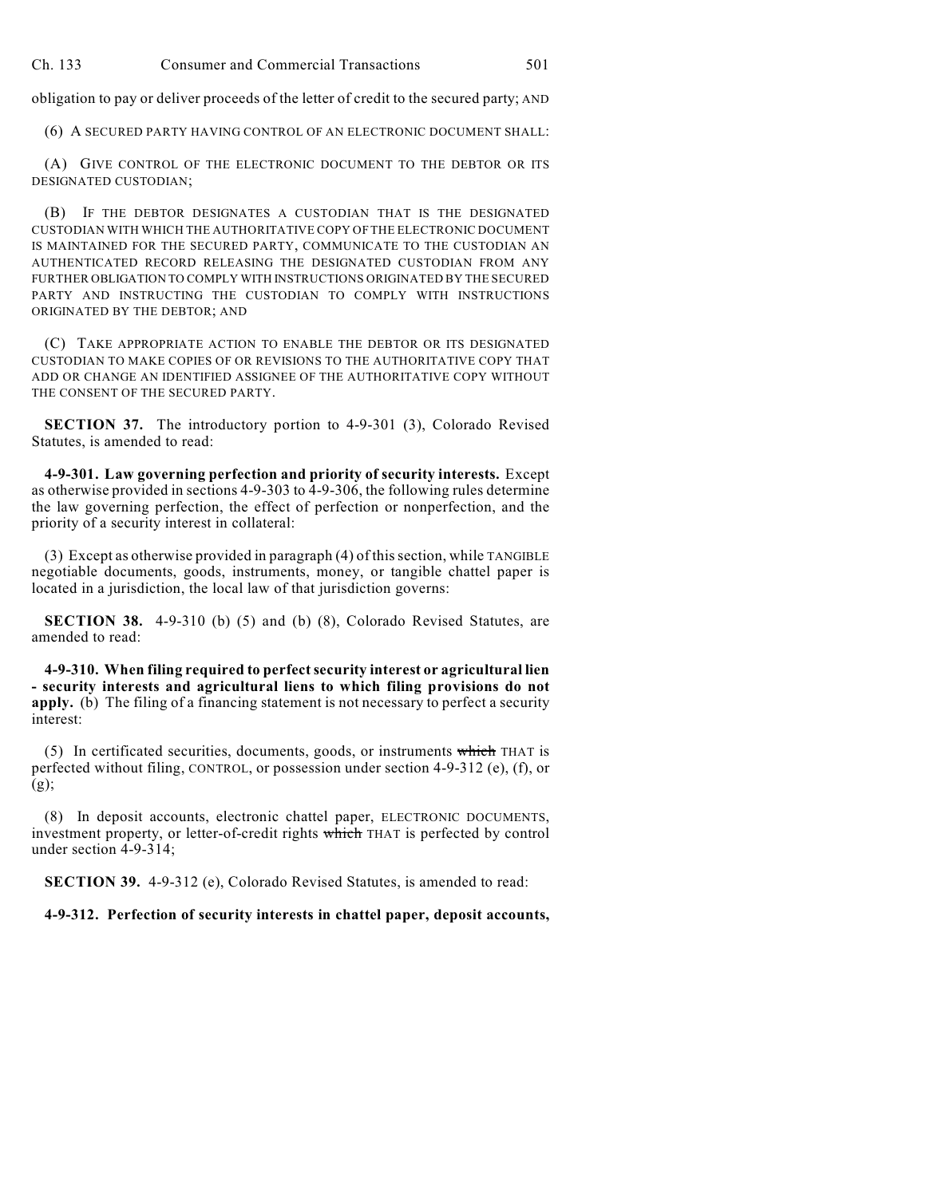obligation to pay or deliver proceeds of the letter of credit to the secured party; AND

(6) A SECURED PARTY HAVING CONTROL OF AN ELECTRONIC DOCUMENT SHALL:

(A) GIVE CONTROL OF THE ELECTRONIC DOCUMENT TO THE DEBTOR OR ITS DESIGNATED CUSTODIAN;

(B) IF THE DEBTOR DESIGNATES A CUSTODIAN THAT IS THE DESIGNATED CUSTODIAN WITH WHICH THE AUTHORITATIVE COPY OF THE ELECTRONIC DOCUMENT IS MAINTAINED FOR THE SECURED PARTY, COMMUNICATE TO THE CUSTODIAN AN AUTHENTICATED RECORD RELEASING THE DESIGNATED CUSTODIAN FROM ANY FURTHER OBLIGATION TO COMPLY WITH INSTRUCTIONS ORIGINATED BY THE SECURED PARTY AND INSTRUCTING THE CUSTODIAN TO COMPLY WITH INSTRUCTIONS ORIGINATED BY THE DEBTOR; AND

(C) TAKE APPROPRIATE ACTION TO ENABLE THE DEBTOR OR ITS DESIGNATED CUSTODIAN TO MAKE COPIES OF OR REVISIONS TO THE AUTHORITATIVE COPY THAT ADD OR CHANGE AN IDENTIFIED ASSIGNEE OF THE AUTHORITATIVE COPY WITHOUT THE CONSENT OF THE SECURED PARTY.

**SECTION 37.** The introductory portion to 4-9-301 (3), Colorado Revised Statutes, is amended to read:

**4-9-301. Law governing perfection and priority of security interests.** Except as otherwise provided in sections 4-9-303 to 4-9-306, the following rules determine the law governing perfection, the effect of perfection or nonperfection, and the priority of a security interest in collateral:

(3) Except as otherwise provided in paragraph (4) of this section, while TANGIBLE negotiable documents, goods, instruments, money, or tangible chattel paper is located in a jurisdiction, the local law of that jurisdiction governs:

**SECTION 38.** 4-9-310 (b) (5) and (b) (8), Colorado Revised Statutes, are amended to read:

**4-9-310. When filing required to perfect security interest or agricultural lien - security interests and agricultural liens to which filing provisions do not apply.** (b) The filing of a financing statement is not necessary to perfect a security interest:

(5) In certificated securities, documents, goods, or instruments which THAT is perfected without filing, CONTROL, or possession under section 4-9-312 (e), (f), or (g);

(8) In deposit accounts, electronic chattel paper, ELECTRONIC DOCUMENTS, investment property, or letter-of-credit rights which THAT is perfected by control under section 4-9-314;

**SECTION 39.** 4-9-312 (e), Colorado Revised Statutes, is amended to read:

**4-9-312. Perfection of security interests in chattel paper, deposit accounts,**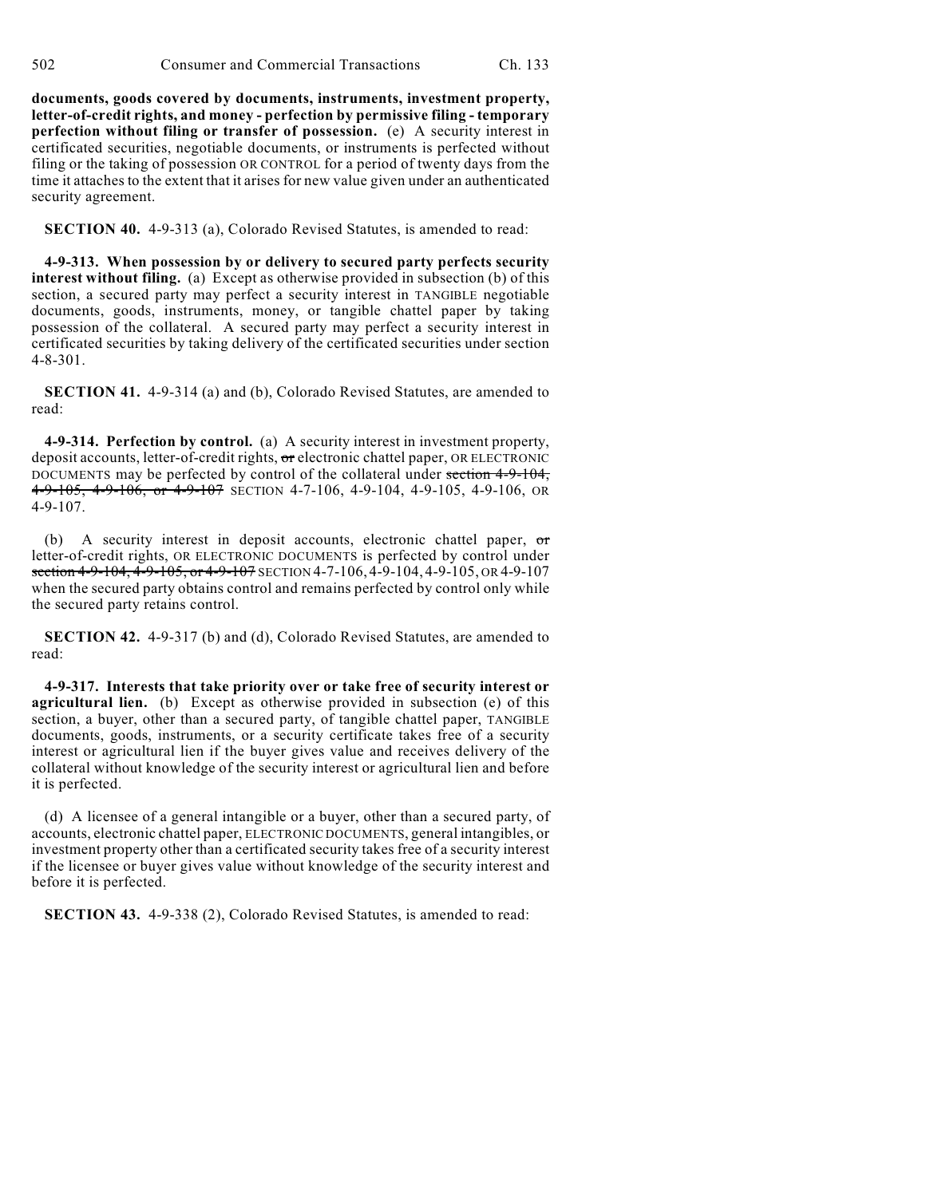**documents, goods covered by documents, instruments, investment property, letter-of-credit rights, and money - perfection by permissive filing - temporary perfection without filing or transfer of possession.** (e) A security interest in certificated securities, negotiable documents, or instruments is perfected without filing or the taking of possession OR CONTROL for a period of twenty days from the time it attaches to the extent that it arises for new value given under an authenticated security agreement.

**SECTION 40.** 4-9-313 (a), Colorado Revised Statutes, is amended to read:

**4-9-313. When possession by or delivery to secured party perfects security interest without filing.** (a) Except as otherwise provided in subsection (b) of this section, a secured party may perfect a security interest in TANGIBLE negotiable documents, goods, instruments, money, or tangible chattel paper by taking possession of the collateral. A secured party may perfect a security interest in certificated securities by taking delivery of the certificated securities under section 4-8-301.

**SECTION 41.** 4-9-314 (a) and (b), Colorado Revised Statutes, are amended to read:

**4-9-314. Perfection by control.** (a) A security interest in investment property, deposit accounts, letter-of-credit rights, or electronic chattel paper, OR ELECTRONIC DOCUMENTS may be perfected by control of the collateral under section 4-9-104, 4-9-105, 4-9-106, or 4-9-107 SECTION 4-7-106, 4-9-104, 4-9-105, 4-9-106, OR 4-9-107.

(b) A security interest in deposit accounts, electronic chattel paper, or letter-of-credit rights, OR ELECTRONIC DOCUMENTS is perfected by control under section 4-9-104, 4-9-105, or 4-9-107 SECTION 4-7-106, 4-9-104, 4-9-105, OR 4-9-107 when the secured party obtains control and remains perfected by control only while the secured party retains control.

**SECTION 42.** 4-9-317 (b) and (d), Colorado Revised Statutes, are amended to read:

**4-9-317. Interests that take priority over or take free of security interest or agricultural lien.** (b) Except as otherwise provided in subsection (e) of this section, a buyer, other than a secured party, of tangible chattel paper, TANGIBLE documents, goods, instruments, or a security certificate takes free of a security interest or agricultural lien if the buyer gives value and receives delivery of the collateral without knowledge of the security interest or agricultural lien and before it is perfected.

(d) A licensee of a general intangible or a buyer, other than a secured party, of accounts, electronic chattel paper, ELECTRONIC DOCUMENTS, general intangibles, or investment property other than a certificated security takes free of a security interest if the licensee or buyer gives value without knowledge of the security interest and before it is perfected.

**SECTION 43.** 4-9-338 (2), Colorado Revised Statutes, is amended to read: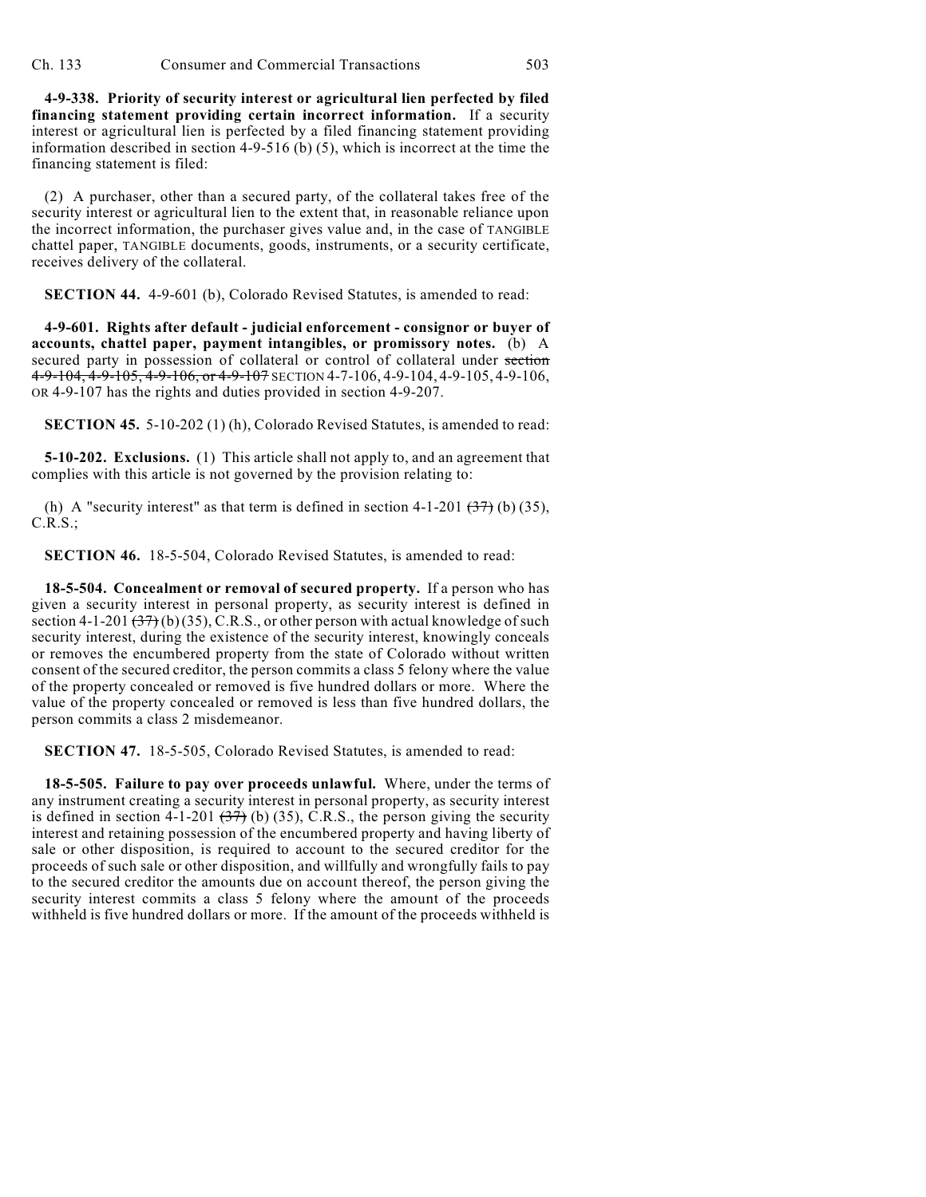Ch. 133 Consumer and Commercial Transactions 503

**4-9-338. Priority of security interest or agricultural lien perfected by filed financing statement providing certain incorrect information.** If a security interest or agricultural lien is perfected by a filed financing statement providing information described in section 4-9-516 (b) (5), which is incorrect at the time the financing statement is filed:

(2) A purchaser, other than a secured party, of the collateral takes free of the security interest or agricultural lien to the extent that, in reasonable reliance upon the incorrect information, the purchaser gives value and, in the case of TANGIBLE chattel paper, TANGIBLE documents, goods, instruments, or a security certificate, receives delivery of the collateral.

**SECTION 44.** 4-9-601 (b), Colorado Revised Statutes, is amended to read:

**4-9-601. Rights after default - judicial enforcement - consignor or buyer of accounts, chattel paper, payment intangibles, or promissory notes.** (b) A secured party in possession of collateral or control of collateral under section  $4-9-104, 4-9-105, 4-9-106, or 4-9-107$  SECTION 4-7-106, 4-9-104, 4-9-105, 4-9-106, OR 4-9-107 has the rights and duties provided in section 4-9-207.

**SECTION 45.** 5-10-202 (1) (h), Colorado Revised Statutes, is amended to read:

**5-10-202. Exclusions.** (1) This article shall not apply to, and an agreement that complies with this article is not governed by the provision relating to:

(h) A "security interest" as that term is defined in section 4-1-201  $(37)$  (b) (35), C.R.S.;

**SECTION 46.** 18-5-504, Colorado Revised Statutes, is amended to read:

**18-5-504. Concealment or removal of secured property.** If a person who has given a security interest in personal property, as security interest is defined in section 4-1-201  $(37)$  (b)(35), C.R.S., or other person with actual knowledge of such security interest, during the existence of the security interest, knowingly conceals or removes the encumbered property from the state of Colorado without written consent of the secured creditor, the person commits a class 5 felony where the value of the property concealed or removed is five hundred dollars or more. Where the value of the property concealed or removed is less than five hundred dollars, the person commits a class 2 misdemeanor.

**SECTION 47.** 18-5-505, Colorado Revised Statutes, is amended to read:

**18-5-505. Failure to pay over proceeds unlawful.** Where, under the terms of any instrument creating a security interest in personal property, as security interest is defined in section 4-1-201  $(37)$  (b) (35), C.R.S., the person giving the security interest and retaining possession of the encumbered property and having liberty of sale or other disposition, is required to account to the secured creditor for the proceeds of such sale or other disposition, and willfully and wrongfully fails to pay to the secured creditor the amounts due on account thereof, the person giving the security interest commits a class 5 felony where the amount of the proceeds withheld is five hundred dollars or more. If the amount of the proceeds withheld is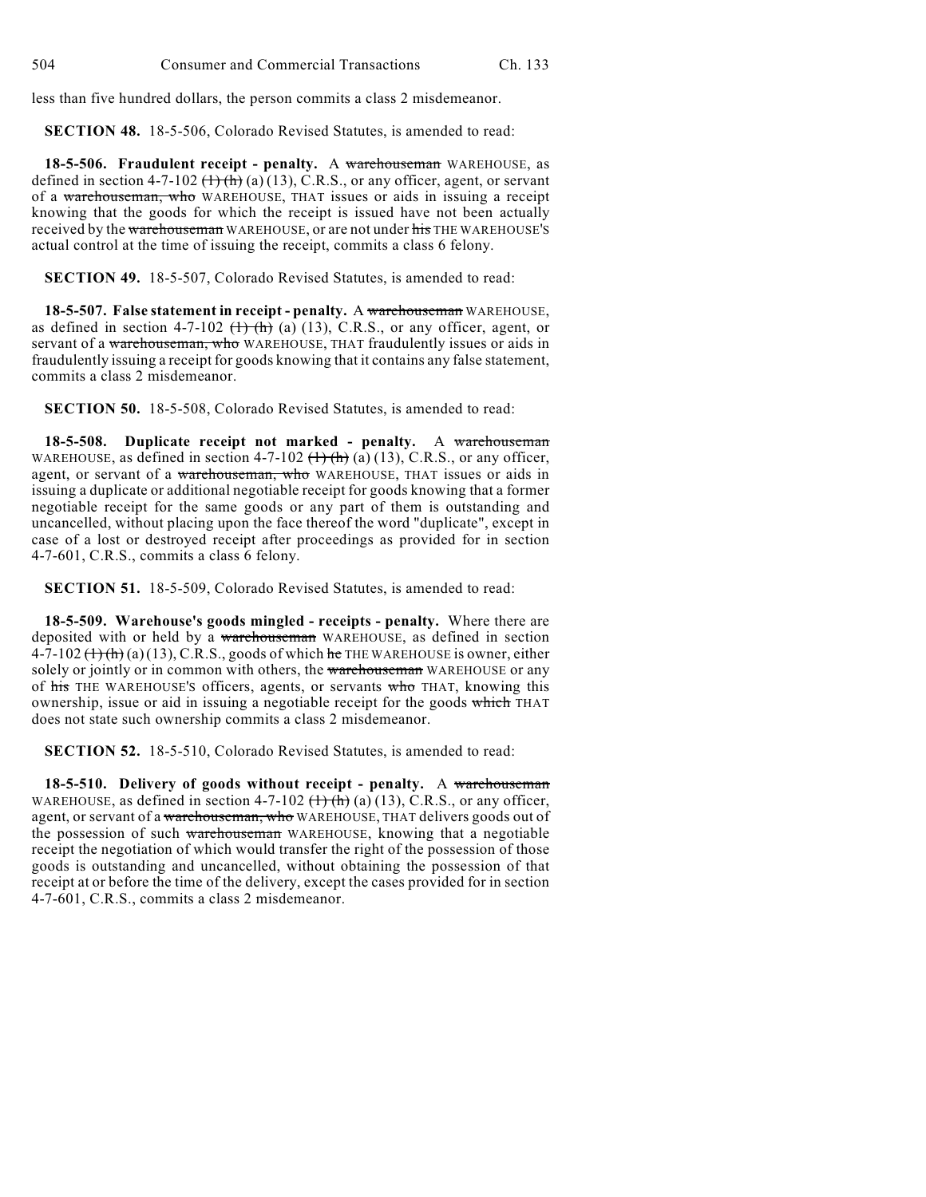less than five hundred dollars, the person commits a class 2 misdemeanor.

**SECTION 48.** 18-5-506, Colorado Revised Statutes, is amended to read:

**18-5-506. Fraudulent receipt - penalty.** A warehouseman WAREHOUSE, as defined in section 4-7-102  $(\frac{1}{\hbar})$  (a) (13), C.R.S., or any officer, agent, or servant of a warehouseman, who WAREHOUSE, THAT issues or aids in issuing a receipt knowing that the goods for which the receipt is issued have not been actually received by the warehouseman WAREHOUSE, or are not under his THE WAREHOUSE'S actual control at the time of issuing the receipt, commits a class 6 felony.

**SECTION 49.** 18-5-507, Colorado Revised Statutes, is amended to read:

**18-5-507. False statement in receipt - penalty. A warehouseman** WAREHOUSE, as defined in section 4-7-102  $(1)$   $(h)$   $(a)$   $(13)$ , C.R.S., or any officer, agent, or servant of a warehouseman, who WAREHOUSE, THAT fraudulently issues or aids in fraudulently issuing a receipt for goods knowing that it contains any false statement, commits a class 2 misdemeanor.

**SECTION 50.** 18-5-508, Colorado Revised Statutes, is amended to read:

**18-5-508. Duplicate receipt not marked - penalty.** A warehouseman WAREHOUSE, as defined in section 4-7-102  $(1)$   $(h)$   $(a)$   $(13)$ , C.R.S., or any officer, agent, or servant of a warehouseman, who WAREHOUSE, THAT issues or aids in issuing a duplicate or additional negotiable receipt for goods knowing that a former negotiable receipt for the same goods or any part of them is outstanding and uncancelled, without placing upon the face thereof the word "duplicate", except in case of a lost or destroyed receipt after proceedings as provided for in section 4-7-601, C.R.S., commits a class 6 felony.

**SECTION 51.** 18-5-509, Colorado Revised Statutes, is amended to read:

**18-5-509. Warehouse's goods mingled - receipts - penalty.** Where there are deposited with or held by a warehouseman WAREHOUSE, as defined in section  $4-7-102$  ( $\frac{1}{10}$ ) (a)(13), C.R.S., goods of which he THE WAREHOUSE is owner, either solely or jointly or in common with others, the warehouseman WAREHOUSE or any of his THE WAREHOUSE'S officers, agents, or servants who THAT, knowing this ownership, issue or aid in issuing a negotiable receipt for the goods which THAT does not state such ownership commits a class 2 misdemeanor.

**SECTION 52.** 18-5-510, Colorado Revised Statutes, is amended to read:

**18-5-510. Delivery of goods without receipt - penalty.** A warehouseman WAREHOUSE, as defined in section  $4-7-102$   $(1)$   $(h)$  (a) (13), C.R.S., or any officer, agent, or servant of a warehouseman, who WAREHOUSE, THAT delivers goods out of the possession of such warehouseman WAREHOUSE, knowing that a negotiable receipt the negotiation of which would transfer the right of the possession of those goods is outstanding and uncancelled, without obtaining the possession of that receipt at or before the time of the delivery, except the cases provided for in section 4-7-601, C.R.S., commits a class 2 misdemeanor.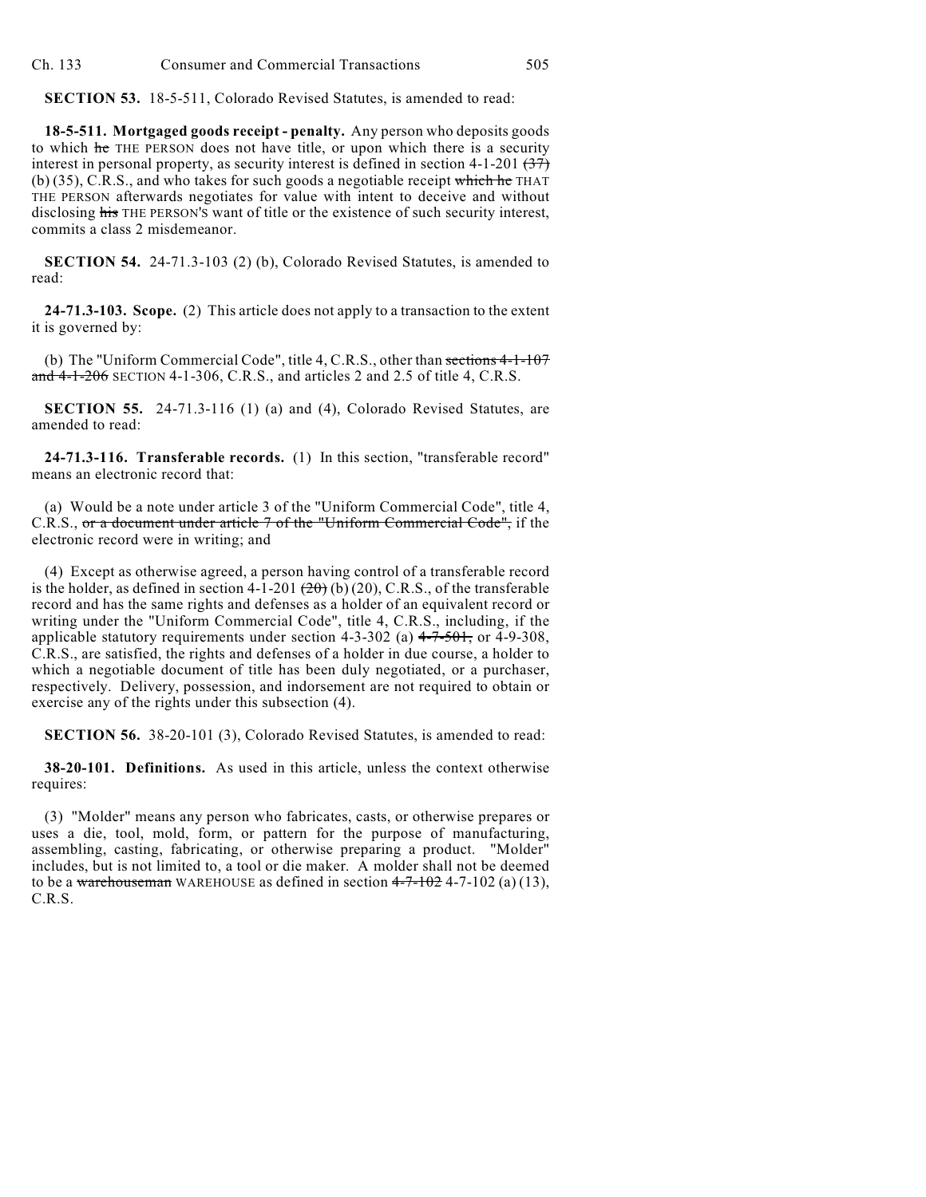**SECTION 53.** 18-5-511, Colorado Revised Statutes, is amended to read:

**18-5-511. Mortgaged goods receipt - penalty.** Any person who deposits goods to which he THE PERSON does not have title, or upon which there is a security interest in personal property, as security interest is defined in section 4-1-201  $(37)$ (b) (35), C.R.S., and who takes for such goods a negotiable receipt which he THAT THE PERSON afterwards negotiates for value with intent to deceive and without disclosing his THE PERSON'S want of title or the existence of such security interest, commits a class 2 misdemeanor.

**SECTION 54.** 24-71.3-103 (2) (b), Colorado Revised Statutes, is amended to read:

**24-71.3-103. Scope.** (2) This article does not apply to a transaction to the extent it is governed by:

(b) The "Uniform Commercial Code", title 4, C.R.S., other than sections 4-1-107 and 4-1-206 SECTION 4-1-306, C.R.S., and articles 2 and 2.5 of title 4, C.R.S.

**SECTION 55.** 24-71.3-116 (1) (a) and (4), Colorado Revised Statutes, are amended to read:

**24-71.3-116. Transferable records.** (1) In this section, "transferable record" means an electronic record that:

(a) Would be a note under article 3 of the "Uniform Commercial Code", title 4, C.R.S., or a document under article 7 of the "Uniform Commercial Code", if the electronic record were in writing; and

(4) Except as otherwise agreed, a person having control of a transferable record is the holder, as defined in section 4-1-201  $(20)$  (b) (20), C.R.S., of the transferable record and has the same rights and defenses as a holder of an equivalent record or writing under the "Uniform Commercial Code", title 4, C.R.S., including, if the applicable statutory requirements under section  $4-3-302$  (a)  $4-7-501$ , or  $4-9-308$ , C.R.S., are satisfied, the rights and defenses of a holder in due course, a holder to which a negotiable document of title has been duly negotiated, or a purchaser, respectively. Delivery, possession, and indorsement are not required to obtain or exercise any of the rights under this subsection (4).

**SECTION 56.** 38-20-101 (3), Colorado Revised Statutes, is amended to read:

**38-20-101. Definitions.** As used in this article, unless the context otherwise requires:

(3) "Molder" means any person who fabricates, casts, or otherwise prepares or uses a die, tool, mold, form, or pattern for the purpose of manufacturing, assembling, casting, fabricating, or otherwise preparing a product. "Molder" includes, but is not limited to, a tool or die maker. A molder shall not be deemed to be a warehouse man WAREHOUSE as defined in section  $4-7-102$  4-7-102 (a) (13), C.R.S.